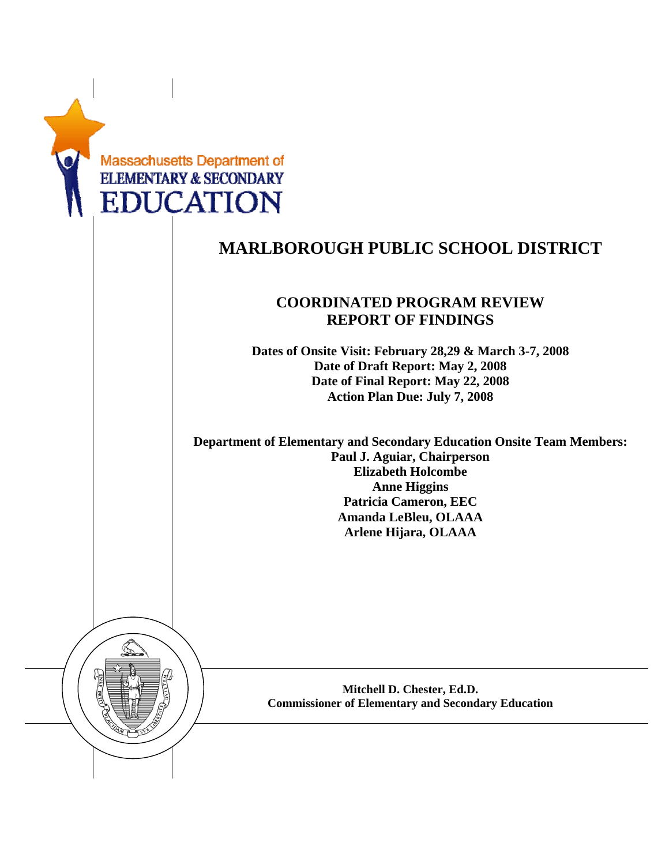|  | <b>Massachusetts Department of</b><br><b>ELEMENTARY &amp; SECONDARY</b><br><b>EDUCATION</b>                                                                                                                                              |
|--|------------------------------------------------------------------------------------------------------------------------------------------------------------------------------------------------------------------------------------------|
|  | <b>MARLBOROUGH PUBLIC SCHOOL DISTRICT</b>                                                                                                                                                                                                |
|  | <b>COORDINATED PROGRAM REVIEW</b><br><b>REPORT OF FINDINGS</b>                                                                                                                                                                           |
|  | Dates of Onsite Visit: February 28,29 & March 3-7, 2008<br>Date of Draft Report: May 2, 2008<br>Date of Final Report: May 22, 2008<br><b>Action Plan Due: July 7, 2008</b>                                                               |
|  | <b>Department of Elementary and Secondary Education Onsite Team Members:</b><br>Paul J. Aguiar, Chairperson<br><b>Elizabeth Holcombe</b><br><b>Anne Higgins</b><br>Patricia Cameron, EEC<br>Amanda LeBleu, OLAAA<br>Arlene Hijara, OLAAA |
|  |                                                                                                                                                                                                                                          |
|  | Mitchell D. Chester, Ed.D.<br><b>Commissioner of Elementary and Secondary Education</b>                                                                                                                                                  |
|  |                                                                                                                                                                                                                                          |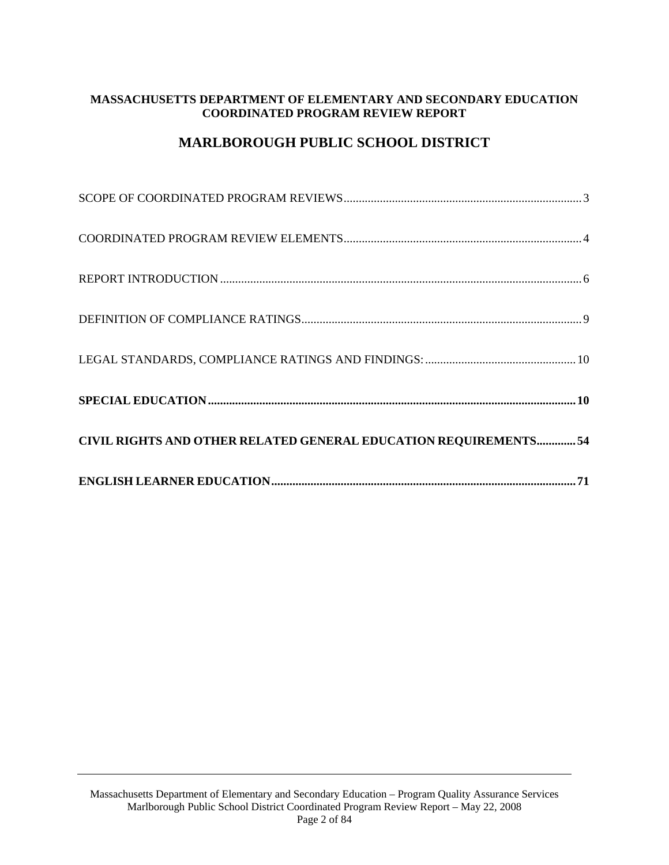# **MASSACHUSETTS DEPARTMENT OF ELEMENTARY AND SECONDARY EDUCATION COORDINATED PROGRAM REVIEW REPORT**

# **MARLBOROUGH PUBLIC SCHOOL DISTRICT**

| CIVIL RIGHTS AND OTHER RELATED GENERAL EDUCATION REQUIREMENTS 54 |
|------------------------------------------------------------------|
|                                                                  |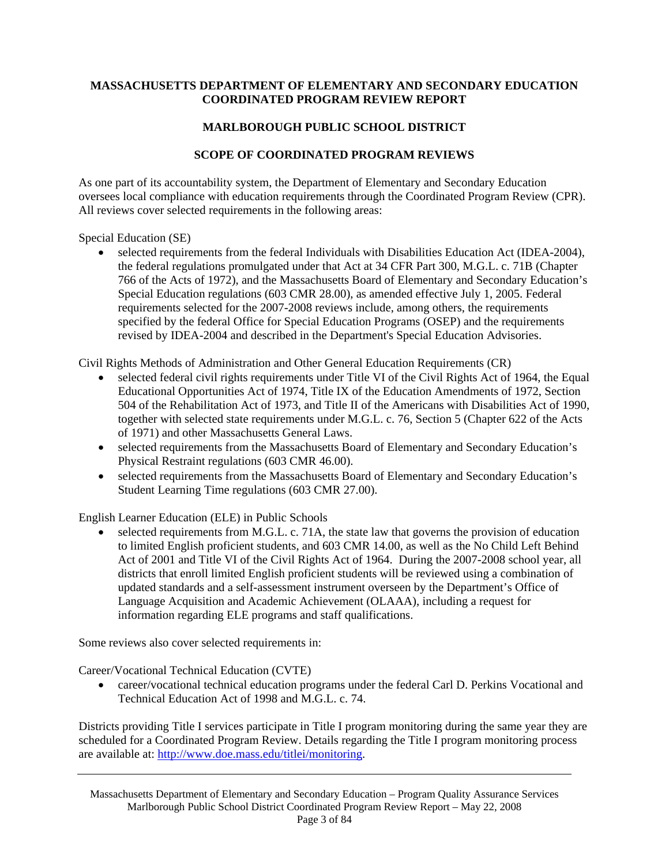## <span id="page-2-0"></span>**MASSACHUSETTS DEPARTMENT OF ELEMENTARY AND SECONDARY EDUCATION COORDINATED PROGRAM REVIEW REPORT**

# **MARLBOROUGH PUBLIC SCHOOL DISTRICT**

## **SCOPE OF COORDINATED PROGRAM REVIEWS**

As one part of its accountability system, the Department of Elementary and Secondary Education oversees local compliance with education requirements through the Coordinated Program Review (CPR). All reviews cover selected requirements in the following areas:

Special Education (SE)

• selected requirements from the federal Individuals with Disabilities Education Act (IDEA-2004), the federal regulations promulgated under that Act at 34 CFR Part 300, M.G.L. c. 71B (Chapter 766 of the Acts of 1972), and the Massachusetts Board of Elementary and Secondary Education's Special Education regulations (603 CMR 28.00), as amended effective July 1, 2005. Federal requirements selected for the 2007-2008 reviews include, among others, the requirements specified by the federal Office for Special Education Programs (OSEP) and the requirements revised by IDEA-2004 and described in the Department's Special Education Advisories.

Civil Rights Methods of Administration and Other General Education Requirements (CR)

- selected federal civil rights requirements under Title VI of the Civil Rights Act of 1964, the Equal Educational Opportunities Act of 1974, Title IX of the Education Amendments of 1972, Section 504 of the Rehabilitation Act of 1973, and Title II of the Americans with Disabilities Act of 1990, together with selected state requirements under M.G.L. c. 76, Section 5 (Chapter 622 of the Acts of 1971) and other Massachusetts General Laws.
- selected requirements from the Massachusetts Board of Elementary and Secondary Education's Physical Restraint regulations (603 CMR 46.00).
- selected requirements from the Massachusetts Board of Elementary and Secondary Education's Student Learning Time regulations (603 CMR 27.00).

English Learner Education (ELE) in Public Schools

• selected requirements from M.G.L. c. 71A, the state law that governs the provision of education to limited English proficient students, and 603 CMR 14.00, as well as the No Child Left Behind Act of 2001 and Title VI of the Civil Rights Act of 1964. During the 2007-2008 school year, all districts that enroll limited English proficient students will be reviewed using a combination of updated standards and a self-assessment instrument overseen by the Department's Office of Language Acquisition and Academic Achievement (OLAAA), including a request for information regarding ELE programs and staff qualifications.

Some reviews also cover selected requirements in:

Career/Vocational Technical Education (CVTE)

• career/vocational technical education programs under the federal Carl D. Perkins Vocational and Technical Education Act of 1998 and M.G.L. c. 74.

Districts providing Title I services participate in Title I program monitoring during the same year they are scheduled for a Coordinated Program Review. Details regarding the Title I program monitoring process are available at: [http://www.doe.mass.edu/titlei/monitoring.](http://www.doe.mass.edu/titlei/monitoring)

Massachusetts Department of Elementary and Secondary Education – Program Quality Assurance Services Marlborough Public School District Coordinated Program Review Report – May 22, 2008 Page 3 of 84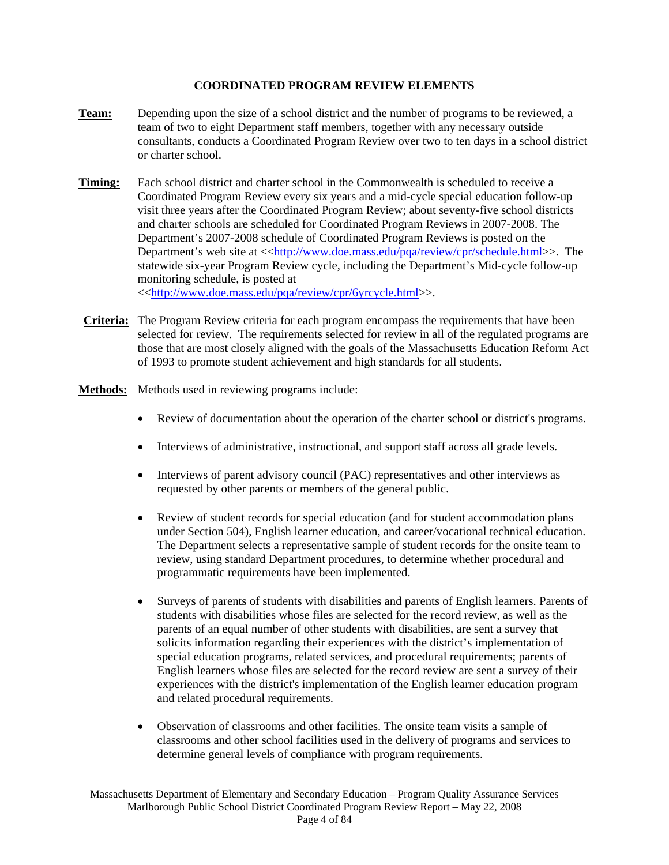## **COORDINATED PROGRAM REVIEW ELEMENTS**

- <span id="page-3-0"></span>**Team:** Depending upon the size of a school district and the number of programs to be reviewed, a team of two to eight Department staff members, together with any necessary outside consultants, conducts a Coordinated Program Review over two to ten days in a school district or charter school.
- **Timing:** Each school district and charter school in the Commonwealth is scheduled to receive a Coordinated Program Review every six years and a mid-cycle special education follow-up visit three years after the Coordinated Program Review; about seventy-five school districts and charter schools are scheduled for Coordinated Program Reviews in 2007-2008. The Department's 2007-2008 schedule of Coordinated Program Reviews is posted on the Department's web site at <<[http://www.doe.mass.edu/pqa/review/cpr/schedule.html>](http://www.doe.mass.edu/pqa/review/cpr/schedule.html)>. The statewide six-year Program Review cycle, including the Department's Mid-cycle follow-up monitoring schedule, is posted at <[<http://www.doe.mass.edu/pqa/review/cpr/6yrcycle.html](http://www.doe.mass.edu/pqa/review/cpr/6yrcycle.html)>>.
- **Criteria:** The Program Review criteria for each program encompass the requirements that have been selected for review. The requirements selected for review in all of the regulated programs are those that are most closely aligned with the goals of the Massachusetts Education Reform Act of 1993 to promote student achievement and high standards for all students.
- **Methods:** Methods used in reviewing programs include:
	- Review of documentation about the operation of the charter school or district's programs.
	- Interviews of administrative, instructional, and support staff across all grade levels.
	- Interviews of parent advisory council (PAC) representatives and other interviews as requested by other parents or members of the general public.
	- Review of student records for special education (and for student accommodation plans under Section 504), English learner education, and career/vocational technical education. The Department selects a representative sample of student records for the onsite team to review, using standard Department procedures, to determine whether procedural and programmatic requirements have been implemented.
	- Surveys of parents of students with disabilities and parents of English learners. Parents of students with disabilities whose files are selected for the record review, as well as the parents of an equal number of other students with disabilities, are sent a survey that solicits information regarding their experiences with the district's implementation of special education programs, related services, and procedural requirements; parents of English learners whose files are selected for the record review are sent a survey of their experiences with the district's implementation of the English learner education program and related procedural requirements.
	- Observation of classrooms and other facilities. The onsite team visits a sample of classrooms and other school facilities used in the delivery of programs and services to determine general levels of compliance with program requirements.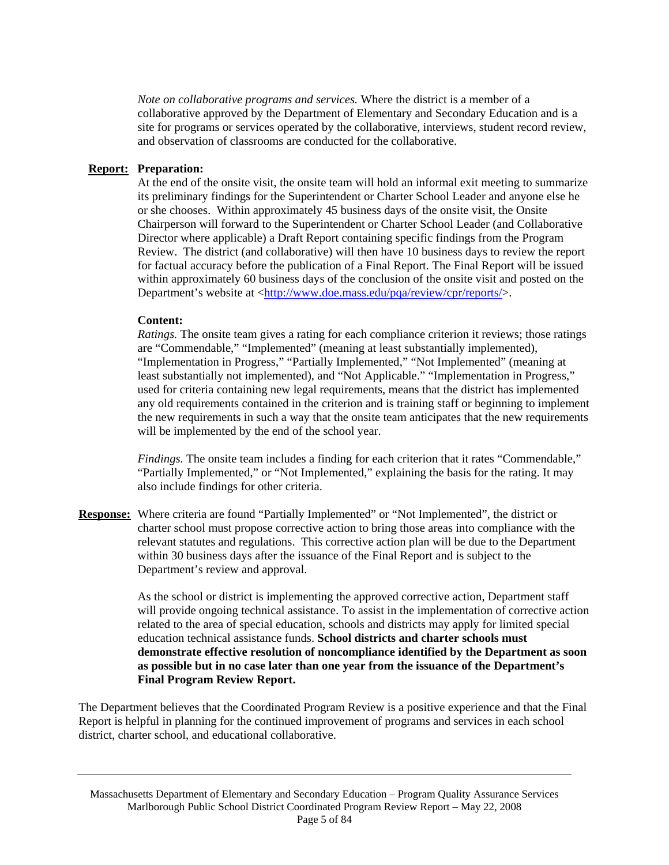*Note on collaborative programs and services.* Where the district is a member of a collaborative approved by the Department of Elementary and Secondary Education and is a site for programs or services operated by the collaborative, interviews, student record review, and observation of classrooms are conducted for the collaborative.

## **Report: Preparation:**

At the end of the onsite visit, the onsite team will hold an informal exit meeting to summarize its preliminary findings for the Superintendent or Charter School Leader and anyone else he or she chooses. Within approximately 45 business days of the onsite visit, the Onsite Chairperson will forward to the Superintendent or Charter School Leader (and Collaborative Director where applicable) a Draft Report containing specific findings from the Program Review. The district (and collaborative) will then have 10 business days to review the report for factual accuracy before the publication of a Final Report. The Final Report will be issued within approximately 60 business days of the conclusion of the onsite visit and posted on the Department's website at <[http://www.doe.mass.edu/pqa/review/cpr/reports/>](http://www.doe.mass.edu/pqa/review/cpr/reports/).

### **Content:**

*Ratings.* The onsite team gives a rating for each compliance criterion it reviews; those ratings are "Commendable," "Implemented" (meaning at least substantially implemented), "Implementation in Progress," "Partially Implemented," "Not Implemented" (meaning at least substantially not implemented), and "Not Applicable." "Implementation in Progress," used for criteria containing new legal requirements, means that the district has implemented any old requirements contained in the criterion and is training staff or beginning to implement the new requirements in such a way that the onsite team anticipates that the new requirements will be implemented by the end of the school year.

*Findings.* The onsite team includes a finding for each criterion that it rates "Commendable," "Partially Implemented," or "Not Implemented," explaining the basis for the rating. It may also include findings for other criteria.

**Response:** Where criteria are found "Partially Implemented" or "Not Implemented", the district or charter school must propose corrective action to bring those areas into compliance with the relevant statutes and regulations. This corrective action plan will be due to the Department within 30 business days after the issuance of the Final Report and is subject to the Department's review and approval.

> As the school or district is implementing the approved corrective action, Department staff will provide ongoing technical assistance. To assist in the implementation of corrective action related to the area of special education, schools and districts may apply for limited special education technical assistance funds. **School districts and charter schools must demonstrate effective resolution of noncompliance identified by the Department as soon as possible but in no case later than one year from the issuance of the Department's Final Program Review Report.**

The Department believes that the Coordinated Program Review is a positive experience and that the Final Report is helpful in planning for the continued improvement of programs and services in each school district, charter school, and educational collaborative.

Massachusetts Department of Elementary and Secondary Education – Program Quality Assurance Services Marlborough Public School District Coordinated Program Review Report – May 22, 2008 Page 5 of 84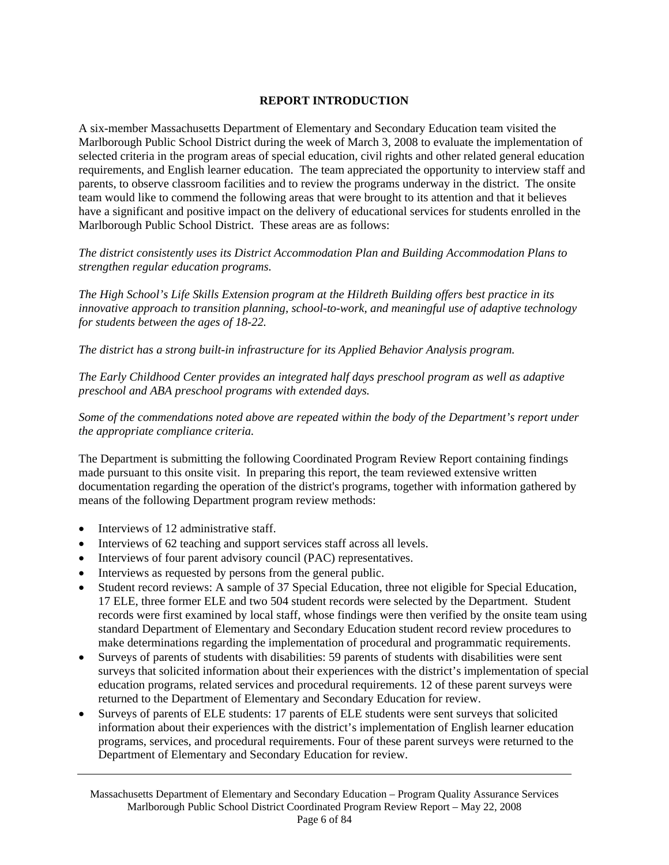# **REPORT INTRODUCTION**

<span id="page-5-0"></span>A six-member Massachusetts Department of Elementary and Secondary Education team visited the Marlborough Public School District during the week of March 3, 2008 to evaluate the implementation of selected criteria in the program areas of special education, civil rights and other related general education requirements, and English learner education. The team appreciated the opportunity to interview staff and parents, to observe classroom facilities and to review the programs underway in the district. The onsite team would like to commend the following areas that were brought to its attention and that it believes have a significant and positive impact on the delivery of educational services for students enrolled in the Marlborough Public School District. These areas are as follows:

*The district consistently uses its District Accommodation Plan and Building Accommodation Plans to strengthen regular education programs.* 

*The High School's Life Skills Extension program at the Hildreth Building offers best practice in its innovative approach to transition planning, school-to-work, and meaningful use of adaptive technology for students between the ages of 18-22.* 

*The district has a strong built-in infrastructure for its Applied Behavior Analysis program.* 

*The Early Childhood Center provides an integrated half days preschool program as well as adaptive preschool and ABA preschool programs with extended days.* 

*Some of the commendations noted above are repeated within the body of the Department's report under the appropriate compliance criteria.* 

The Department is submitting the following Coordinated Program Review Report containing findings made pursuant to this onsite visit. In preparing this report, the team reviewed extensive written documentation regarding the operation of the district's programs, together with information gathered by means of the following Department program review methods:

- Interviews of 12 administrative staff.
- Interviews of 62 teaching and support services staff across all levels.
- Interviews of four parent advisory council (PAC) representatives.
- Interviews as requested by persons from the general public.
- Student record reviews: A sample of 37 Special Education, three not eligible for Special Education, 17 ELE, three former ELE and two 504 student records were selected by the Department. Student records were first examined by local staff, whose findings were then verified by the onsite team using standard Department of Elementary and Secondary Education student record review procedures to make determinations regarding the implementation of procedural and programmatic requirements.
- Surveys of parents of students with disabilities: 59 parents of students with disabilities were sent surveys that solicited information about their experiences with the district's implementation of special education programs, related services and procedural requirements. 12 of these parent surveys were returned to the Department of Elementary and Secondary Education for review.
- Surveys of parents of ELE students: 17 parents of ELE students were sent surveys that solicited information about their experiences with the district's implementation of English learner education programs, services, and procedural requirements. Four of these parent surveys were returned to the Department of Elementary and Secondary Education for review.

Massachusetts Department of Elementary and Secondary Education – Program Quality Assurance Services Marlborough Public School District Coordinated Program Review Report – May 22, 2008 Page 6 of 84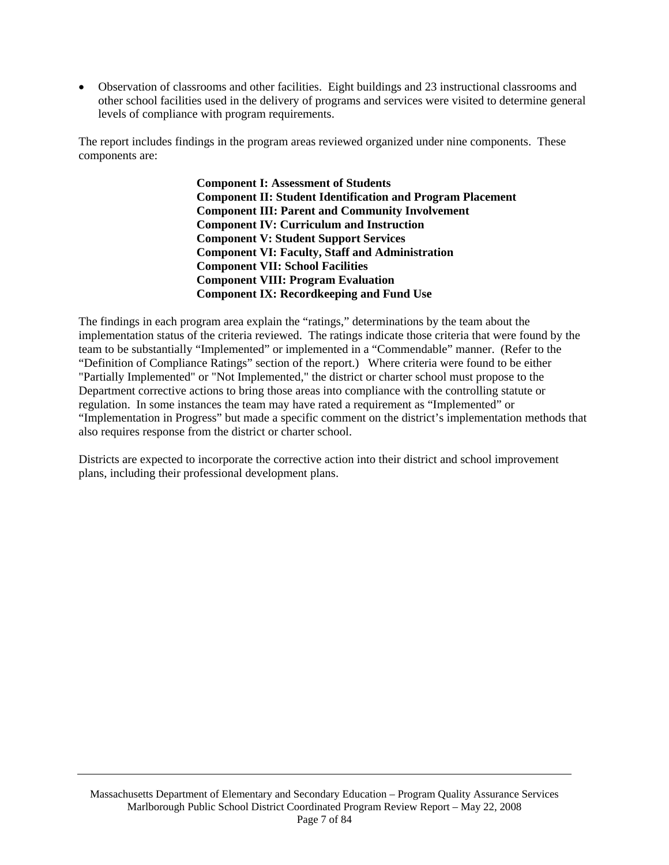• Observation of classrooms and other facilities. Eight buildings and 23 instructional classrooms and other school facilities used in the delivery of programs and services were visited to determine general levels of compliance with program requirements.

The report includes findings in the program areas reviewed organized under nine components. These components are:

> **Component I: Assessment of Students Component II: Student Identification and Program Placement Component III: Parent and Community Involvement Component IV: Curriculum and Instruction Component V: Student Support Services Component VI: Faculty, Staff and Administration Component VII: School Facilities Component VIII: Program Evaluation Component IX: Recordkeeping and Fund Use**

The findings in each program area explain the "ratings," determinations by the team about the implementation status of the criteria reviewed. The ratings indicate those criteria that were found by the team to be substantially "Implemented" or implemented in a "Commendable" manner. (Refer to the "Definition of Compliance Ratings" section of the report.) Where criteria were found to be either "Partially Implemented" or "Not Implemented," the district or charter school must propose to the Department corrective actions to bring those areas into compliance with the controlling statute or regulation. In some instances the team may have rated a requirement as "Implemented" or "Implementation in Progress" but made a specific comment on the district's implementation methods that also requires response from the district or charter school.

Districts are expected to incorporate the corrective action into their district and school improvement plans, including their professional development plans.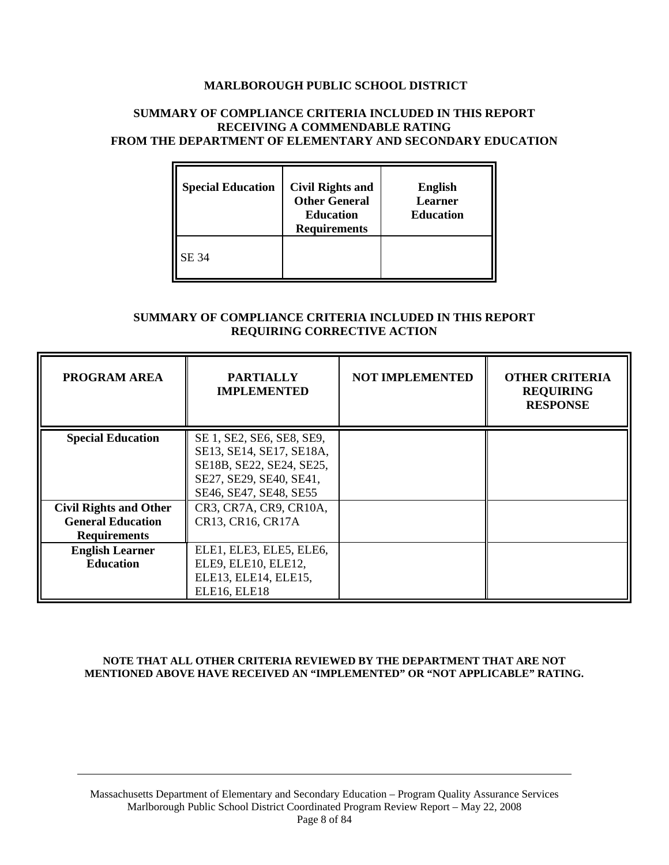## **MARLBOROUGH PUBLIC SCHOOL DISTRICT**

#### **SUMMARY OF COMPLIANCE CRITERIA INCLUDED IN THIS REPORT RECEIVING A COMMENDABLE RATING FROM THE DEPARTMENT OF ELEMENTARY AND SECONDARY EDUCATION**

| <b>Special Education</b> | <b>Civil Rights and</b><br><b>Other General</b><br><b>Education</b><br><b>Requirements</b> | <b>English</b><br><b>Learner</b><br><b>Education</b> |
|--------------------------|--------------------------------------------------------------------------------------------|------------------------------------------------------|
| SE 34                    |                                                                                            |                                                      |

### **SUMMARY OF COMPLIANCE CRITERIA INCLUDED IN THIS REPORT REQUIRING CORRECTIVE ACTION**

| <b>PROGRAM AREA</b>           | <b>PARTIALLY</b><br><b>IMPLEMENTED</b> | <b>NOT IMPLEMENTED</b> | <b>OTHER CRITERIA</b><br><b>REQUIRING</b><br><b>RESPONSE</b> |
|-------------------------------|----------------------------------------|------------------------|--------------------------------------------------------------|
| <b>Special Education</b>      | SE 1, SE2, SE6, SE8, SE9,              |                        |                                                              |
|                               | SE13, SE14, SE17, SE18A,               |                        |                                                              |
|                               | SE18B, SE22, SE24, SE25,               |                        |                                                              |
|                               | SE27, SE29, SE40, SE41,                |                        |                                                              |
|                               | SE46, SE47, SE48, SE55                 |                        |                                                              |
| <b>Civil Rights and Other</b> | CR3, CR7A, CR9, CR10A,                 |                        |                                                              |
| <b>General Education</b>      | CR13, CR16, CR17A                      |                        |                                                              |
| <b>Requirements</b>           |                                        |                        |                                                              |
| <b>English Learner</b>        | ELE1, ELE3, ELE5, ELE6,                |                        |                                                              |
| <b>Education</b>              | ELE9, ELE10, ELE12,                    |                        |                                                              |
|                               | ELE13, ELE14, ELE15,                   |                        |                                                              |
|                               | ELE16, ELE18                           |                        |                                                              |

#### **NOTE THAT ALL OTHER CRITERIA REVIEWED BY THE DEPARTMENT THAT ARE NOT MENTIONED ABOVE HAVE RECEIVED AN "IMPLEMENTED" OR "NOT APPLICABLE" RATING.**

Massachusetts Department of Elementary and Secondary Education – Program Quality Assurance Services Marlborough Public School District Coordinated Program Review Report – May 22, 2008 Page 8 of 84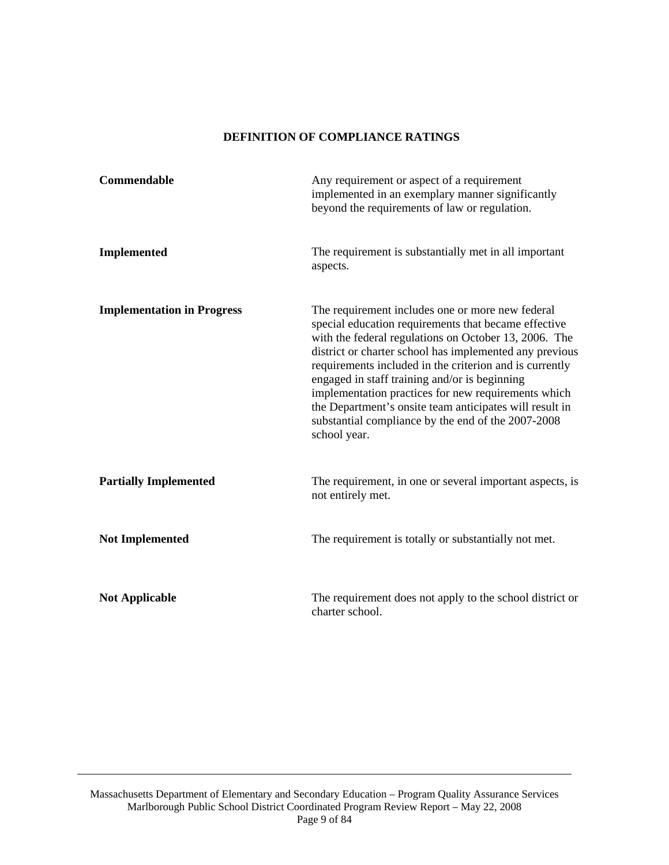### **DEFINITION OF COMPLIANCE RATINGS**

<span id="page-8-0"></span>

| Commendable                       | Any requirement or aspect of a requirement<br>implemented in an exemplary manner significantly<br>beyond the requirements of law or regulation.                                                                                                                                                                                                                                                                                                                                                                                  |
|-----------------------------------|----------------------------------------------------------------------------------------------------------------------------------------------------------------------------------------------------------------------------------------------------------------------------------------------------------------------------------------------------------------------------------------------------------------------------------------------------------------------------------------------------------------------------------|
| <b>Implemented</b>                | The requirement is substantially met in all important<br>aspects.                                                                                                                                                                                                                                                                                                                                                                                                                                                                |
| <b>Implementation in Progress</b> | The requirement includes one or more new federal<br>special education requirements that became effective<br>with the federal regulations on October 13, 2006. The<br>district or charter school has implemented any previous<br>requirements included in the criterion and is currently<br>engaged in staff training and/or is beginning<br>implementation practices for new requirements which<br>the Department's onsite team anticipates will result in<br>substantial compliance by the end of the 2007-2008<br>school year. |
| <b>Partially Implemented</b>      | The requirement, in one or several important aspects, is<br>not entirely met.                                                                                                                                                                                                                                                                                                                                                                                                                                                    |
| <b>Not Implemented</b>            | The requirement is totally or substantially not met.                                                                                                                                                                                                                                                                                                                                                                                                                                                                             |
| <b>Not Applicable</b>             | The requirement does not apply to the school district or<br>charter school.                                                                                                                                                                                                                                                                                                                                                                                                                                                      |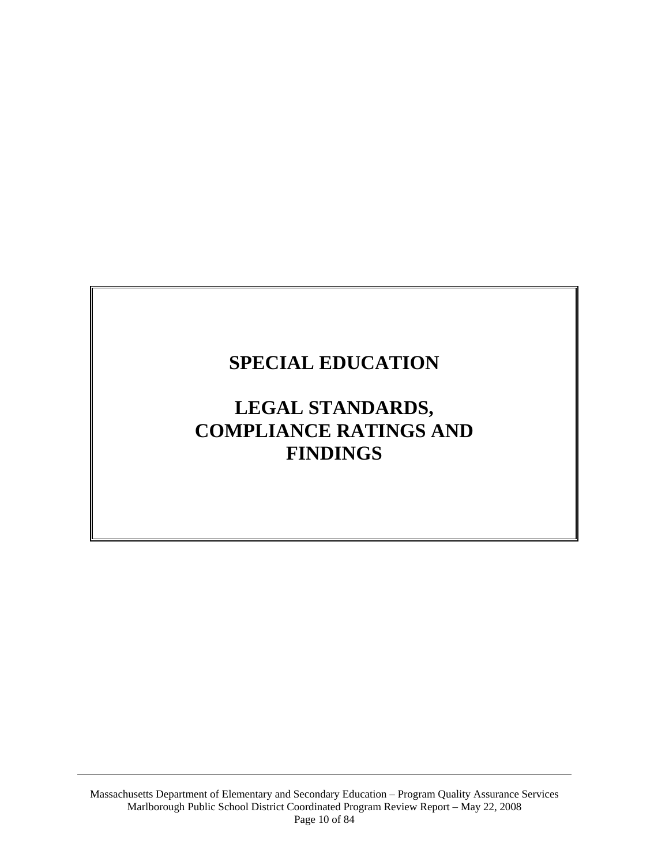# <span id="page-9-0"></span>**SPECIAL EDUCATION**

# **LEGAL STANDARDS, COMPLIANCE RATINGS AND FINDINGS**

Massachusetts Department of Elementary and Secondary Education – Program Quality Assurance Services Marlborough Public School District Coordinated Program Review Report – May 22, 2008 Page 10 of 84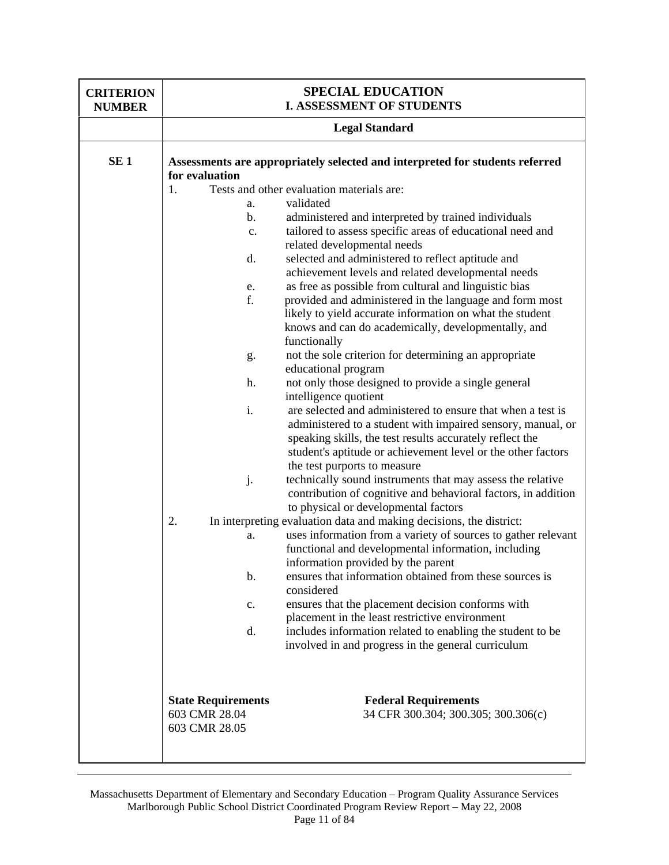| <b>CRITERION</b><br><b>NUMBER</b> | <b>SPECIAL EDUCATION</b><br><b>I. ASSESSMENT OF STUDENTS</b> |                                                                                                                                                                                         |  |
|-----------------------------------|--------------------------------------------------------------|-----------------------------------------------------------------------------------------------------------------------------------------------------------------------------------------|--|
|                                   | <b>Legal Standard</b>                                        |                                                                                                                                                                                         |  |
| SE <sub>1</sub>                   | for evaluation                                               | Assessments are appropriately selected and interpreted for students referred                                                                                                            |  |
|                                   | 1.                                                           | Tests and other evaluation materials are:                                                                                                                                               |  |
|                                   | a.                                                           | validated                                                                                                                                                                               |  |
|                                   | $\mathbf b$ .                                                | administered and interpreted by trained individuals                                                                                                                                     |  |
|                                   | c.                                                           | tailored to assess specific areas of educational need and                                                                                                                               |  |
|                                   |                                                              | related developmental needs                                                                                                                                                             |  |
|                                   | d.                                                           | selected and administered to reflect aptitude and                                                                                                                                       |  |
|                                   |                                                              | achievement levels and related developmental needs                                                                                                                                      |  |
|                                   | e.                                                           | as free as possible from cultural and linguistic bias                                                                                                                                   |  |
|                                   | f.                                                           | provided and administered in the language and form most                                                                                                                                 |  |
|                                   |                                                              | likely to yield accurate information on what the student                                                                                                                                |  |
|                                   |                                                              | knows and can do academically, developmentally, and                                                                                                                                     |  |
|                                   |                                                              | functionally                                                                                                                                                                            |  |
|                                   | g.                                                           | not the sole criterion for determining an appropriate                                                                                                                                   |  |
|                                   |                                                              | educational program                                                                                                                                                                     |  |
|                                   | h.                                                           | not only those designed to provide a single general                                                                                                                                     |  |
|                                   |                                                              | intelligence quotient                                                                                                                                                                   |  |
|                                   | i.                                                           | are selected and administered to ensure that when a test is                                                                                                                             |  |
|                                   |                                                              | administered to a student with impaired sensory, manual, or<br>speaking skills, the test results accurately reflect the<br>student's aptitude or achievement level or the other factors |  |
|                                   |                                                              | the test purports to measure                                                                                                                                                            |  |
|                                   | j.                                                           | technically sound instruments that may assess the relative<br>contribution of cognitive and behavioral factors, in addition<br>to physical or developmental factors                     |  |
|                                   | 2.                                                           | In interpreting evaluation data and making decisions, the district:                                                                                                                     |  |
|                                   | a.                                                           | uses information from a variety of sources to gather relevant<br>functional and developmental information, including<br>information provided by the parent                              |  |
|                                   | b.                                                           | ensures that information obtained from these sources is<br>considered                                                                                                                   |  |
|                                   | $\mathbf{c}$ .                                               | ensures that the placement decision conforms with                                                                                                                                       |  |
|                                   |                                                              | placement in the least restrictive environment                                                                                                                                          |  |
|                                   | d.                                                           | includes information related to enabling the student to be<br>involved in and progress in the general curriculum                                                                        |  |
|                                   | <b>State Requirements</b>                                    | <b>Federal Requirements</b>                                                                                                                                                             |  |
|                                   | 603 CMR 28.04<br>603 CMR 28.05                               | 34 CFR 300.304; 300.305; 300.306(c)                                                                                                                                                     |  |
|                                   |                                                              |                                                                                                                                                                                         |  |

Massachusetts Department of Elementary and Secondary Education – Program Quality Assurance Services Marlborough Public School District Coordinated Program Review Report – May 22, 2008 Page 11 of 84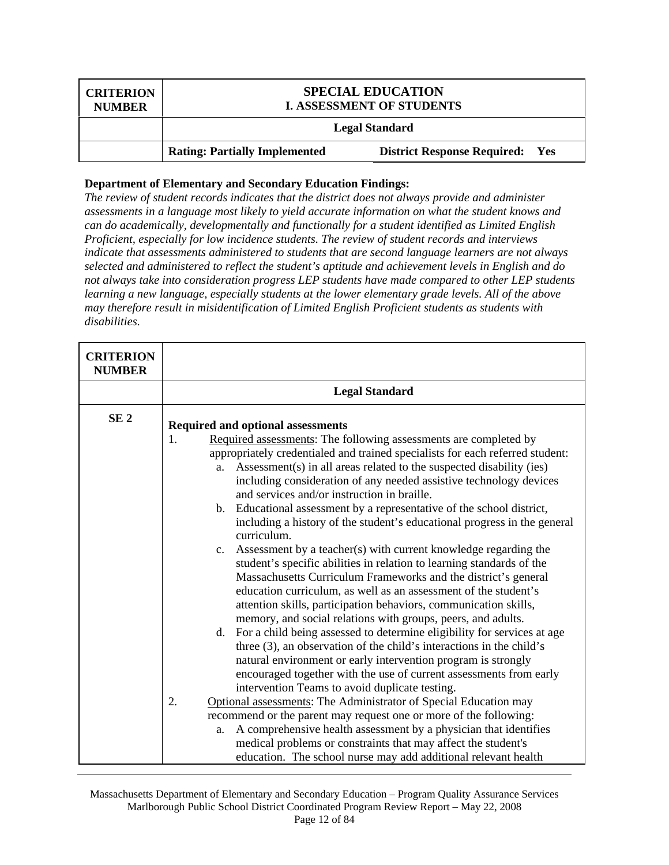| <b>CRITERION</b><br><b>NUMBER</b> | <b>SPECIAL EDUCATION</b><br><b>I. ASSESSMENT OF STUDENTS</b> |                                        |
|-----------------------------------|--------------------------------------------------------------|----------------------------------------|
|                                   |                                                              | <b>Legal Standard</b>                  |
|                                   | <b>Rating: Partially Implemented</b>                         | <b>District Response Required: Yes</b> |

*The review of student records indicates that the district does not always provide and administer assessments in a language most likely to yield accurate information on what the student knows and can do academically, developmentally and functionally for a student identified as Limited English Proficient, especially for low incidence students. The review of student records and interviews indicate that assessments administered to students that are second language learners are not always selected and administered to reflect the student's aptitude and achievement levels in English and do not always take into consideration progress LEP students have made compared to other LEP students learning a new language, especially students at the lower elementary grade levels. All of the above may therefore result in misidentification of Limited English Proficient students as students with disabilities.* 

| <b>Legal Standard</b><br>SE <sub>2</sub><br>Required and optional assessments<br>1.<br>Required assessments: The following assessments are completed by                                                                                                                                                                                                                                                                                                                                                                                                                                                                                                                                                                                                                                                                                                                                                                                                                                                                                                                                                                                                                                                                                                                                                                                                                                                                                                                                                               |
|-----------------------------------------------------------------------------------------------------------------------------------------------------------------------------------------------------------------------------------------------------------------------------------------------------------------------------------------------------------------------------------------------------------------------------------------------------------------------------------------------------------------------------------------------------------------------------------------------------------------------------------------------------------------------------------------------------------------------------------------------------------------------------------------------------------------------------------------------------------------------------------------------------------------------------------------------------------------------------------------------------------------------------------------------------------------------------------------------------------------------------------------------------------------------------------------------------------------------------------------------------------------------------------------------------------------------------------------------------------------------------------------------------------------------------------------------------------------------------------------------------------------------|
|                                                                                                                                                                                                                                                                                                                                                                                                                                                                                                                                                                                                                                                                                                                                                                                                                                                                                                                                                                                                                                                                                                                                                                                                                                                                                                                                                                                                                                                                                                                       |
| appropriately credentialed and trained specialists for each referred student:<br>Assessment(s) in all areas related to the suspected disability (ies)<br>a.<br>including consideration of any needed assistive technology devices<br>and services and/or instruction in braille.<br>b. Educational assessment by a representative of the school district,<br>including a history of the student's educational progress in the general<br>curriculum.<br>c. Assessment by a teacher(s) with current knowledge regarding the<br>student's specific abilities in relation to learning standards of the<br>Massachusetts Curriculum Frameworks and the district's general<br>education curriculum, as well as an assessment of the student's<br>attention skills, participation behaviors, communication skills,<br>memory, and social relations with groups, peers, and adults.<br>d. For a child being assessed to determine eligibility for services at age<br>three (3), an observation of the child's interactions in the child's<br>natural environment or early intervention program is strongly<br>encouraged together with the use of current assessments from early<br>intervention Teams to avoid duplicate testing.<br>Optional assessments: The Administrator of Special Education may<br>2.<br>recommend or the parent may request one or more of the following:<br>A comprehensive health assessment by a physician that identifies<br>a.<br>medical problems or constraints that may affect the student's |

Massachusetts Department of Elementary and Secondary Education – Program Quality Assurance Services Marlborough Public School District Coordinated Program Review Report – May 22, 2008 Page 12 of 84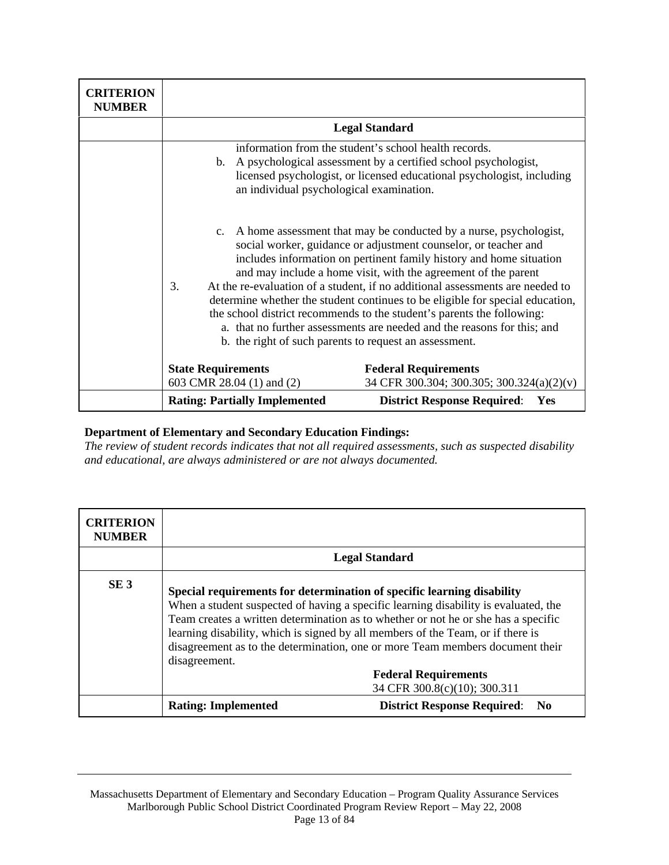| <b>CRITERION</b><br><b>NUMBER</b> |                                                        |                                                                                                                                                                                                                                                                                                                                                                                                                                                                                                                                                                                                                                                                   |
|-----------------------------------|--------------------------------------------------------|-------------------------------------------------------------------------------------------------------------------------------------------------------------------------------------------------------------------------------------------------------------------------------------------------------------------------------------------------------------------------------------------------------------------------------------------------------------------------------------------------------------------------------------------------------------------------------------------------------------------------------------------------------------------|
|                                   |                                                        | <b>Legal Standard</b>                                                                                                                                                                                                                                                                                                                                                                                                                                                                                                                                                                                                                                             |
|                                   | an individual psychological examination.               | information from the student's school health records.<br>b. A psychological assessment by a certified school psychologist,<br>licensed psychologist, or licensed educational psychologist, including                                                                                                                                                                                                                                                                                                                                                                                                                                                              |
|                                   | 3.                                                     | c. A home assessment that may be conducted by a nurse, psychologist,<br>social worker, guidance or adjustment counselor, or teacher and<br>includes information on pertinent family history and home situation<br>and may include a home visit, with the agreement of the parent<br>At the re-evaluation of a student, if no additional assessments are needed to<br>determine whether the student continues to be eligible for special education,<br>the school district recommends to the student's parents the following:<br>a. that no further assessments are needed and the reasons for this; and<br>b. the right of such parents to request an assessment. |
|                                   | <b>State Requirements</b><br>603 CMR 28.04 (1) and (2) | <b>Federal Requirements</b><br>34 CFR 300.304; 300.305; 300.324(a)(2)(v)                                                                                                                                                                                                                                                                                                                                                                                                                                                                                                                                                                                          |
|                                   | <b>Rating: Partially Implemented</b>                   | <b>District Response Required:</b><br>Yes                                                                                                                                                                                                                                                                                                                                                                                                                                                                                                                                                                                                                         |

*The review of student records indicates that not all required assessments, such as suspected disability and educational, are always administered or are not always documented.* 

| <b>CRITERION</b><br><b>NUMBER</b> |                                                                                                                                                                            |                                                                                                                                                                                                                                                                                           |
|-----------------------------------|----------------------------------------------------------------------------------------------------------------------------------------------------------------------------|-------------------------------------------------------------------------------------------------------------------------------------------------------------------------------------------------------------------------------------------------------------------------------------------|
|                                   |                                                                                                                                                                            | <b>Legal Standard</b>                                                                                                                                                                                                                                                                     |
| SE <sub>3</sub>                   | Special requirements for determination of specific learning disability<br>learning disability, which is signed by all members of the Team, or if there is<br>disagreement. | When a student suspected of having a specific learning disability is evaluated, the<br>Team creates a written determination as to whether or not he or she has a specific<br>disagreement as to the determination, one or more Team members document their<br><b>Federal Requirements</b> |
|                                   |                                                                                                                                                                            | 34 CFR 300.8(c)(10); 300.311                                                                                                                                                                                                                                                              |
|                                   | <b>Rating: Implemented</b>                                                                                                                                                 | <b>District Response Required:</b><br>- No                                                                                                                                                                                                                                                |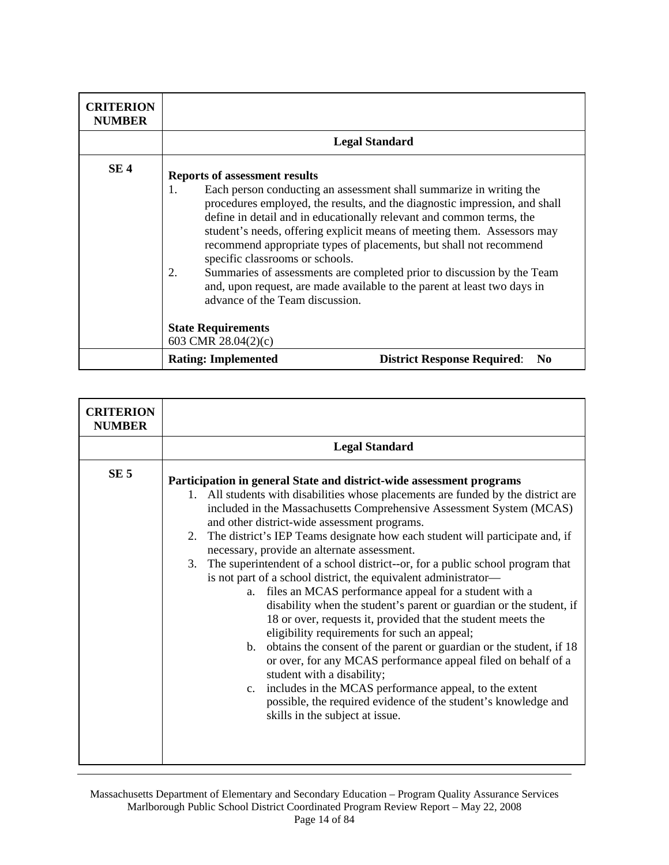| <b>CRITERION</b><br><b>NUMBER</b> |                                                                                                                                                                                                                                                                                                                                                                                                                                                                                                                                                                                                                                                            |                                                      |
|-----------------------------------|------------------------------------------------------------------------------------------------------------------------------------------------------------------------------------------------------------------------------------------------------------------------------------------------------------------------------------------------------------------------------------------------------------------------------------------------------------------------------------------------------------------------------------------------------------------------------------------------------------------------------------------------------------|------------------------------------------------------|
|                                   | <b>Legal Standard</b>                                                                                                                                                                                                                                                                                                                                                                                                                                                                                                                                                                                                                                      |                                                      |
| SE <sub>4</sub>                   | <b>Reports of assessment results</b><br>Each person conducting an assessment shall summarize in writing the<br>1.<br>procedures employed, the results, and the diagnostic impression, and shall<br>define in detail and in educationally relevant and common terms, the<br>student's needs, offering explicit means of meeting them. Assessors may<br>recommend appropriate types of placements, but shall not recommend<br>specific classrooms or schools.<br>Summaries of assessments are completed prior to discussion by the Team<br>2.<br>and, upon request, are made available to the parent at least two days in<br>advance of the Team discussion. |                                                      |
|                                   | <b>State Requirements</b><br>603 CMR 28.04(2)(c)                                                                                                                                                                                                                                                                                                                                                                                                                                                                                                                                                                                                           |                                                      |
|                                   | <b>Rating: Implemented</b>                                                                                                                                                                                                                                                                                                                                                                                                                                                                                                                                                                                                                                 | <b>District Response Required:</b><br>N <sub>0</sub> |

| <b>CRITERION</b><br><b>NUMBER</b> |                                                                                                                                                                                                                                                                                                                                                                                                                                                                                                                                                                                                                                                                                                                                                                                                                                                                                                                                                                                                                                                                                                                                                                                            |
|-----------------------------------|--------------------------------------------------------------------------------------------------------------------------------------------------------------------------------------------------------------------------------------------------------------------------------------------------------------------------------------------------------------------------------------------------------------------------------------------------------------------------------------------------------------------------------------------------------------------------------------------------------------------------------------------------------------------------------------------------------------------------------------------------------------------------------------------------------------------------------------------------------------------------------------------------------------------------------------------------------------------------------------------------------------------------------------------------------------------------------------------------------------------------------------------------------------------------------------------|
|                                   | <b>Legal Standard</b>                                                                                                                                                                                                                                                                                                                                                                                                                                                                                                                                                                                                                                                                                                                                                                                                                                                                                                                                                                                                                                                                                                                                                                      |
| SE <sub>5</sub>                   | Participation in general State and district-wide assessment programs<br>1. All students with disabilities whose placements are funded by the district are<br>included in the Massachusetts Comprehensive Assessment System (MCAS)<br>and other district-wide assessment programs.<br>The district's IEP Teams designate how each student will participate and, if<br>2.<br>necessary, provide an alternate assessment.<br>3. The superintendent of a school district--or, for a public school program that<br>is not part of a school district, the equivalent administrator-<br>files an MCAS performance appeal for a student with a<br>a.<br>disability when the student's parent or guardian or the student, if<br>18 or over, requests it, provided that the student meets the<br>eligibility requirements for such an appeal;<br>b. obtains the consent of the parent or guardian or the student, if 18<br>or over, for any MCAS performance appeal filed on behalf of a<br>student with a disability;<br>includes in the MCAS performance appeal, to the extent<br>$c_{\cdot}$<br>possible, the required evidence of the student's knowledge and<br>skills in the subject at issue. |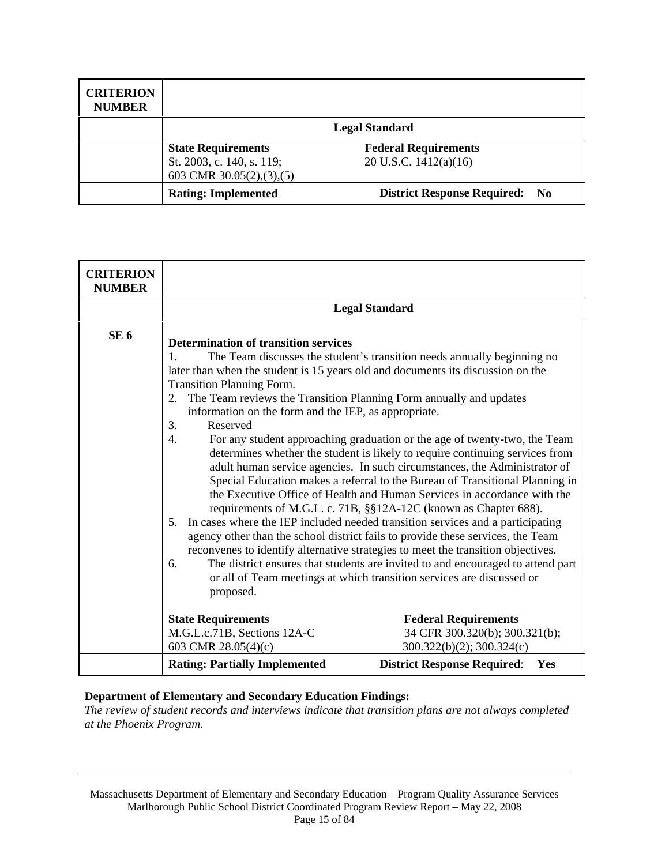| <b>CRITERION</b><br><b>NUMBER</b> |                              |                                       |
|-----------------------------------|------------------------------|---------------------------------------|
|                                   |                              | <b>Legal Standard</b>                 |
|                                   | <b>State Requirements</b>    | <b>Federal Requirements</b>           |
|                                   | St. 2003, c. 140, s. 119;    | 20 U.S.C. $1412(a)(16)$               |
|                                   | 603 CMR $30.05(2), (3), (5)$ |                                       |
|                                   | <b>Rating: Implemented</b>   | <b>District Response Required: No</b> |

| <b>CRITERION</b><br><b>NUMBER</b> |                                                                                                                                                                                                                              |                                                                                                                                                                                                                                                                                                                                                                                                                                                                                                                                                                                                                                                                                                                                                                                                                                                                                                                                                                                                                                                                                                                                 |
|-----------------------------------|------------------------------------------------------------------------------------------------------------------------------------------------------------------------------------------------------------------------------|---------------------------------------------------------------------------------------------------------------------------------------------------------------------------------------------------------------------------------------------------------------------------------------------------------------------------------------------------------------------------------------------------------------------------------------------------------------------------------------------------------------------------------------------------------------------------------------------------------------------------------------------------------------------------------------------------------------------------------------------------------------------------------------------------------------------------------------------------------------------------------------------------------------------------------------------------------------------------------------------------------------------------------------------------------------------------------------------------------------------------------|
|                                   |                                                                                                                                                                                                                              | <b>Legal Standard</b>                                                                                                                                                                                                                                                                                                                                                                                                                                                                                                                                                                                                                                                                                                                                                                                                                                                                                                                                                                                                                                                                                                           |
| SE <sub>6</sub>                   | <b>Determination of transition services</b><br>$\mathbf{1}$<br><b>Transition Planning Form.</b><br>2.<br>information on the form and the IEP, as appropriate.<br>Reserved<br>3.<br>$\overline{4}$ .<br>5.<br>6.<br>proposed. | The Team discusses the student's transition needs annually beginning no<br>later than when the student is 15 years old and documents its discussion on the<br>The Team reviews the Transition Planning Form annually and updates<br>For any student approaching graduation or the age of twenty-two, the Team<br>determines whether the student is likely to require continuing services from<br>adult human service agencies. In such circumstances, the Administrator of<br>Special Education makes a referral to the Bureau of Transitional Planning in<br>the Executive Office of Health and Human Services in accordance with the<br>requirements of M.G.L. c. 71B, §§12A-12C (known as Chapter 688).<br>In cases where the IEP included needed transition services and a participating<br>agency other than the school district fails to provide these services, the Team<br>reconvenes to identify alternative strategies to meet the transition objectives.<br>The district ensures that students are invited to and encouraged to attend part<br>or all of Team meetings at which transition services are discussed or |
|                                   | <b>State Requirements</b>                                                                                                                                                                                                    | <b>Federal Requirements</b>                                                                                                                                                                                                                                                                                                                                                                                                                                                                                                                                                                                                                                                                                                                                                                                                                                                                                                                                                                                                                                                                                                     |
|                                   | M.G.L.c.71B, Sections 12A-C<br>603 CMR 28.05(4)(c)                                                                                                                                                                           | 34 CFR 300.320(b); 300.321(b);<br>$300.322(b)(2)$ ; $300.324(c)$                                                                                                                                                                                                                                                                                                                                                                                                                                                                                                                                                                                                                                                                                                                                                                                                                                                                                                                                                                                                                                                                |
|                                   | <b>Rating: Partially Implemented</b>                                                                                                                                                                                         | <b>District Response Required:</b><br>Yes                                                                                                                                                                                                                                                                                                                                                                                                                                                                                                                                                                                                                                                                                                                                                                                                                                                                                                                                                                                                                                                                                       |

*The review of student records and interviews indicate that transition plans are not always completed at the Phoenix Program.* 

Massachusetts Department of Elementary and Secondary Education – Program Quality Assurance Services Marlborough Public School District Coordinated Program Review Report – May 22, 2008 Page 15 of 84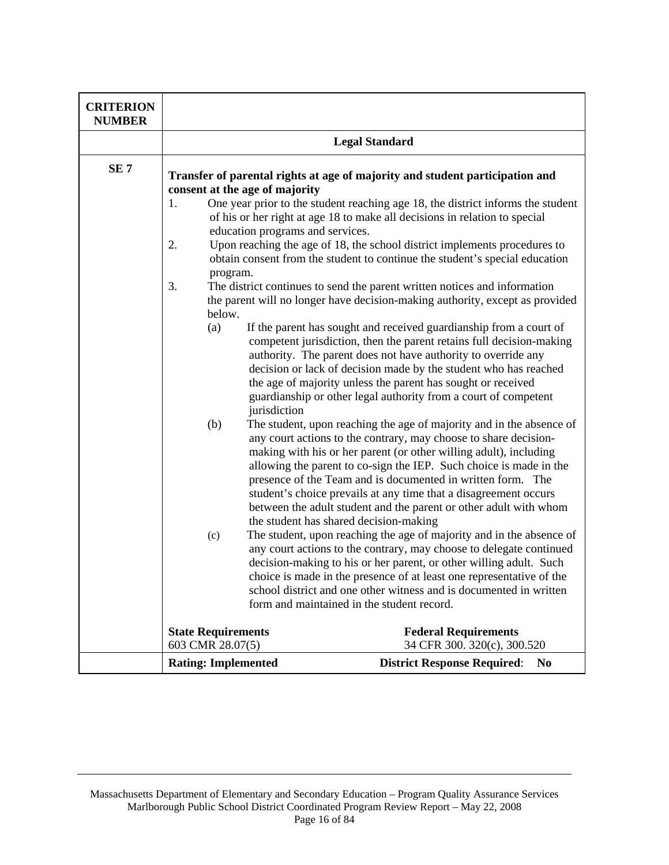| <b>CRITERION</b><br><b>NUMBER</b> |                                                                                                                                                                                                                                                                                                            |                                                                                                                                            |  |
|-----------------------------------|------------------------------------------------------------------------------------------------------------------------------------------------------------------------------------------------------------------------------------------------------------------------------------------------------------|--------------------------------------------------------------------------------------------------------------------------------------------|--|
|                                   | <b>Legal Standard</b>                                                                                                                                                                                                                                                                                      |                                                                                                                                            |  |
| SE <sub>7</sub>                   | Transfer of parental rights at age of majority and student participation and                                                                                                                                                                                                                               |                                                                                                                                            |  |
|                                   | consent at the age of majority<br>One year prior to the student reaching age 18, the district informs the student                                                                                                                                                                                          |                                                                                                                                            |  |
|                                   | 1.<br>education programs and services.                                                                                                                                                                                                                                                                     | of his or her right at age 18 to make all decisions in relation to special                                                                 |  |
|                                   | 2.<br>Upon reaching the age of 18, the school district implements procedures to                                                                                                                                                                                                                            |                                                                                                                                            |  |
|                                   |                                                                                                                                                                                                                                                                                                            | obtain consent from the student to continue the student's special education                                                                |  |
|                                   | program.                                                                                                                                                                                                                                                                                                   |                                                                                                                                            |  |
|                                   | 3.                                                                                                                                                                                                                                                                                                         | The district continues to send the parent written notices and information                                                                  |  |
|                                   | below.                                                                                                                                                                                                                                                                                                     | the parent will no longer have decision-making authority, except as provided                                                               |  |
|                                   | (a)                                                                                                                                                                                                                                                                                                        | If the parent has sought and received guardianship from a court of                                                                         |  |
|                                   |                                                                                                                                                                                                                                                                                                            | competent jurisdiction, then the parent retains full decision-making                                                                       |  |
|                                   |                                                                                                                                                                                                                                                                                                            | authority. The parent does not have authority to override any                                                                              |  |
|                                   |                                                                                                                                                                                                                                                                                                            | decision or lack of decision made by the student who has reached                                                                           |  |
|                                   |                                                                                                                                                                                                                                                                                                            | the age of majority unless the parent has sought or received                                                                               |  |
|                                   |                                                                                                                                                                                                                                                                                                            | guardianship or other legal authority from a court of competent                                                                            |  |
|                                   | jurisdiction<br>The student, upon reaching the age of majority and in the absence of<br>(b)<br>any court actions to the contrary, may choose to share decision-<br>making with his or her parent (or other willing adult), including<br>allowing the parent to co-sign the IEP. Such choice is made in the |                                                                                                                                            |  |
|                                   |                                                                                                                                                                                                                                                                                                            |                                                                                                                                            |  |
|                                   |                                                                                                                                                                                                                                                                                                            |                                                                                                                                            |  |
|                                   |                                                                                                                                                                                                                                                                                                            |                                                                                                                                            |  |
|                                   |                                                                                                                                                                                                                                                                                                            | presence of the Team and is documented in written form. The                                                                                |  |
|                                   |                                                                                                                                                                                                                                                                                                            | student's choice prevails at any time that a disagreement occurs                                                                           |  |
|                                   |                                                                                                                                                                                                                                                                                                            | between the adult student and the parent or other adult with whom                                                                          |  |
|                                   |                                                                                                                                                                                                                                                                                                            | the student has shared decision-making                                                                                                     |  |
|                                   | (c)                                                                                                                                                                                                                                                                                                        | The student, upon reaching the age of majority and in the absence of                                                                       |  |
|                                   |                                                                                                                                                                                                                                                                                                            | any court actions to the contrary, may choose to delegate continued                                                                        |  |
|                                   |                                                                                                                                                                                                                                                                                                            | decision-making to his or her parent, or other willing adult. Such<br>choice is made in the presence of at least one representative of the |  |
|                                   | school district and one other witness and is documented in written<br>form and maintained in the student record.                                                                                                                                                                                           |                                                                                                                                            |  |
|                                   |                                                                                                                                                                                                                                                                                                            |                                                                                                                                            |  |
|                                   |                                                                                                                                                                                                                                                                                                            |                                                                                                                                            |  |
|                                   | <b>State Requirements</b>                                                                                                                                                                                                                                                                                  | <b>Federal Requirements</b>                                                                                                                |  |
|                                   | 603 CMR 28.07(5)<br>34 CFR 300. 320(c), 300.520                                                                                                                                                                                                                                                            |                                                                                                                                            |  |
|                                   | <b>Rating: Implemented</b>                                                                                                                                                                                                                                                                                 | <b>District Response Required:</b><br>N <sub>0</sub>                                                                                       |  |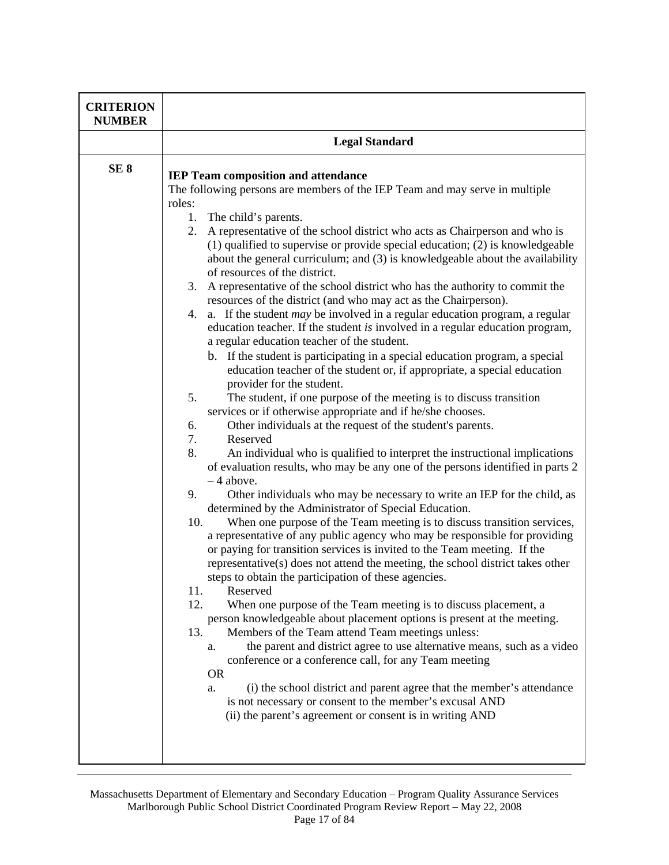| <b>CRITERION</b><br><b>NUMBER</b> |                                                                                                                                                                                                                                                                                                                                                                                                                                                                       |  |
|-----------------------------------|-----------------------------------------------------------------------------------------------------------------------------------------------------------------------------------------------------------------------------------------------------------------------------------------------------------------------------------------------------------------------------------------------------------------------------------------------------------------------|--|
|                                   | <b>Legal Standard</b>                                                                                                                                                                                                                                                                                                                                                                                                                                                 |  |
| SE <sub>8</sub>                   | <b>IEP Team composition and attendance</b><br>The following persons are members of the IEP Team and may serve in multiple<br>roles:<br>1.<br>The child's parents.                                                                                                                                                                                                                                                                                                     |  |
|                                   | A representative of the school district who acts as Chairperson and who is<br>2.<br>(1) qualified to supervise or provide special education; (2) is knowledgeable<br>about the general curriculum; and (3) is knowledgeable about the availability<br>of resources of the district.                                                                                                                                                                                   |  |
|                                   | 3. A representative of the school district who has the authority to commit the<br>resources of the district (and who may act as the Chairperson).<br>4. a. If the student <i>may</i> be involved in a regular education program, a regular<br>education teacher. If the student is involved in a regular education program,<br>a regular education teacher of the student.                                                                                            |  |
|                                   | b. If the student is participating in a special education program, a special<br>education teacher of the student or, if appropriate, a special education<br>provider for the student.                                                                                                                                                                                                                                                                                 |  |
|                                   | 5.<br>The student, if one purpose of the meeting is to discuss transition<br>services or if otherwise appropriate and if he/she chooses.<br>6.<br>Other individuals at the request of the student's parents.<br>7.<br>Reserved                                                                                                                                                                                                                                        |  |
|                                   | 8.<br>An individual who is qualified to interpret the instructional implications<br>of evaluation results, who may be any one of the persons identified in parts 2<br>$-4$ above.                                                                                                                                                                                                                                                                                     |  |
|                                   | 9.<br>Other individuals who may be necessary to write an IEP for the child, as<br>determined by the Administrator of Special Education.<br>10.<br>When one purpose of the Team meeting is to discuss transition services,<br>a representative of any public agency who may be responsible for providing<br>or paying for transition services is invited to the Team meeting. If the<br>representative(s) does not attend the meeting, the school district takes other |  |
|                                   | steps to obtain the participation of these agencies.<br>Reserved<br>11.<br>12.<br>When one purpose of the Team meeting is to discuss placement, a<br>person knowledgeable about placement options is present at the meeting.<br>Members of the Team attend Team meetings unless:<br>13.<br>the parent and district agree to use alternative means, such as a video<br>a.                                                                                              |  |
|                                   | conference or a conference call, for any Team meeting<br><b>OR</b><br>(i) the school district and parent agree that the member's attendance<br>a.<br>is not necessary or consent to the member's excusal AND<br>(ii) the parent's agreement or consent is in writing AND                                                                                                                                                                                              |  |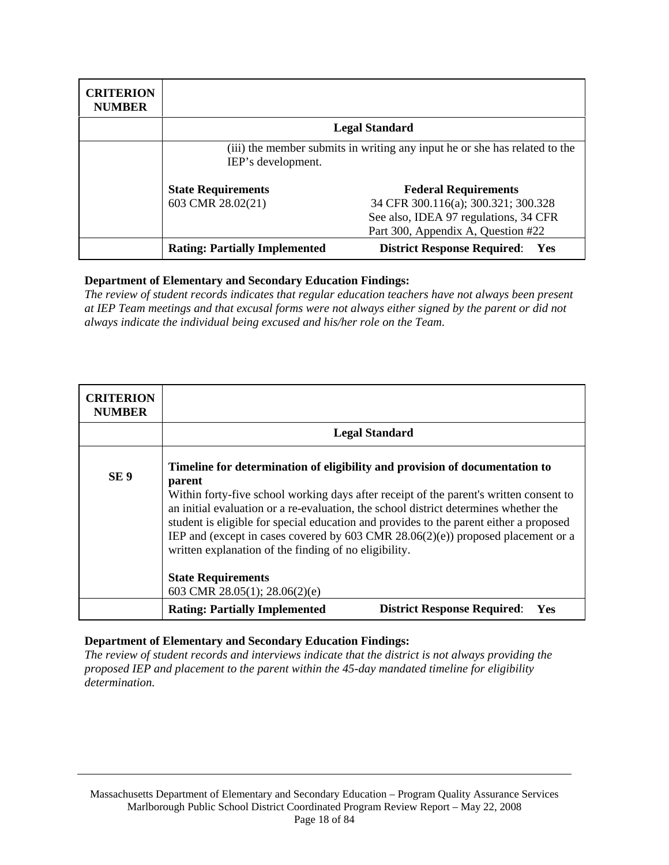| <b>CRITERION</b><br><b>NUMBER</b> |                                                                                                  |                                             |
|-----------------------------------|--------------------------------------------------------------------------------------------------|---------------------------------------------|
|                                   |                                                                                                  | <b>Legal Standard</b>                       |
|                                   | (iii) the member submits in writing any input he or she has related to the<br>IEP's development. |                                             |
|                                   | <b>State Requirements</b>                                                                        | <b>Federal Requirements</b>                 |
|                                   | 603 CMR 28.02(21)                                                                                | 34 CFR 300.116(a); 300.321; 300.328         |
|                                   |                                                                                                  | See also, IDEA 97 regulations, 34 CFR       |
|                                   |                                                                                                  | Part 300, Appendix A, Question #22          |
|                                   | <b>Rating: Partially Implemented</b>                                                             | <b>District Response Required:</b><br>- Yes |

*The review of student records indicates that regular education teachers have not always been present at IEP Team meetings and that excusal forms were not always either signed by the parent or did not always indicate the individual being excused and his/her role on the Team.* 

| <b>CRITERION</b><br><b>NUMBER</b> |                                                                                                                                                                                                                                                                                                                                                                                                                                                                                                                     |  |
|-----------------------------------|---------------------------------------------------------------------------------------------------------------------------------------------------------------------------------------------------------------------------------------------------------------------------------------------------------------------------------------------------------------------------------------------------------------------------------------------------------------------------------------------------------------------|--|
|                                   | <b>Legal Standard</b>                                                                                                                                                                                                                                                                                                                                                                                                                                                                                               |  |
| SE <sub>9</sub>                   | Timeline for determination of eligibility and provision of documentation to<br>parent<br>Within forty-five school working days after receipt of the parent's written consent to<br>an initial evaluation or a re-evaluation, the school district determines whether the<br>student is eligible for special education and provides to the parent either a proposed<br>IEP and (except in cases covered by $603$ CMR $28.06(2)(e)$ ) proposed placement or a<br>written explanation of the finding of no eligibility. |  |
|                                   | <b>State Requirements</b><br>603 CMR 28.05(1); 28.06(2)(e)                                                                                                                                                                                                                                                                                                                                                                                                                                                          |  |
|                                   | <b>Rating: Partially Implemented</b><br><b>District Response Required:</b><br>Yes                                                                                                                                                                                                                                                                                                                                                                                                                                   |  |

# **Department of Elementary and Secondary Education Findings:**

*The review of student records and interviews indicate that the district is not always providing the proposed IEP and placement to the parent within the 45-day mandated timeline for eligibility determination.*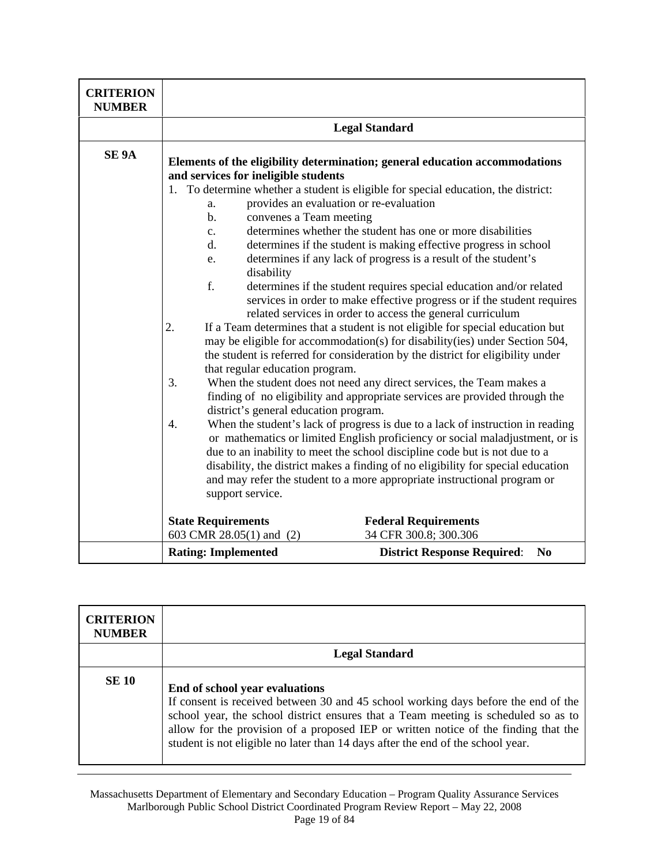| <b>CRITERION</b><br><b>NUMBER</b> |                                                                                                                                                                                                                                                                                            |                                                                                                                                                                                                                                                                                                                                                                                                                                                                                                                                                                                                                                                                                                                                                                                                                                                                                                                                                                                                                                                                                                                                                                                                                                                                                                                                                                                                                   |
|-----------------------------------|--------------------------------------------------------------------------------------------------------------------------------------------------------------------------------------------------------------------------------------------------------------------------------------------|-------------------------------------------------------------------------------------------------------------------------------------------------------------------------------------------------------------------------------------------------------------------------------------------------------------------------------------------------------------------------------------------------------------------------------------------------------------------------------------------------------------------------------------------------------------------------------------------------------------------------------------------------------------------------------------------------------------------------------------------------------------------------------------------------------------------------------------------------------------------------------------------------------------------------------------------------------------------------------------------------------------------------------------------------------------------------------------------------------------------------------------------------------------------------------------------------------------------------------------------------------------------------------------------------------------------------------------------------------------------------------------------------------------------|
|                                   |                                                                                                                                                                                                                                                                                            | <b>Legal Standard</b>                                                                                                                                                                                                                                                                                                                                                                                                                                                                                                                                                                                                                                                                                                                                                                                                                                                                                                                                                                                                                                                                                                                                                                                                                                                                                                                                                                                             |
| SE <sub>9A</sub>                  | and services for ineligible students<br>provides an evaluation or re-evaluation<br>a.<br>convenes a Team meeting<br>$\mathbf{b}$ .<br>c.<br>d.<br>e.<br>disability<br>f.<br>2.<br>that regular education program.<br>3.<br>district's general education program.<br>4.<br>support service. | Elements of the eligibility determination; general education accommodations<br>1. To determine whether a student is eligible for special education, the district:<br>determines whether the student has one or more disabilities<br>determines if the student is making effective progress in school<br>determines if any lack of progress is a result of the student's<br>determines if the student requires special education and/or related<br>services in order to make effective progress or if the student requires<br>related services in order to access the general curriculum<br>If a Team determines that a student is not eligible for special education but<br>may be eligible for accommodation(s) for disability(ies) under Section 504,<br>the student is referred for consideration by the district for eligibility under<br>When the student does not need any direct services, the Team makes a<br>finding of no eligibility and appropriate services are provided through the<br>When the student's lack of progress is due to a lack of instruction in reading<br>or mathematics or limited English proficiency or social maladjustment, or is<br>due to an inability to meet the school discipline code but is not due to a<br>disability, the district makes a finding of no eligibility for special education<br>and may refer the student to a more appropriate instructional program or |
|                                   | <b>State Requirements</b><br>603 CMR 28.05(1) and (2)                                                                                                                                                                                                                                      | <b>Federal Requirements</b><br>34 CFR 300.8; 300.306                                                                                                                                                                                                                                                                                                                                                                                                                                                                                                                                                                                                                                                                                                                                                                                                                                                                                                                                                                                                                                                                                                                                                                                                                                                                                                                                                              |
|                                   | <b>Rating: Implemented</b>                                                                                                                                                                                                                                                                 | <b>District Response Required:</b><br>N <sub>0</sub>                                                                                                                                                                                                                                                                                                                                                                                                                                                                                                                                                                                                                                                                                                                                                                                                                                                                                                                                                                                                                                                                                                                                                                                                                                                                                                                                                              |

| <b>CRITERION</b><br><b>NUMBER</b> |                                                                                                                                                                                                                                                                                                                                                                                      |
|-----------------------------------|--------------------------------------------------------------------------------------------------------------------------------------------------------------------------------------------------------------------------------------------------------------------------------------------------------------------------------------------------------------------------------------|
|                                   | <b>Legal Standard</b>                                                                                                                                                                                                                                                                                                                                                                |
| <b>SE 10</b>                      | End of school year evaluations<br>If consent is received between 30 and 45 school working days before the end of the<br>school year, the school district ensures that a Team meeting is scheduled so as to<br>allow for the provision of a proposed IEP or written notice of the finding that the<br>student is not eligible no later than 14 days after the end of the school year. |

Massachusetts Department of Elementary and Secondary Education – Program Quality Assurance Services Marlborough Public School District Coordinated Program Review Report – May 22, 2008 Page 19 of 84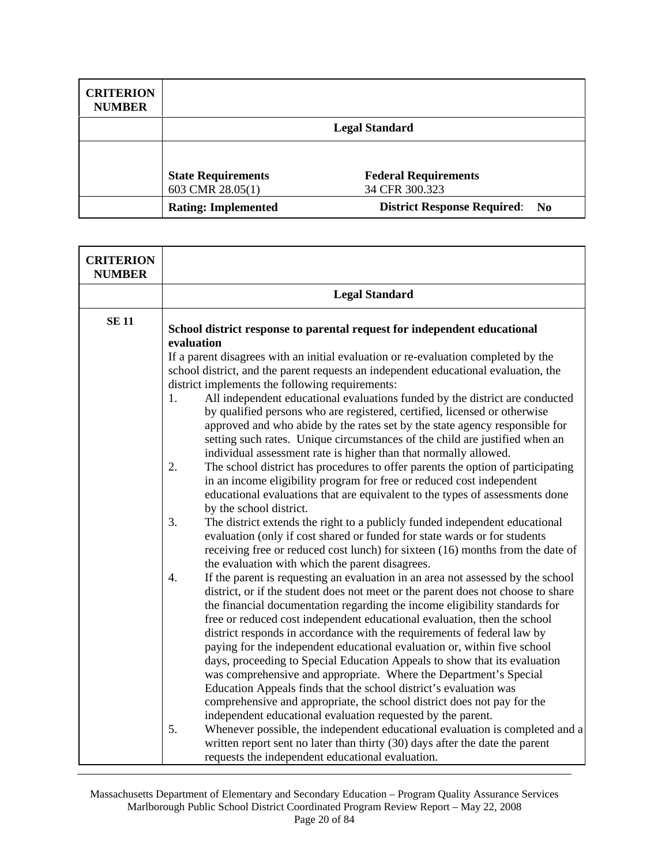| <b>CRITERION</b><br><b>NUMBER</b> |                            |                                       |
|-----------------------------------|----------------------------|---------------------------------------|
|                                   |                            | <b>Legal Standard</b>                 |
|                                   |                            |                                       |
|                                   | <b>State Requirements</b>  | <b>Federal Requirements</b>           |
|                                   | 603 CMR 28.05(1)           | 34 CFR 300.323                        |
|                                   | <b>Rating: Implemented</b> | <b>District Response Required: No</b> |

| <b>CRITERION</b><br><b>NUMBER</b> |                                                                                                                                                                                                                                                                                                                                                                                                                                                                                                                                                                                                                                                                                                                                                                                                                                                             |  |  |
|-----------------------------------|-------------------------------------------------------------------------------------------------------------------------------------------------------------------------------------------------------------------------------------------------------------------------------------------------------------------------------------------------------------------------------------------------------------------------------------------------------------------------------------------------------------------------------------------------------------------------------------------------------------------------------------------------------------------------------------------------------------------------------------------------------------------------------------------------------------------------------------------------------------|--|--|
|                                   | <b>Legal Standard</b>                                                                                                                                                                                                                                                                                                                                                                                                                                                                                                                                                                                                                                                                                                                                                                                                                                       |  |  |
| <b>SE11</b>                       | School district response to parental request for independent educational<br>evaluation                                                                                                                                                                                                                                                                                                                                                                                                                                                                                                                                                                                                                                                                                                                                                                      |  |  |
|                                   | If a parent disagrees with an initial evaluation or re-evaluation completed by the<br>school district, and the parent requests an independent educational evaluation, the<br>district implements the following requirements:                                                                                                                                                                                                                                                                                                                                                                                                                                                                                                                                                                                                                                |  |  |
|                                   | All independent educational evaluations funded by the district are conducted<br>1.<br>by qualified persons who are registered, certified, licensed or otherwise<br>approved and who abide by the rates set by the state agency responsible for<br>setting such rates. Unique circumstances of the child are justified when an<br>individual assessment rate is higher than that normally allowed.                                                                                                                                                                                                                                                                                                                                                                                                                                                           |  |  |
|                                   | 2.<br>The school district has procedures to offer parents the option of participating<br>in an income eligibility program for free or reduced cost independent<br>educational evaluations that are equivalent to the types of assessments done<br>by the school district.                                                                                                                                                                                                                                                                                                                                                                                                                                                                                                                                                                                   |  |  |
|                                   | 3.<br>The district extends the right to a publicly funded independent educational<br>evaluation (only if cost shared or funded for state wards or for students<br>receiving free or reduced cost lunch) for sixteen (16) months from the date of<br>the evaluation with which the parent disagrees.                                                                                                                                                                                                                                                                                                                                                                                                                                                                                                                                                         |  |  |
|                                   | If the parent is requesting an evaluation in an area not assessed by the school<br>4.<br>district, or if the student does not meet or the parent does not choose to share<br>the financial documentation regarding the income eligibility standards for<br>free or reduced cost independent educational evaluation, then the school<br>district responds in accordance with the requirements of federal law by<br>paying for the independent educational evaluation or, within five school<br>days, proceeding to Special Education Appeals to show that its evaluation<br>was comprehensive and appropriate. Where the Department's Special<br>Education Appeals finds that the school district's evaluation was<br>comprehensive and appropriate, the school district does not pay for the<br>independent educational evaluation requested by the parent. |  |  |
|                                   | 5.<br>Whenever possible, the independent educational evaluation is completed and a<br>written report sent no later than thirty (30) days after the date the parent<br>requests the independent educational evaluation.                                                                                                                                                                                                                                                                                                                                                                                                                                                                                                                                                                                                                                      |  |  |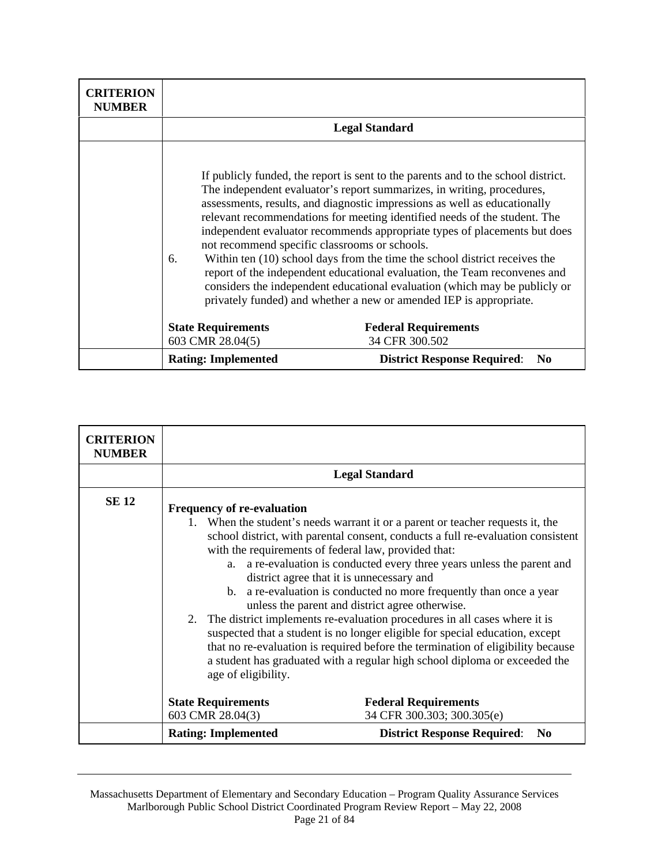| <b>CRITERION</b><br><b>NUMBER</b> |                                                                                                                                                                                                                                                                                                                                                                                                                                                                                                                                                                                                                                                                                                                                                                          |                                                      |
|-----------------------------------|--------------------------------------------------------------------------------------------------------------------------------------------------------------------------------------------------------------------------------------------------------------------------------------------------------------------------------------------------------------------------------------------------------------------------------------------------------------------------------------------------------------------------------------------------------------------------------------------------------------------------------------------------------------------------------------------------------------------------------------------------------------------------|------------------------------------------------------|
|                                   | <b>Legal Standard</b>                                                                                                                                                                                                                                                                                                                                                                                                                                                                                                                                                                                                                                                                                                                                                    |                                                      |
|                                   | If publicly funded, the report is sent to the parents and to the school district.<br>The independent evaluator's report summarizes, in writing, procedures,<br>assessments, results, and diagnostic impressions as well as educationally<br>relevant recommendations for meeting identified needs of the student. The<br>independent evaluator recommends appropriate types of placements but does<br>not recommend specific classrooms or schools.<br>Within ten (10) school days from the time the school district receives the<br>6.<br>report of the independent educational evaluation, the Team reconvenes and<br>considers the independent educational evaluation (which may be publicly or<br>privately funded) and whether a new or amended IEP is appropriate. |                                                      |
|                                   | <b>State Requirements</b><br>603 CMR 28.04(5)                                                                                                                                                                                                                                                                                                                                                                                                                                                                                                                                                                                                                                                                                                                            | <b>Federal Requirements</b><br>34 CFR 300.502        |
|                                   | <b>Rating: Implemented</b>                                                                                                                                                                                                                                                                                                                                                                                                                                                                                                                                                                                                                                                                                                                                               | <b>District Response Required:</b><br>N <sub>0</sub> |

| <b>CRITERION</b><br><b>NUMBER</b> |                                                                                                                                                                                                                                                                                                                                                                                                                                                                                                                                                                                                                                                                                                                                                                                                                                                                              |                                                           |
|-----------------------------------|------------------------------------------------------------------------------------------------------------------------------------------------------------------------------------------------------------------------------------------------------------------------------------------------------------------------------------------------------------------------------------------------------------------------------------------------------------------------------------------------------------------------------------------------------------------------------------------------------------------------------------------------------------------------------------------------------------------------------------------------------------------------------------------------------------------------------------------------------------------------------|-----------------------------------------------------------|
|                                   |                                                                                                                                                                                                                                                                                                                                                                                                                                                                                                                                                                                                                                                                                                                                                                                                                                                                              | <b>Legal Standard</b>                                     |
| <b>SE 12</b>                      | <b>Frequency of re-evaluation</b><br>1. When the student's needs warrant it or a parent or teacher requests it, the<br>school district, with parental consent, conducts a full re-evaluation consistent<br>with the requirements of federal law, provided that:<br>a re-evaluation is conducted every three years unless the parent and<br>a.<br>district agree that it is unnecessary and<br>b. a re-evaluation is conducted no more frequently than once a year<br>unless the parent and district agree otherwise.<br>2. The district implements re-evaluation procedures in all cases where it is<br>suspected that a student is no longer eligible for special education, except<br>that no re-evaluation is required before the termination of eligibility because<br>a student has graduated with a regular high school diploma or exceeded the<br>age of eligibility. |                                                           |
|                                   | <b>State Requirements</b><br>603 CMR 28.04(3)                                                                                                                                                                                                                                                                                                                                                                                                                                                                                                                                                                                                                                                                                                                                                                                                                                | <b>Federal Requirements</b><br>34 CFR 300.303; 300.305(e) |
|                                   | <b>Rating: Implemented</b>                                                                                                                                                                                                                                                                                                                                                                                                                                                                                                                                                                                                                                                                                                                                                                                                                                                   | <b>District Response Required:</b><br>N <sub>0</sub>      |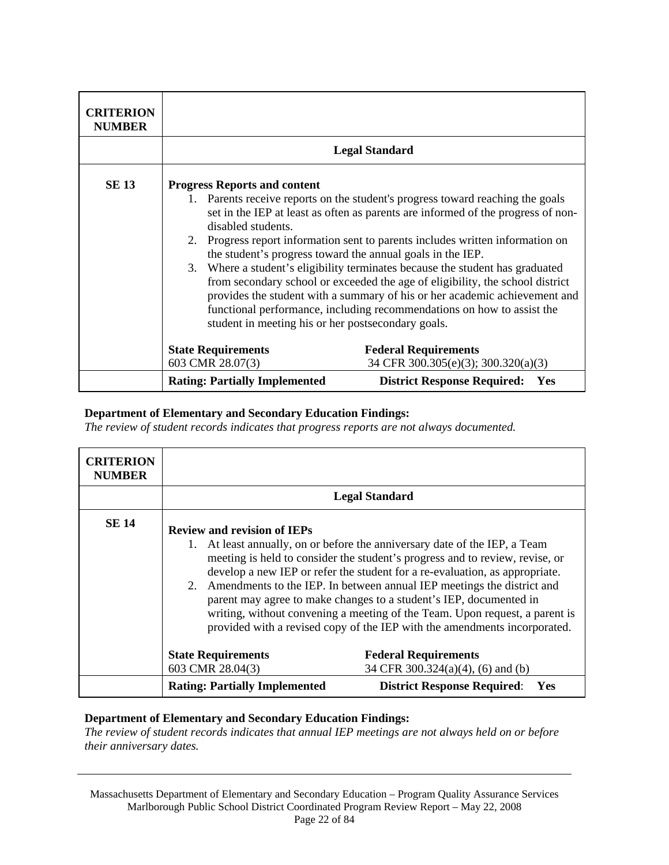| <b>CRITERION</b><br><b>NUMBER</b> |                                                                                                                                                                                                                                                                                                                                                                                                                                                                                                                                                                                                                                                                                                                                                                 |                                                                    |
|-----------------------------------|-----------------------------------------------------------------------------------------------------------------------------------------------------------------------------------------------------------------------------------------------------------------------------------------------------------------------------------------------------------------------------------------------------------------------------------------------------------------------------------------------------------------------------------------------------------------------------------------------------------------------------------------------------------------------------------------------------------------------------------------------------------------|--------------------------------------------------------------------|
|                                   |                                                                                                                                                                                                                                                                                                                                                                                                                                                                                                                                                                                                                                                                                                                                                                 | <b>Legal Standard</b>                                              |
| <b>SE 13</b>                      | <b>Progress Reports and content</b><br>1. Parents receive reports on the student's progress toward reaching the goals<br>set in the IEP at least as often as parents are informed of the progress of non-<br>disabled students.<br>2. Progress report information sent to parents includes written information on<br>the student's progress toward the annual goals in the IEP.<br>3. Where a student's eligibility terminates because the student has graduated<br>from secondary school or exceeded the age of eligibility, the school district<br>provides the student with a summary of his or her academic achievement and<br>functional performance, including recommendations on how to assist the<br>student in meeting his or her postsecondary goals. |                                                                    |
|                                   | <b>State Requirements</b><br>603 CMR 28.07(3)                                                                                                                                                                                                                                                                                                                                                                                                                                                                                                                                                                                                                                                                                                                   | <b>Federal Requirements</b><br>34 CFR 300.305(e)(3); 300.320(a)(3) |
|                                   | <b>Rating: Partially Implemented</b>                                                                                                                                                                                                                                                                                                                                                                                                                                                                                                                                                                                                                                                                                                                            | <b>District Response Required:</b><br>Yes                          |

*The review of student records indicates that progress reports are not always documented.* 

| <b>CRITERION</b><br><b>NUMBER</b> |                                               |                                                                                                                                                                                                                                                                                                                                                                                                                                                                                                                                                          |
|-----------------------------------|-----------------------------------------------|----------------------------------------------------------------------------------------------------------------------------------------------------------------------------------------------------------------------------------------------------------------------------------------------------------------------------------------------------------------------------------------------------------------------------------------------------------------------------------------------------------------------------------------------------------|
|                                   |                                               | <b>Legal Standard</b>                                                                                                                                                                                                                                                                                                                                                                                                                                                                                                                                    |
| <b>SE 14</b>                      | <b>Review and revision of IEPs</b>            | 1. At least annually, on or before the anniversary date of the IEP, a Team<br>meeting is held to consider the student's progress and to review, revise, or<br>develop a new IEP or refer the student for a re-evaluation, as appropriate.<br>2. Amendments to the IEP. In between annual IEP meetings the district and<br>parent may agree to make changes to a student's IEP, documented in<br>writing, without convening a meeting of the Team. Upon request, a parent is<br>provided with a revised copy of the IEP with the amendments incorporated. |
|                                   | <b>State Requirements</b><br>603 CMR 28.04(3) | <b>Federal Requirements</b><br>34 CFR 300.324(a)(4), (6) and (b)                                                                                                                                                                                                                                                                                                                                                                                                                                                                                         |
|                                   | <b>Rating: Partially Implemented</b>          | <b>District Response Required:</b><br><b>Yes</b>                                                                                                                                                                                                                                                                                                                                                                                                                                                                                                         |

## **Department of Elementary and Secondary Education Findings:**

*The review of student records indicates that annual IEP meetings are not always held on or before their anniversary dates.* 

Massachusetts Department of Elementary and Secondary Education – Program Quality Assurance Services Marlborough Public School District Coordinated Program Review Report – May 22, 2008 Page 22 of 84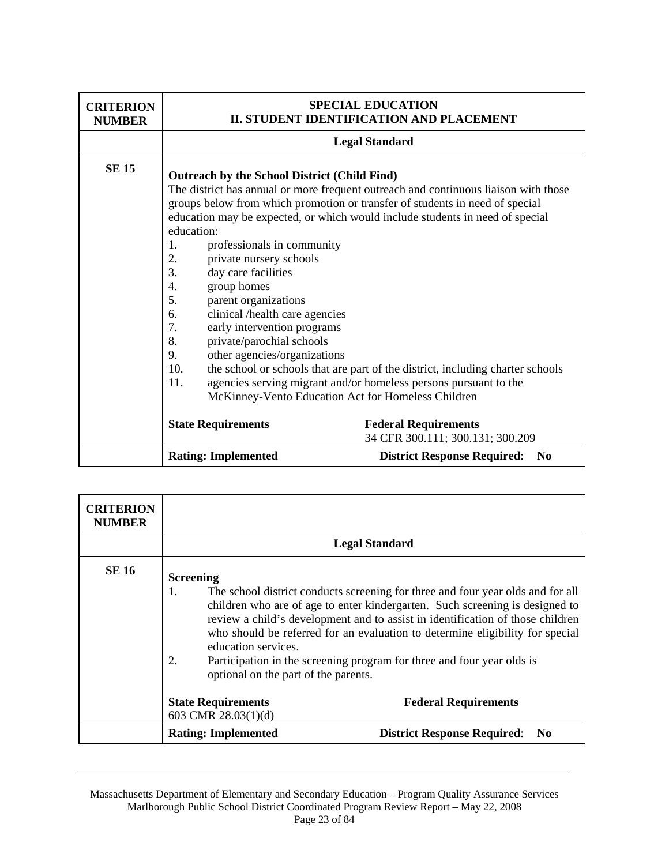| <b>CRITERION</b><br><b>NUMBER</b> |                                                                                                                                                                                                                                                                                                                                                                                                                                                                                                                                                                                                                                                                                                                                                                                                                                                         | <b>SPECIAL EDUCATION</b><br>II. STUDENT IDENTIFICATION AND PLACEMENT |
|-----------------------------------|---------------------------------------------------------------------------------------------------------------------------------------------------------------------------------------------------------------------------------------------------------------------------------------------------------------------------------------------------------------------------------------------------------------------------------------------------------------------------------------------------------------------------------------------------------------------------------------------------------------------------------------------------------------------------------------------------------------------------------------------------------------------------------------------------------------------------------------------------------|----------------------------------------------------------------------|
|                                   |                                                                                                                                                                                                                                                                                                                                                                                                                                                                                                                                                                                                                                                                                                                                                                                                                                                         | <b>Legal Standard</b>                                                |
| <b>SE 15</b>                      | Outreach by the School District (Child Find)<br>The district has annual or more frequent outreach and continuous liaison with those<br>groups below from which promotion or transfer of students in need of special<br>education may be expected, or which would include students in need of special<br>education:<br>professionals in community<br>1.<br>2.<br>private nursery schools<br>3.<br>day care facilities<br>group homes<br>4.<br>5.<br>parent organizations<br>clinical /health care agencies<br>6.<br>early intervention programs<br>7.<br>private/parochial schools<br>8.<br>other agencies/organizations<br>9.<br>10.<br>the school or schools that are part of the district, including charter schools<br>agencies serving migrant and/or homeless persons pursuant to the<br>11.<br>McKinney-Vento Education Act for Homeless Children |                                                                      |
|                                   | <b>State Requirements</b>                                                                                                                                                                                                                                                                                                                                                                                                                                                                                                                                                                                                                                                                                                                                                                                                                               | <b>Federal Requirements</b><br>34 CFR 300.111; 300.131; 300.209      |
|                                   | <b>Rating: Implemented</b>                                                                                                                                                                                                                                                                                                                                                                                                                                                                                                                                                                                                                                                                                                                                                                                                                              | <b>District Response Required:</b><br>N <sub>0</sub>                 |

| <b>CRITERION</b><br><b>NUMBER</b> |                                                                                                                                                                                                                                                                                                                                                                                                                                                                                                             |
|-----------------------------------|-------------------------------------------------------------------------------------------------------------------------------------------------------------------------------------------------------------------------------------------------------------------------------------------------------------------------------------------------------------------------------------------------------------------------------------------------------------------------------------------------------------|
|                                   | <b>Legal Standard</b>                                                                                                                                                                                                                                                                                                                                                                                                                                                                                       |
| <b>SE 16</b>                      | <b>Screening</b><br>The school district conducts screening for three and four year olds and for all<br>1.<br>children who are of age to enter kindergarten. Such screening is designed to<br>review a child's development and to assist in identification of those children<br>who should be referred for an evaluation to determine eligibility for special<br>education services.<br>Participation in the screening program for three and four year olds is<br>2.<br>optional on the part of the parents. |
|                                   | <b>State Requirements</b><br><b>Federal Requirements</b><br>603 CMR $28.03(1)(d)$                                                                                                                                                                                                                                                                                                                                                                                                                           |
|                                   | <b>Rating: Implemented</b><br><b>District Response Required:</b><br>N <sub>0</sub>                                                                                                                                                                                                                                                                                                                                                                                                                          |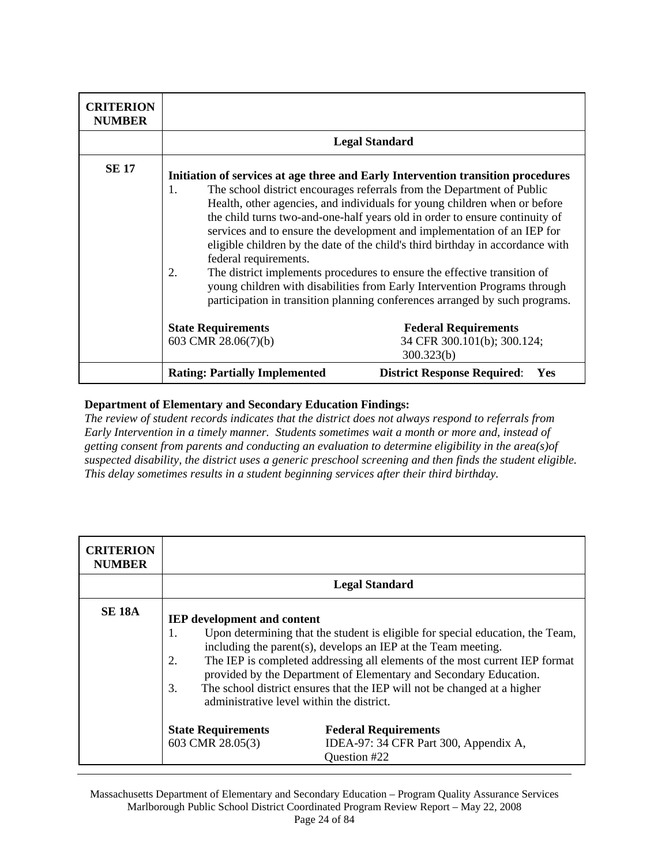| <b>CRITERION</b><br><b>NUMBER</b> |                                                  |                                                                                                                                                                                                                                                                                                                                                                                                                                                                                                                                                                                                                                                                                                                             |
|-----------------------------------|--------------------------------------------------|-----------------------------------------------------------------------------------------------------------------------------------------------------------------------------------------------------------------------------------------------------------------------------------------------------------------------------------------------------------------------------------------------------------------------------------------------------------------------------------------------------------------------------------------------------------------------------------------------------------------------------------------------------------------------------------------------------------------------------|
|                                   |                                                  | <b>Legal Standard</b>                                                                                                                                                                                                                                                                                                                                                                                                                                                                                                                                                                                                                                                                                                       |
| <b>SE 17</b>                      | 1.<br>federal requirements.<br>2.                | Initiation of services at age three and Early Intervention transition procedures<br>The school district encourages referrals from the Department of Public<br>Health, other agencies, and individuals for young children when or before<br>the child turns two-and-one-half years old in order to ensure continuity of<br>services and to ensure the development and implementation of an IEP for<br>eligible children by the date of the child's third birthday in accordance with<br>The district implements procedures to ensure the effective transition of<br>young children with disabilities from Early Intervention Programs through<br>participation in transition planning conferences arranged by such programs. |
|                                   | <b>State Requirements</b><br>603 CMR 28.06(7)(b) | <b>Federal Requirements</b><br>34 CFR 300.101(b); 300.124;                                                                                                                                                                                                                                                                                                                                                                                                                                                                                                                                                                                                                                                                  |
|                                   | <b>Rating: Partially Implemented</b>             | 300.323(b)<br><b>District Response Required:</b><br>Yes                                                                                                                                                                                                                                                                                                                                                                                                                                                                                                                                                                                                                                                                     |

*The review of student records indicates that the district does not always respond to referrals from Early Intervention in a timely manner. Students sometimes wait a month or more and, instead of getting consent from parents and conducting an evaluation to determine eligibility in the area(s)of suspected disability, the district uses a generic preschool screening and then finds the student eligible. This delay sometimes results in a student beginning services after their third birthday.* 

| <b>CRITERION</b><br><b>NUMBER</b> |                                                                                                       |                                                                                                                                                                                                                                                                                                                                                                                                                                                                                                                      |
|-----------------------------------|-------------------------------------------------------------------------------------------------------|----------------------------------------------------------------------------------------------------------------------------------------------------------------------------------------------------------------------------------------------------------------------------------------------------------------------------------------------------------------------------------------------------------------------------------------------------------------------------------------------------------------------|
|                                   |                                                                                                       | <b>Legal Standard</b>                                                                                                                                                                                                                                                                                                                                                                                                                                                                                                |
| <b>SE 18A</b>                     | <b>IEP</b> development and content<br>1.<br>2.<br>3.<br><b>State Requirements</b><br>603 CMR 28.05(3) | Upon determining that the student is eligible for special education, the Team,<br>including the parent(s), develops an IEP at the Team meeting.<br>The IEP is completed addressing all elements of the most current IEP format<br>provided by the Department of Elementary and Secondary Education.<br>The school district ensures that the IEP will not be changed at a higher<br>administrative level within the district.<br><b>Federal Requirements</b><br>IDEA-97: 34 CFR Part 300, Appendix A,<br>Question #22 |

Massachusetts Department of Elementary and Secondary Education – Program Quality Assurance Services Marlborough Public School District Coordinated Program Review Report – May 22, 2008 Page 24 of 84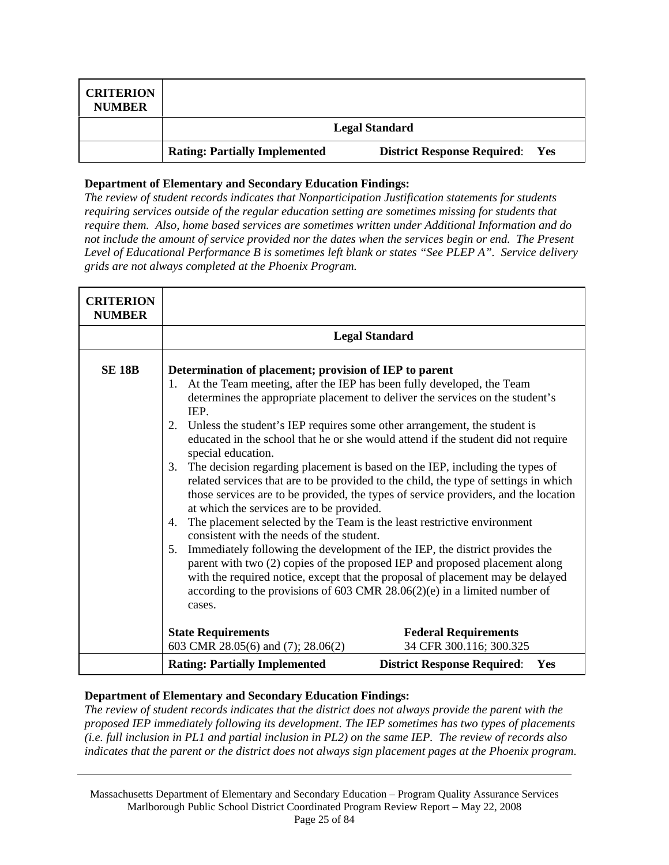| <b>CRITERION</b><br><b>NUMBER</b> |                                      |                                        |
|-----------------------------------|--------------------------------------|----------------------------------------|
|                                   |                                      | <b>Legal Standard</b>                  |
|                                   | <b>Rating: Partially Implemented</b> | <b>District Response Required:</b> Yes |

*The review of student records indicates that Nonparticipation Justification statements for students requiring services outside of the regular education setting are sometimes missing for students that require them. Also, home based services are sometimes written under Additional Information and do not include the amount of service provided nor the dates when the services begin or end. The Present Level of Educational Performance B is sometimes left blank or states "See PLEP A". Service delivery grids are not always completed at the Phoenix Program.* 

| <b>CRITERION</b><br><b>NUMBER</b> |                                                                                                                                                                                                                                                                                                                                                                                                                                                        |                                                                                                                                                                                                                                                                                                                                                                                                                                                                                                                                                                                                                                                                                                                                                                  |
|-----------------------------------|--------------------------------------------------------------------------------------------------------------------------------------------------------------------------------------------------------------------------------------------------------------------------------------------------------------------------------------------------------------------------------------------------------------------------------------------------------|------------------------------------------------------------------------------------------------------------------------------------------------------------------------------------------------------------------------------------------------------------------------------------------------------------------------------------------------------------------------------------------------------------------------------------------------------------------------------------------------------------------------------------------------------------------------------------------------------------------------------------------------------------------------------------------------------------------------------------------------------------------|
|                                   |                                                                                                                                                                                                                                                                                                                                                                                                                                                        | <b>Legal Standard</b>                                                                                                                                                                                                                                                                                                                                                                                                                                                                                                                                                                                                                                                                                                                                            |
| <b>SE 18B</b>                     | Determination of placement; provision of IEP to parent<br>At the Team meeting, after the IEP has been fully developed, the Team<br>1.<br>IEP.<br>Unless the student's IEP requires some other arrangement, the student is<br>2.<br>special education.<br>3.<br>at which the services are to be provided.<br>The placement selected by the Team is the least restrictive environment<br>4.<br>consistent with the needs of the student.<br>5.<br>cases. | determines the appropriate placement to deliver the services on the student's<br>educated in the school that he or she would attend if the student did not require<br>The decision regarding placement is based on the IEP, including the types of<br>related services that are to be provided to the child, the type of settings in which<br>those services are to be provided, the types of service providers, and the location<br>Immediately following the development of the IEP, the district provides the<br>parent with two (2) copies of the proposed IEP and proposed placement along<br>with the required notice, except that the proposal of placement may be delayed<br>according to the provisions of 603 CMR $28.06(2)(e)$ in a limited number of |
|                                   | <b>State Requirements</b><br>603 CMR 28.05(6) and (7); 28.06(2)                                                                                                                                                                                                                                                                                                                                                                                        | <b>Federal Requirements</b><br>34 CFR 300.116; 300.325                                                                                                                                                                                                                                                                                                                                                                                                                                                                                                                                                                                                                                                                                                           |
|                                   | <b>Rating: Partially Implemented</b>                                                                                                                                                                                                                                                                                                                                                                                                                   | <b>District Response Required:</b><br>Yes                                                                                                                                                                                                                                                                                                                                                                                                                                                                                                                                                                                                                                                                                                                        |

# **Department of Elementary and Secondary Education Findings:**

*The review of student records indicates that the district does not always provide the parent with the proposed IEP immediately following its development. The IEP sometimes has two types of placements (i.e. full inclusion in PL1 and partial inclusion in PL2) on the same IEP. The review of records also indicates that the parent or the district does not always sign placement pages at the Phoenix program.* 

Massachusetts Department of Elementary and Secondary Education – Program Quality Assurance Services Marlborough Public School District Coordinated Program Review Report – May 22, 2008 Page 25 of 84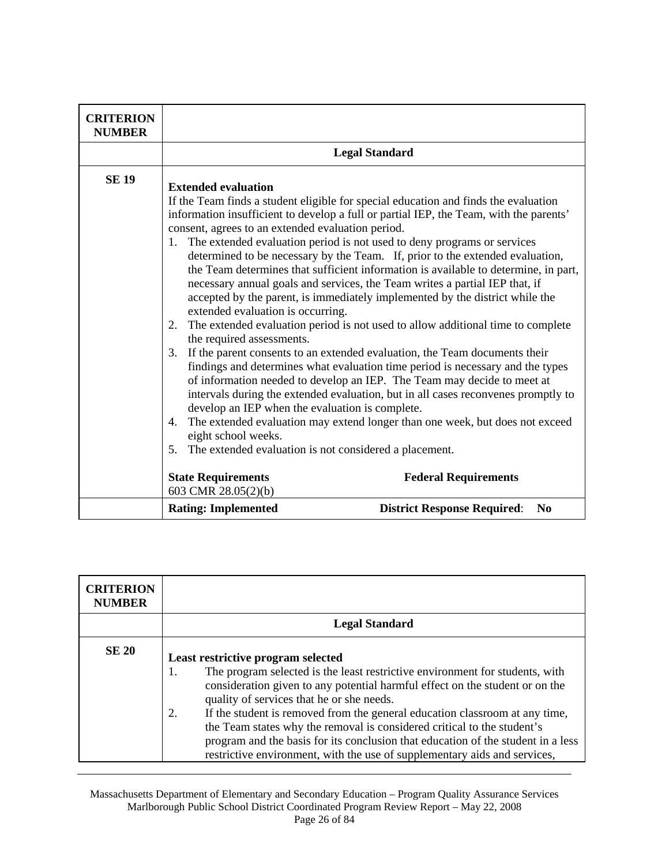| <b>CRITERION</b><br><b>NUMBER</b> |                                                                                                                                                                                                                                                                                                                                                                                                                                                                                                                                                                                                                                                                                                                                                                                                                                                                                                                                                                                                                                                                                                                                                                                                                                                                                                                                                                                                                                                                                                           |
|-----------------------------------|-----------------------------------------------------------------------------------------------------------------------------------------------------------------------------------------------------------------------------------------------------------------------------------------------------------------------------------------------------------------------------------------------------------------------------------------------------------------------------------------------------------------------------------------------------------------------------------------------------------------------------------------------------------------------------------------------------------------------------------------------------------------------------------------------------------------------------------------------------------------------------------------------------------------------------------------------------------------------------------------------------------------------------------------------------------------------------------------------------------------------------------------------------------------------------------------------------------------------------------------------------------------------------------------------------------------------------------------------------------------------------------------------------------------------------------------------------------------------------------------------------------|
|                                   | <b>Legal Standard</b>                                                                                                                                                                                                                                                                                                                                                                                                                                                                                                                                                                                                                                                                                                                                                                                                                                                                                                                                                                                                                                                                                                                                                                                                                                                                                                                                                                                                                                                                                     |
| <b>SE 19</b>                      | <b>Extended evaluation</b><br>If the Team finds a student eligible for special education and finds the evaluation<br>information insufficient to develop a full or partial IEP, the Team, with the parents'<br>consent, agrees to an extended evaluation period.<br>1. The extended evaluation period is not used to deny programs or services<br>determined to be necessary by the Team. If, prior to the extended evaluation,<br>the Team determines that sufficient information is available to determine, in part,<br>necessary annual goals and services, the Team writes a partial IEP that, if<br>accepted by the parent, is immediately implemented by the district while the<br>extended evaluation is occurring.<br>The extended evaluation period is not used to allow additional time to complete<br>2.<br>the required assessments.<br>If the parent consents to an extended evaluation, the Team documents their<br>3.<br>findings and determines what evaluation time period is necessary and the types<br>of information needed to develop an IEP. The Team may decide to meet at<br>intervals during the extended evaluation, but in all cases reconvenes promptly to<br>develop an IEP when the evaluation is complete.<br>The extended evaluation may extend longer than one week, but does not exceed<br>4.<br>eight school weeks.<br>The extended evaluation is not considered a placement.<br>5.<br><b>State Requirements</b><br><b>Federal Requirements</b><br>603 CMR 28.05(2)(b) |
|                                   | <b>Rating: Implemented</b><br><b>District Response Required:</b><br>N <sub>0</sub>                                                                                                                                                                                                                                                                                                                                                                                                                                                                                                                                                                                                                                                                                                                                                                                                                                                                                                                                                                                                                                                                                                                                                                                                                                                                                                                                                                                                                        |

| <b>CRITERION</b><br><b>NUMBER</b> |                                                                                                                                                                                                                                                                                                                                                                                                                                                                                                                                                                                        |
|-----------------------------------|----------------------------------------------------------------------------------------------------------------------------------------------------------------------------------------------------------------------------------------------------------------------------------------------------------------------------------------------------------------------------------------------------------------------------------------------------------------------------------------------------------------------------------------------------------------------------------------|
|                                   | <b>Legal Standard</b>                                                                                                                                                                                                                                                                                                                                                                                                                                                                                                                                                                  |
| <b>SE 20</b>                      | Least restrictive program selected<br>The program selected is the least restrictive environment for students, with<br>1.<br>consideration given to any potential harmful effect on the student or on the<br>quality of services that he or she needs.<br>If the student is removed from the general education classroom at any time,<br>2.<br>the Team states why the removal is considered critical to the student's<br>program and the basis for its conclusion that education of the student in a less<br>restrictive environment, with the use of supplementary aids and services, |

Massachusetts Department of Elementary and Secondary Education – Program Quality Assurance Services Marlborough Public School District Coordinated Program Review Report – May 22, 2008 Page 26 of 84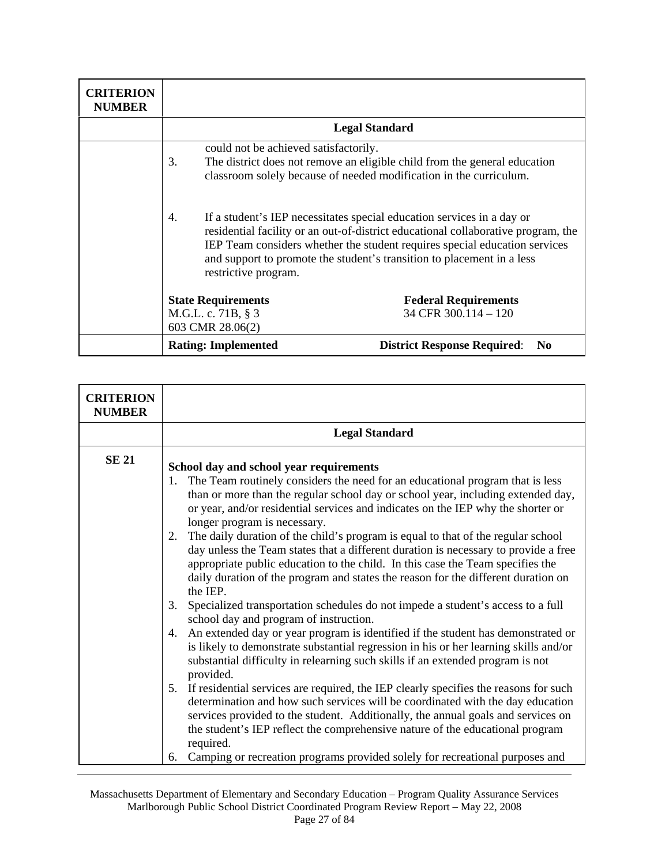| <b>CRITERION</b><br><b>NUMBER</b> |                                                                     |                                                                                                                                                                                                                                                                                                                     |
|-----------------------------------|---------------------------------------------------------------------|---------------------------------------------------------------------------------------------------------------------------------------------------------------------------------------------------------------------------------------------------------------------------------------------------------------------|
|                                   |                                                                     | <b>Legal Standard</b>                                                                                                                                                                                                                                                                                               |
|                                   | could not be achieved satisfactorily.<br>3.                         | The district does not remove an eligible child from the general education<br>classroom solely because of needed modification in the curriculum.                                                                                                                                                                     |
|                                   | 4.<br>restrictive program.                                          | If a student's IEP necessitates special education services in a day or<br>residential facility or an out-of-district educational collaborative program, the<br>IEP Team considers whether the student requires special education services<br>and support to promote the student's transition to placement in a less |
|                                   | <b>State Requirements</b><br>M.G.L. c. 71B, § 3<br>603 CMR 28.06(2) | <b>Federal Requirements</b><br>34 CFR $300.114 - 120$                                                                                                                                                                                                                                                               |
|                                   | <b>Rating: Implemented</b>                                          | <b>District Response Required:</b><br>N <sub>0</sub>                                                                                                                                                                                                                                                                |

| <b>CRITERION</b><br><b>NUMBER</b> |                                                                                                                                                                                                                                                                                                                                                                                                                                                                                                                                                                                                                                                                                                                                                                                                                                                                                                                                                                                                                                                                                                                                                                                                                                                                                                                                                                                                                                                                                                                                                                                        |
|-----------------------------------|----------------------------------------------------------------------------------------------------------------------------------------------------------------------------------------------------------------------------------------------------------------------------------------------------------------------------------------------------------------------------------------------------------------------------------------------------------------------------------------------------------------------------------------------------------------------------------------------------------------------------------------------------------------------------------------------------------------------------------------------------------------------------------------------------------------------------------------------------------------------------------------------------------------------------------------------------------------------------------------------------------------------------------------------------------------------------------------------------------------------------------------------------------------------------------------------------------------------------------------------------------------------------------------------------------------------------------------------------------------------------------------------------------------------------------------------------------------------------------------------------------------------------------------------------------------------------------------|
|                                   | <b>Legal Standard</b>                                                                                                                                                                                                                                                                                                                                                                                                                                                                                                                                                                                                                                                                                                                                                                                                                                                                                                                                                                                                                                                                                                                                                                                                                                                                                                                                                                                                                                                                                                                                                                  |
| <b>SE 21</b>                      | School day and school year requirements<br>The Team routinely considers the need for an educational program that is less<br>1.<br>than or more than the regular school day or school year, including extended day,<br>or year, and/or residential services and indicates on the IEP why the shorter or<br>longer program is necessary.<br>The daily duration of the child's program is equal to that of the regular school<br>2.<br>day unless the Team states that a different duration is necessary to provide a free<br>appropriate public education to the child. In this case the Team specifies the<br>daily duration of the program and states the reason for the different duration on<br>the IEP.<br>Specialized transportation schedules do not impede a student's access to a full<br>3.<br>school day and program of instruction.<br>An extended day or year program is identified if the student has demonstrated or<br>4.<br>is likely to demonstrate substantial regression in his or her learning skills and/or<br>substantial difficulty in relearning such skills if an extended program is not<br>provided.<br>If residential services are required, the IEP clearly specifies the reasons for such<br>5.<br>determination and how such services will be coordinated with the day education<br>services provided to the student. Additionally, the annual goals and services on<br>the student's IEP reflect the comprehensive nature of the educational program<br>required.<br>Camping or recreation programs provided solely for recreational purposes and<br>6. |

Massachusetts Department of Elementary and Secondary Education – Program Quality Assurance Services Marlborough Public School District Coordinated Program Review Report – May 22, 2008 Page 27 of 84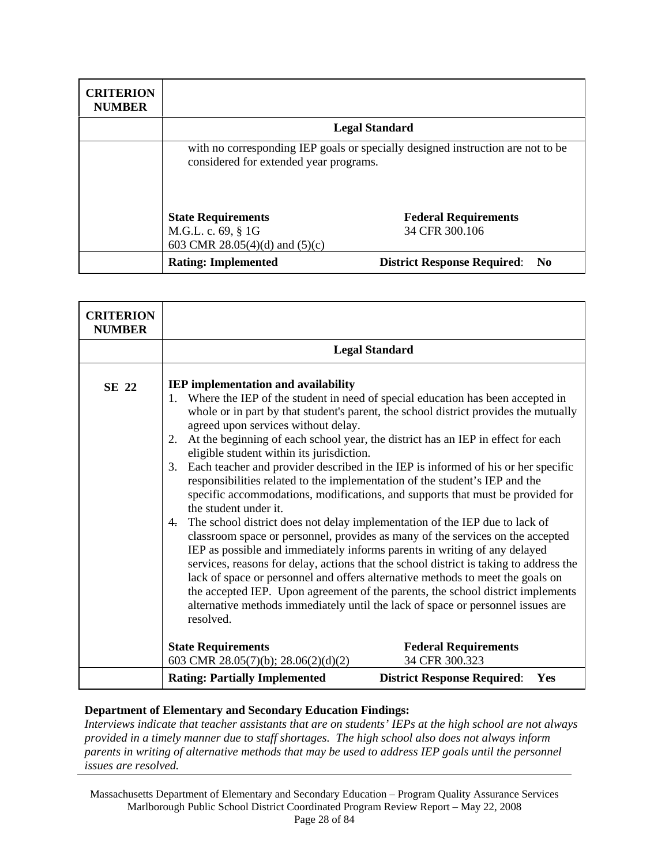| <b>CRITERION</b><br><b>NUMBER</b> |                                                                                                                           |                                       |
|-----------------------------------|---------------------------------------------------------------------------------------------------------------------------|---------------------------------------|
|                                   |                                                                                                                           | <b>Legal Standard</b>                 |
|                                   | with no corresponding IEP goals or specially designed instruction are not to be<br>considered for extended year programs. |                                       |
|                                   | <b>State Requirements</b>                                                                                                 | <b>Federal Requirements</b>           |
|                                   | M.G.L. c. 69, § 1G                                                                                                        | 34 CFR 300.106                        |
|                                   | 603 CMR 28.05(4)(d) and (5)(c)                                                                                            |                                       |
|                                   | <b>Rating: Implemented</b>                                                                                                | <b>District Response Required: No</b> |

| <b>CRITERION</b><br><b>NUMBER</b> |                                                                                                                                                                                                                                                                             |                                                                                                                                                                                                                                                                                                                                                                                                                                                                                                                                                                                                                                                                                                                                                                                                                                                                                                                                                                                                                                   |
|-----------------------------------|-----------------------------------------------------------------------------------------------------------------------------------------------------------------------------------------------------------------------------------------------------------------------------|-----------------------------------------------------------------------------------------------------------------------------------------------------------------------------------------------------------------------------------------------------------------------------------------------------------------------------------------------------------------------------------------------------------------------------------------------------------------------------------------------------------------------------------------------------------------------------------------------------------------------------------------------------------------------------------------------------------------------------------------------------------------------------------------------------------------------------------------------------------------------------------------------------------------------------------------------------------------------------------------------------------------------------------|
|                                   |                                                                                                                                                                                                                                                                             | <b>Legal Standard</b>                                                                                                                                                                                                                                                                                                                                                                                                                                                                                                                                                                                                                                                                                                                                                                                                                                                                                                                                                                                                             |
| SE 22                             | <b>IEP</b> implementation and availability<br>1.<br>agreed upon services without delay.<br>2.<br>eligible student within its jurisdiction.<br>3.<br>responsibilities related to the implementation of the student's IEP and the<br>the student under it.<br>4.<br>resolved. | Where the IEP of the student in need of special education has been accepted in<br>whole or in part by that student's parent, the school district provides the mutually<br>At the beginning of each school year, the district has an IEP in effect for each<br>Each teacher and provider described in the IEP is informed of his or her specific<br>specific accommodations, modifications, and supports that must be provided for<br>The school district does not delay implementation of the IEP due to lack of<br>classroom space or personnel, provides as many of the services on the accepted<br>IEP as possible and immediately informs parents in writing of any delayed<br>services, reasons for delay, actions that the school district is taking to address the<br>lack of space or personnel and offers alternative methods to meet the goals on<br>the accepted IEP. Upon agreement of the parents, the school district implements<br>alternative methods immediately until the lack of space or personnel issues are |
|                                   | <b>State Requirements</b><br>603 CMR 28.05(7)(b); 28.06(2)(d)(2)                                                                                                                                                                                                            | <b>Federal Requirements</b><br>34 CFR 300.323                                                                                                                                                                                                                                                                                                                                                                                                                                                                                                                                                                                                                                                                                                                                                                                                                                                                                                                                                                                     |
|                                   | <b>Rating: Partially Implemented</b>                                                                                                                                                                                                                                        | <b>District Response Required:</b><br>Yes                                                                                                                                                                                                                                                                                                                                                                                                                                                                                                                                                                                                                                                                                                                                                                                                                                                                                                                                                                                         |

*Interviews indicate that teacher assistants that are on students' IEPs at the high school are not always provided in a timely manner due to staff shortages. The high school also does not always inform parents in writing of alternative methods that may be used to address IEP goals until the personnel issues are resolved.* 

Massachusetts Department of Elementary and Secondary Education – Program Quality Assurance Services Marlborough Public School District Coordinated Program Review Report – May 22, 2008 Page 28 of 84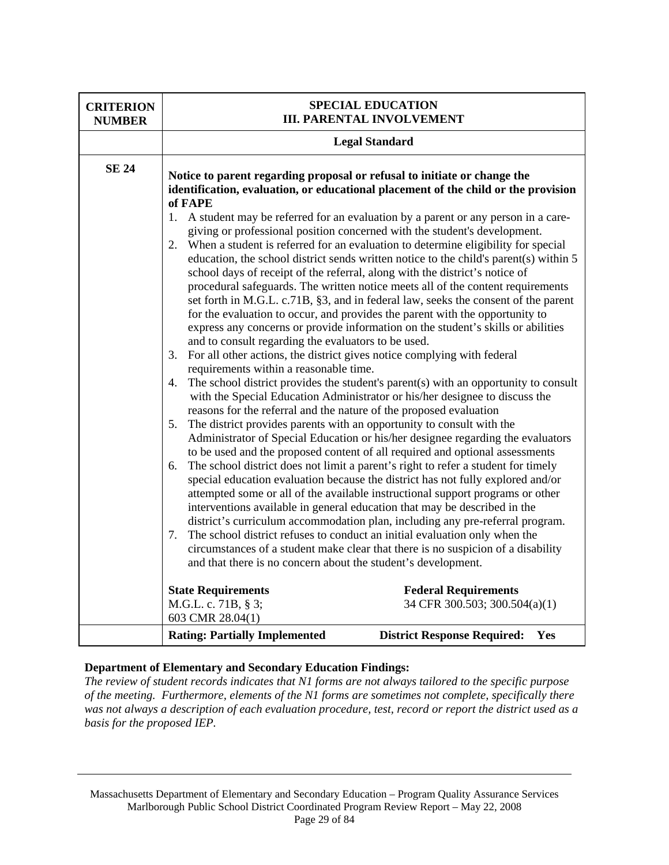| <b>CRITERION</b><br><b>NUMBER</b> |                                                                                                                                                                                                                                                                                                                                                                                                                                                                                                                                                              | <b>SPECIAL EDUCATION</b><br><b>III. PARENTAL INVOLVEMENT</b>                                                                                                                                                                                                                                                                                                                                                                                                                                                                                                                                                                                                                                                                                                                                                                                                                                                                                                                                                                                                                                                                                                                                                                                                                                                                                                                                                                                                                                                                                                                                                                                                                                                                                                                                                                    |
|-----------------------------------|--------------------------------------------------------------------------------------------------------------------------------------------------------------------------------------------------------------------------------------------------------------------------------------------------------------------------------------------------------------------------------------------------------------------------------------------------------------------------------------------------------------------------------------------------------------|---------------------------------------------------------------------------------------------------------------------------------------------------------------------------------------------------------------------------------------------------------------------------------------------------------------------------------------------------------------------------------------------------------------------------------------------------------------------------------------------------------------------------------------------------------------------------------------------------------------------------------------------------------------------------------------------------------------------------------------------------------------------------------------------------------------------------------------------------------------------------------------------------------------------------------------------------------------------------------------------------------------------------------------------------------------------------------------------------------------------------------------------------------------------------------------------------------------------------------------------------------------------------------------------------------------------------------------------------------------------------------------------------------------------------------------------------------------------------------------------------------------------------------------------------------------------------------------------------------------------------------------------------------------------------------------------------------------------------------------------------------------------------------------------------------------------------------|
|                                   |                                                                                                                                                                                                                                                                                                                                                                                                                                                                                                                                                              | <b>Legal Standard</b>                                                                                                                                                                                                                                                                                                                                                                                                                                                                                                                                                                                                                                                                                                                                                                                                                                                                                                                                                                                                                                                                                                                                                                                                                                                                                                                                                                                                                                                                                                                                                                                                                                                                                                                                                                                                           |
| <b>SE 24</b>                      | Notice to parent regarding proposal or refusal to initiate or change the<br>of FAPE<br>$1_{\cdot}$<br>2.<br>and to consult regarding the evaluators to be used.<br>3. For all other actions, the district gives notice complying with federal<br>requirements within a reasonable time.<br>4.<br>reasons for the referral and the nature of the proposed evaluation<br>The district provides parents with an opportunity to consult with the<br>5.<br>6.<br>7.<br>and that there is no concern about the student's development.<br><b>State Requirements</b> | identification, evaluation, or educational placement of the child or the provision<br>A student may be referred for an evaluation by a parent or any person in a care-<br>giving or professional position concerned with the student's development.<br>When a student is referred for an evaluation to determine eligibility for special<br>education, the school district sends written notice to the child's parent(s) within 5<br>school days of receipt of the referral, along with the district's notice of<br>procedural safeguards. The written notice meets all of the content requirements<br>set forth in M.G.L. c.71B, §3, and in federal law, seeks the consent of the parent<br>for the evaluation to occur, and provides the parent with the opportunity to<br>express any concerns or provide information on the student's skills or abilities<br>The school district provides the student's parent(s) with an opportunity to consult<br>with the Special Education Administrator or his/her designee to discuss the<br>Administrator of Special Education or his/her designee regarding the evaluators<br>to be used and the proposed content of all required and optional assessments<br>The school district does not limit a parent's right to refer a student for timely<br>special education evaluation because the district has not fully explored and/or<br>attempted some or all of the available instructional support programs or other<br>interventions available in general education that may be described in the<br>district's curriculum accommodation plan, including any pre-referral program.<br>The school district refuses to conduct an initial evaluation only when the<br>circumstances of a student make clear that there is no suspicion of a disability<br><b>Federal Requirements</b> |
|                                   | M.G.L. c. 71B, § 3;<br>603 CMR 28.04(1)                                                                                                                                                                                                                                                                                                                                                                                                                                                                                                                      | 34 CFR 300.503; 300.504(a)(1)                                                                                                                                                                                                                                                                                                                                                                                                                                                                                                                                                                                                                                                                                                                                                                                                                                                                                                                                                                                                                                                                                                                                                                                                                                                                                                                                                                                                                                                                                                                                                                                                                                                                                                                                                                                                   |
|                                   | <b>Rating: Partially Implemented</b>                                                                                                                                                                                                                                                                                                                                                                                                                                                                                                                         | <b>District Response Required:</b><br><b>Yes</b>                                                                                                                                                                                                                                                                                                                                                                                                                                                                                                                                                                                                                                                                                                                                                                                                                                                                                                                                                                                                                                                                                                                                                                                                                                                                                                                                                                                                                                                                                                                                                                                                                                                                                                                                                                                |

*The review of student records indicates that N1 forms are not always tailored to the specific purpose of the meeting. Furthermore, elements of the N1 forms are sometimes not complete, specifically there was not always a description of each evaluation procedure, test, record or report the district used as a basis for the proposed IEP.* 

Massachusetts Department of Elementary and Secondary Education – Program Quality Assurance Services Marlborough Public School District Coordinated Program Review Report – May 22, 2008 Page 29 of 84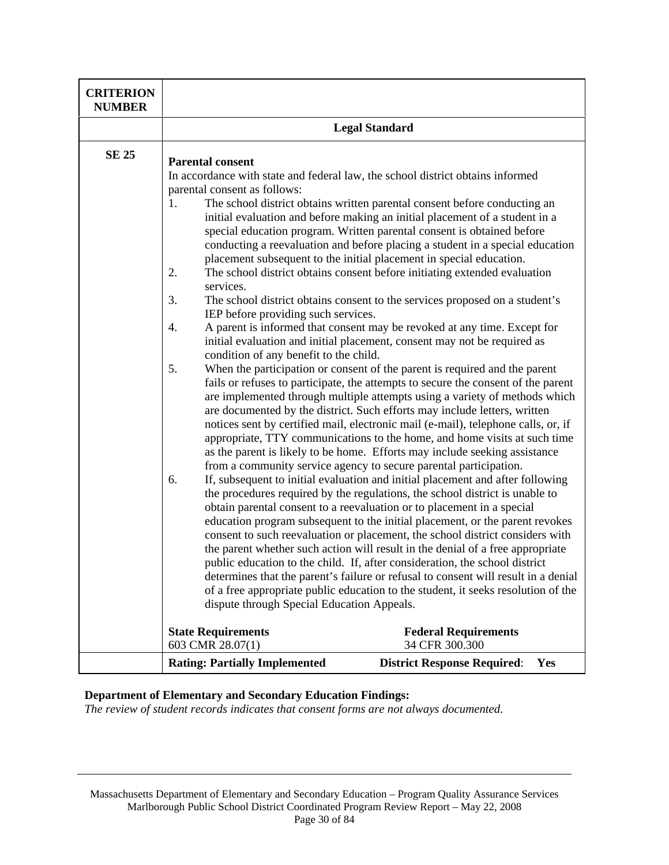| <b>CRITERION</b><br><b>NUMBER</b> |                                                                                                                                                                                                                                                                                                                                                                                                                                                                                                                                                                                                                                                                                                                                                                                                                                                                                                                                                                                                                                                                                                                                                                                                                                                                                                                                                                                                                                                                                                                                                                                                                                                                                                                                                                                                                                                                                                                                                                                                                                                                                                                                                                                                                                                                                                                                                                                                                                                                                                                                                           |  |
|-----------------------------------|-----------------------------------------------------------------------------------------------------------------------------------------------------------------------------------------------------------------------------------------------------------------------------------------------------------------------------------------------------------------------------------------------------------------------------------------------------------------------------------------------------------------------------------------------------------------------------------------------------------------------------------------------------------------------------------------------------------------------------------------------------------------------------------------------------------------------------------------------------------------------------------------------------------------------------------------------------------------------------------------------------------------------------------------------------------------------------------------------------------------------------------------------------------------------------------------------------------------------------------------------------------------------------------------------------------------------------------------------------------------------------------------------------------------------------------------------------------------------------------------------------------------------------------------------------------------------------------------------------------------------------------------------------------------------------------------------------------------------------------------------------------------------------------------------------------------------------------------------------------------------------------------------------------------------------------------------------------------------------------------------------------------------------------------------------------------------------------------------------------------------------------------------------------------------------------------------------------------------------------------------------------------------------------------------------------------------------------------------------------------------------------------------------------------------------------------------------------------------------------------------------------------------------------------------------------|--|
|                                   | <b>Legal Standard</b>                                                                                                                                                                                                                                                                                                                                                                                                                                                                                                                                                                                                                                                                                                                                                                                                                                                                                                                                                                                                                                                                                                                                                                                                                                                                                                                                                                                                                                                                                                                                                                                                                                                                                                                                                                                                                                                                                                                                                                                                                                                                                                                                                                                                                                                                                                                                                                                                                                                                                                                                     |  |
| <b>SE 25</b>                      | <b>Parental consent</b><br>In accordance with state and federal law, the school district obtains informed<br>parental consent as follows:<br>The school district obtains written parental consent before conducting an<br>1.<br>initial evaluation and before making an initial placement of a student in a<br>special education program. Written parental consent is obtained before<br>conducting a reevaluation and before placing a student in a special education<br>placement subsequent to the initial placement in special education.<br>2.<br>The school district obtains consent before initiating extended evaluation<br>services.<br>3.<br>The school district obtains consent to the services proposed on a student's<br>IEP before providing such services.<br>A parent is informed that consent may be revoked at any time. Except for<br>4.<br>initial evaluation and initial placement, consent may not be required as<br>condition of any benefit to the child.<br>5.<br>When the participation or consent of the parent is required and the parent<br>fails or refuses to participate, the attempts to secure the consent of the parent<br>are implemented through multiple attempts using a variety of methods which<br>are documented by the district. Such efforts may include letters, written<br>notices sent by certified mail, electronic mail (e-mail), telephone calls, or, if<br>appropriate, TTY communications to the home, and home visits at such time<br>as the parent is likely to be home. Efforts may include seeking assistance<br>from a community service agency to secure parental participation.<br>If, subsequent to initial evaluation and initial placement and after following<br>6.<br>the procedures required by the regulations, the school district is unable to<br>obtain parental consent to a reevaluation or to placement in a special<br>education program subsequent to the initial placement, or the parent revokes<br>consent to such reevaluation or placement, the school district considers with<br>the parent whether such action will result in the denial of a free appropriate<br>public education to the child. If, after consideration, the school district<br>determines that the parent's failure or refusal to consent will result in a denial<br>of a free appropriate public education to the student, it seeks resolution of the<br>dispute through Special Education Appeals.<br><b>State Requirements</b><br><b>Federal Requirements</b><br>603 CMR 28.07(1)<br>34 CFR 300.300 |  |
|                                   | <b>Rating: Partially Implemented</b><br><b>District Response Required:</b><br><b>Yes</b>                                                                                                                                                                                                                                                                                                                                                                                                                                                                                                                                                                                                                                                                                                                                                                                                                                                                                                                                                                                                                                                                                                                                                                                                                                                                                                                                                                                                                                                                                                                                                                                                                                                                                                                                                                                                                                                                                                                                                                                                                                                                                                                                                                                                                                                                                                                                                                                                                                                                  |  |

*The review of student records indicates that consent forms are not always documented.*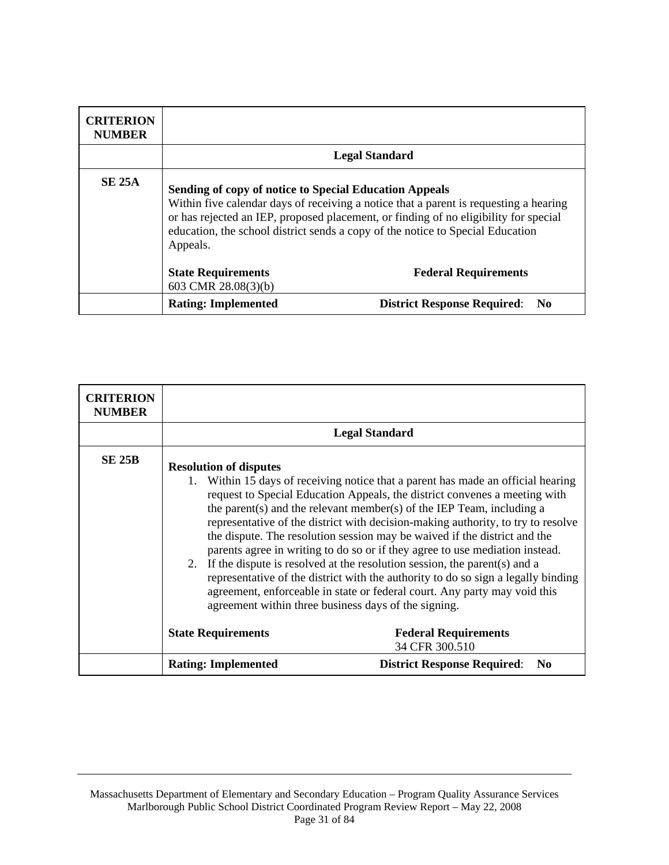| <b>CRITERION</b><br><b>NUMBER</b> |                                                                                                                                                                                                                                                                                                                                       |                                           |
|-----------------------------------|---------------------------------------------------------------------------------------------------------------------------------------------------------------------------------------------------------------------------------------------------------------------------------------------------------------------------------------|-------------------------------------------|
|                                   |                                                                                                                                                                                                                                                                                                                                       | <b>Legal Standard</b>                     |
| <b>SE 25A</b>                     | Sending of copy of notice to Special Education Appeals<br>Within five calendar days of receiving a notice that a parent is requesting a hearing<br>or has rejected an IEP, proposed placement, or finding of no eligibility for special<br>education, the school district sends a copy of the notice to Special Education<br>Appeals. |                                           |
|                                   | <b>State Requirements</b><br>603 CMR 28.08(3)(b)                                                                                                                                                                                                                                                                                      | <b>Federal Requirements</b>               |
|                                   | <b>Rating: Implemented</b>                                                                                                                                                                                                                                                                                                            | <b>District Response Required:</b><br>No. |

| <b>CRITERION</b><br><b>NUMBER</b> |                                                                                                                                                                                                                                                                                                                                                                                                                                                                                                                                                                                                                                                                                                                                                                                                                                   |                                                      |
|-----------------------------------|-----------------------------------------------------------------------------------------------------------------------------------------------------------------------------------------------------------------------------------------------------------------------------------------------------------------------------------------------------------------------------------------------------------------------------------------------------------------------------------------------------------------------------------------------------------------------------------------------------------------------------------------------------------------------------------------------------------------------------------------------------------------------------------------------------------------------------------|------------------------------------------------------|
|                                   |                                                                                                                                                                                                                                                                                                                                                                                                                                                                                                                                                                                                                                                                                                                                                                                                                                   | <b>Legal Standard</b>                                |
| <b>SE 25B</b>                     | <b>Resolution of disputes</b><br>Within 15 days of receiving notice that a parent has made an official hearing<br>request to Special Education Appeals, the district convenes a meeting with<br>the parent(s) and the relevant member(s) of the IEP Team, including a<br>representative of the district with decision-making authority, to try to resolve<br>the dispute. The resolution session may be waived if the district and the<br>parents agree in writing to do so or if they agree to use mediation instead.<br>2. If the dispute is resolved at the resolution session, the parent (s) and a<br>representative of the district with the authority to do so sign a legally binding<br>agreement, enforceable in state or federal court. Any party may void this<br>agreement within three business days of the signing. |                                                      |
|                                   | <b>State Requirements</b>                                                                                                                                                                                                                                                                                                                                                                                                                                                                                                                                                                                                                                                                                                                                                                                                         | <b>Federal Requirements</b><br>34 CFR 300.510        |
|                                   | <b>Rating: Implemented</b>                                                                                                                                                                                                                                                                                                                                                                                                                                                                                                                                                                                                                                                                                                                                                                                                        | <b>District Response Required:</b><br>N <sub>0</sub> |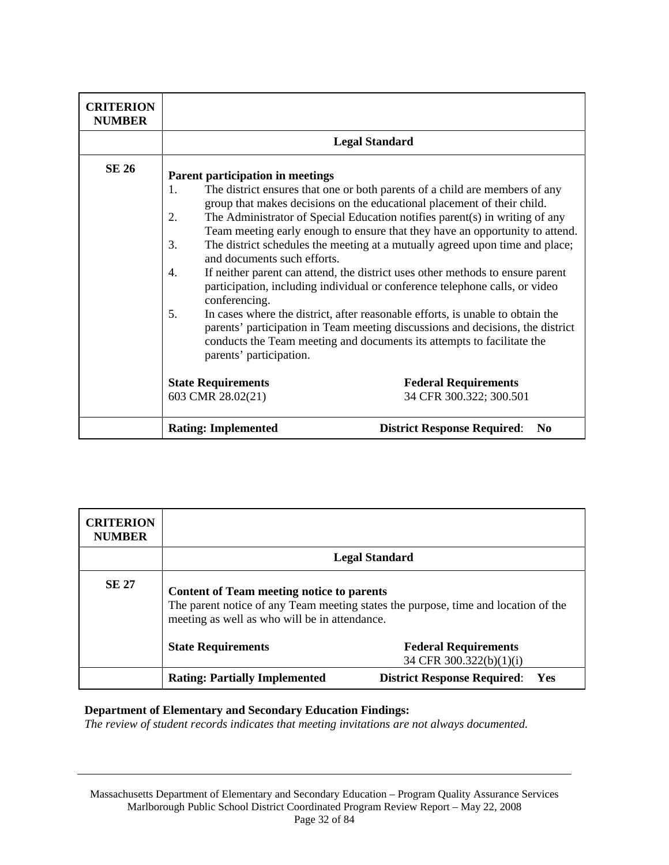| <b>CRITERION</b><br><b>NUMBER</b> |                                                                                                                                           |                                                                                                                                                                                                                                                                                                                                                                                                                                                                                                                                                                                                                                                                                                                                                                                                                      |
|-----------------------------------|-------------------------------------------------------------------------------------------------------------------------------------------|----------------------------------------------------------------------------------------------------------------------------------------------------------------------------------------------------------------------------------------------------------------------------------------------------------------------------------------------------------------------------------------------------------------------------------------------------------------------------------------------------------------------------------------------------------------------------------------------------------------------------------------------------------------------------------------------------------------------------------------------------------------------------------------------------------------------|
|                                   |                                                                                                                                           | <b>Legal Standard</b>                                                                                                                                                                                                                                                                                                                                                                                                                                                                                                                                                                                                                                                                                                                                                                                                |
| <b>SE 26</b>                      | Parent participation in meetings<br>1.<br>2.<br>3.<br>and documents such efforts.<br>4.<br>conferencing.<br>5.<br>parents' participation. | The district ensures that one or both parents of a child are members of any<br>group that makes decisions on the educational placement of their child.<br>The Administrator of Special Education notifies parent(s) in writing of any<br>Team meeting early enough to ensure that they have an opportunity to attend.<br>The district schedules the meeting at a mutually agreed upon time and place;<br>If neither parent can attend, the district uses other methods to ensure parent<br>participation, including individual or conference telephone calls, or video<br>In cases where the district, after reasonable efforts, is unable to obtain the<br>parents' participation in Team meeting discussions and decisions, the district<br>conducts the Team meeting and documents its attempts to facilitate the |
|                                   | <b>State Requirements</b><br>603 CMR 28.02(21)                                                                                            | <b>Federal Requirements</b><br>34 CFR 300.322; 300.501                                                                                                                                                                                                                                                                                                                                                                                                                                                                                                                                                                                                                                                                                                                                                               |
|                                   | <b>Rating: Implemented</b>                                                                                                                | <b>District Response Required:</b><br>N <sub>0</sub>                                                                                                                                                                                                                                                                                                                                                                                                                                                                                                                                                                                                                                                                                                                                                                 |

| <b>CRITERION</b><br><b>NUMBER</b> |                                                                                                                                                                                         |                                                        |
|-----------------------------------|-----------------------------------------------------------------------------------------------------------------------------------------------------------------------------------------|--------------------------------------------------------|
|                                   |                                                                                                                                                                                         | <b>Legal Standard</b>                                  |
| <b>SE 27</b>                      | <b>Content of Team meeting notice to parents</b><br>The parent notice of any Team meeting states the purpose, time and location of the<br>meeting as well as who will be in attendance. |                                                        |
|                                   | <b>State Requirements</b>                                                                                                                                                               | <b>Federal Requirements</b><br>34 CFR 300.322(b)(1)(i) |
|                                   | <b>Rating: Partially Implemented</b>                                                                                                                                                    | <b>District Response Required:</b><br>Yes              |

*The review of student records indicates that meeting invitations are not always documented.*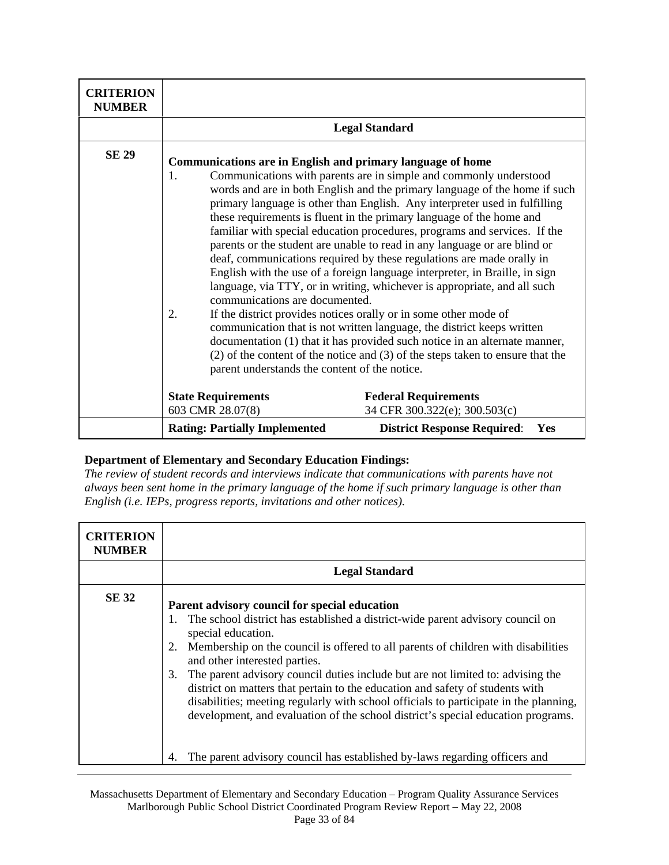| <b>CRITERION</b><br><b>NUMBER</b> |                                                                                                                                                                  |                                                                                                                                                                                                                                                                                                                                                                                                                                                                                                                                                                                                                                                                                                                                                                                                                                                                                                                                                                                                                   |
|-----------------------------------|------------------------------------------------------------------------------------------------------------------------------------------------------------------|-------------------------------------------------------------------------------------------------------------------------------------------------------------------------------------------------------------------------------------------------------------------------------------------------------------------------------------------------------------------------------------------------------------------------------------------------------------------------------------------------------------------------------------------------------------------------------------------------------------------------------------------------------------------------------------------------------------------------------------------------------------------------------------------------------------------------------------------------------------------------------------------------------------------------------------------------------------------------------------------------------------------|
|                                   |                                                                                                                                                                  | <b>Legal Standard</b>                                                                                                                                                                                                                                                                                                                                                                                                                                                                                                                                                                                                                                                                                                                                                                                                                                                                                                                                                                                             |
| <b>SE 29</b>                      | <b>Communications are in English and primary language of home</b><br>1.<br>communications are documented.<br>2.<br>parent understands the content of the notice. | Communications with parents are in simple and commonly understood<br>words and are in both English and the primary language of the home if such<br>primary language is other than English. Any interpreter used in fulfilling<br>these requirements is fluent in the primary language of the home and<br>familiar with special education procedures, programs and services. If the<br>parents or the student are unable to read in any language or are blind or<br>deaf, communications required by these regulations are made orally in<br>English with the use of a foreign language interpreter, in Braille, in sign<br>language, via TTY, or in writing, whichever is appropriate, and all such<br>If the district provides notices orally or in some other mode of<br>communication that is not written language, the district keeps written<br>documentation (1) that it has provided such notice in an alternate manner,<br>(2) of the content of the notice and (3) of the steps taken to ensure that the |
|                                   | <b>State Requirements</b>                                                                                                                                        | <b>Federal Requirements</b>                                                                                                                                                                                                                                                                                                                                                                                                                                                                                                                                                                                                                                                                                                                                                                                                                                                                                                                                                                                       |
|                                   | 603 CMR 28.07(8)                                                                                                                                                 | 34 CFR 300.322(e); 300.503(c)                                                                                                                                                                                                                                                                                                                                                                                                                                                                                                                                                                                                                                                                                                                                                                                                                                                                                                                                                                                     |
|                                   | <b>Rating: Partially Implemented</b>                                                                                                                             | <b>District Response Required:</b><br>Yes                                                                                                                                                                                                                                                                                                                                                                                                                                                                                                                                                                                                                                                                                                                                                                                                                                                                                                                                                                         |

*The review of student records and interviews indicate that communications with parents have not always been sent home in the primary language of the home if such primary language is other than English (i.e. IEPs, progress reports, invitations and other notices).* 

| <b>CRITERION</b><br><b>NUMBER</b> |                                                                                                                                                                                                                                                                                                                                                                                                                                                                                                                                                                                                                                                                                                                                 |
|-----------------------------------|---------------------------------------------------------------------------------------------------------------------------------------------------------------------------------------------------------------------------------------------------------------------------------------------------------------------------------------------------------------------------------------------------------------------------------------------------------------------------------------------------------------------------------------------------------------------------------------------------------------------------------------------------------------------------------------------------------------------------------|
|                                   | <b>Legal Standard</b>                                                                                                                                                                                                                                                                                                                                                                                                                                                                                                                                                                                                                                                                                                           |
| <b>SE 32</b>                      | Parent advisory council for special education<br>1. The school district has established a district-wide parent advisory council on<br>special education.<br>Membership on the council is offered to all parents of children with disabilities<br>2.<br>and other interested parties.<br>The parent advisory council duties include but are not limited to: advising the<br>3.<br>district on matters that pertain to the education and safety of students with<br>disabilities; meeting regularly with school officials to participate in the planning,<br>development, and evaluation of the school district's special education programs.<br>The parent advisory council has established by-laws regarding officers and<br>4. |

Massachusetts Department of Elementary and Secondary Education – Program Quality Assurance Services Marlborough Public School District Coordinated Program Review Report – May 22, 2008 Page 33 of 84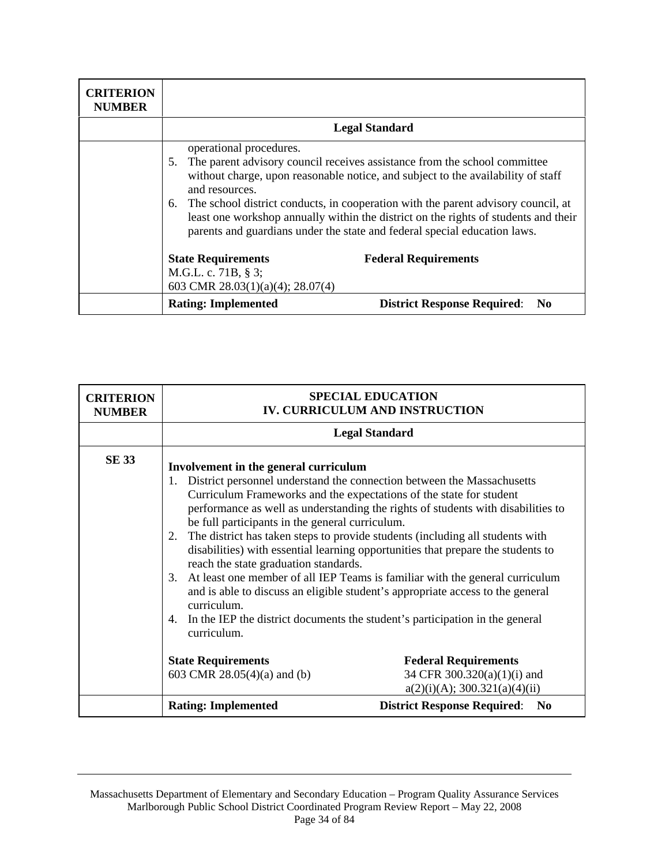| <b>CRITERION</b><br><b>NUMBER</b> |                                                                                                                                                                                                                                                                                                                                                                                                                                                                                 |                                           |
|-----------------------------------|---------------------------------------------------------------------------------------------------------------------------------------------------------------------------------------------------------------------------------------------------------------------------------------------------------------------------------------------------------------------------------------------------------------------------------------------------------------------------------|-------------------------------------------|
|                                   | <b>Legal Standard</b>                                                                                                                                                                                                                                                                                                                                                                                                                                                           |                                           |
|                                   | operational procedures.<br>The parent advisory council receives assistance from the school committee<br>5.<br>without charge, upon reasonable notice, and subject to the availability of staff<br>and resources.<br>The school district conducts, in cooperation with the parent advisory council, at<br>6.<br>least one workshop annually within the district on the rights of students and their<br>parents and guardians under the state and federal special education laws. |                                           |
|                                   | <b>State Requirements</b><br>M.G.L. c. 71B, $\S$ 3;                                                                                                                                                                                                                                                                                                                                                                                                                             | <b>Federal Requirements</b>               |
|                                   | 603 CMR 28.03(1)(a)(4); 28.07(4)                                                                                                                                                                                                                                                                                                                                                                                                                                                |                                           |
|                                   | <b>Rating: Implemented</b>                                                                                                                                                                                                                                                                                                                                                                                                                                                      | <b>District Response Required:</b><br>No. |

| <b>CRITERION</b><br><b>NUMBER</b> | <b>SPECIAL EDUCATION</b><br><b>IV. CURRICULUM AND INSTRUCTION</b>                                                                                                                                                                                              |                                                                                                                                                                                                                                                                                                                                                                                                                                                                                                                                                                                   |
|-----------------------------------|----------------------------------------------------------------------------------------------------------------------------------------------------------------------------------------------------------------------------------------------------------------|-----------------------------------------------------------------------------------------------------------------------------------------------------------------------------------------------------------------------------------------------------------------------------------------------------------------------------------------------------------------------------------------------------------------------------------------------------------------------------------------------------------------------------------------------------------------------------------|
|                                   |                                                                                                                                                                                                                                                                | <b>Legal Standard</b>                                                                                                                                                                                                                                                                                                                                                                                                                                                                                                                                                             |
| <b>SE 33</b>                      | Involvement in the general curriculum<br>1.<br>Curriculum Frameworks and the expectations of the state for student<br>be full participants in the general curriculum.<br>2.<br>reach the state graduation standards.<br>3.<br>curriculum.<br>4.<br>curriculum. | District personnel understand the connection between the Massachusetts<br>performance as well as understanding the rights of students with disabilities to<br>The district has taken steps to provide students (including all students with<br>disabilities) with essential learning opportunities that prepare the students to<br>At least one member of all IEP Teams is familiar with the general curriculum<br>and is able to discuss an eligible student's appropriate access to the general<br>In the IEP the district documents the student's participation in the general |
|                                   | <b>State Requirements</b><br>603 CMR 28.05(4)(a) and (b)                                                                                                                                                                                                       | <b>Federal Requirements</b><br>34 CFR 300.320(a)(1)(i) and<br>a(2)(i)(A); 300.321(a)(4)(ii)                                                                                                                                                                                                                                                                                                                                                                                                                                                                                       |
|                                   | <b>Rating: Implemented</b>                                                                                                                                                                                                                                     | <b>District Response Required:</b><br>N <sub>0</sub>                                                                                                                                                                                                                                                                                                                                                                                                                                                                                                                              |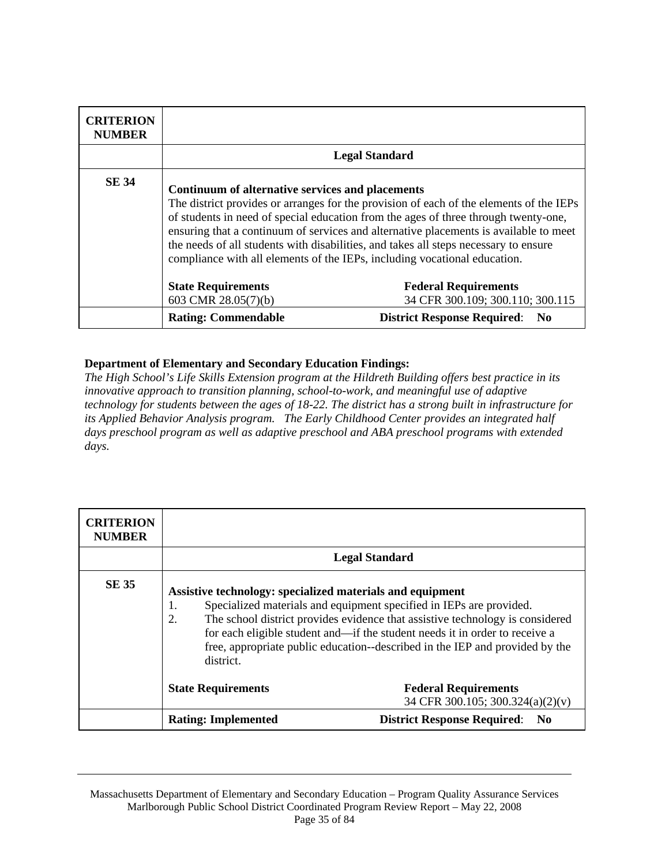| <b>CRITERION</b><br><b>NUMBER</b> |                                                                                                                                                                                                                                                                                                                                                                                                                                                                                                  |                                                                 |
|-----------------------------------|--------------------------------------------------------------------------------------------------------------------------------------------------------------------------------------------------------------------------------------------------------------------------------------------------------------------------------------------------------------------------------------------------------------------------------------------------------------------------------------------------|-----------------------------------------------------------------|
|                                   |                                                                                                                                                                                                                                                                                                                                                                                                                                                                                                  | <b>Legal Standard</b>                                           |
| <b>SE 34</b>                      | Continuum of alternative services and placements<br>The district provides or arranges for the provision of each of the elements of the IEPs<br>of students in need of special education from the ages of three through twenty-one,<br>ensuring that a continuum of services and alternative placements is available to meet<br>the needs of all students with disabilities, and takes all steps necessary to ensure<br>compliance with all elements of the IEPs, including vocational education. |                                                                 |
|                                   | <b>State Requirements</b><br>603 CMR 28.05(7)(b)                                                                                                                                                                                                                                                                                                                                                                                                                                                 | <b>Federal Requirements</b><br>34 CFR 300.109; 300.110; 300.115 |
|                                   | <b>Rating: Commendable</b>                                                                                                                                                                                                                                                                                                                                                                                                                                                                       | <b>District Response Required:</b><br>$\bf No$                  |

*The High School's Life Skills Extension program at the Hildreth Building offers best practice in its innovative approach to transition planning, school-to-work, and meaningful use of adaptive technology for students between the ages of 18-22. The district has a strong built in infrastructure for its Applied Behavior Analysis program. The Early Childhood Center provides an integrated half days preschool program as well as adaptive preschool and ABA preschool programs with extended days.* 

| <b>CRITERION</b><br><b>NUMBER</b> |                                                                                                                                                                                                                                                                                                                                                                                                           |                                                                 |
|-----------------------------------|-----------------------------------------------------------------------------------------------------------------------------------------------------------------------------------------------------------------------------------------------------------------------------------------------------------------------------------------------------------------------------------------------------------|-----------------------------------------------------------------|
|                                   | <b>Legal Standard</b>                                                                                                                                                                                                                                                                                                                                                                                     |                                                                 |
| <b>SE 35</b>                      | Assistive technology: specialized materials and equipment<br>Specialized materials and equipment specified in IEPs are provided.<br>1.<br>The school district provides evidence that assistive technology is considered<br>2.<br>for each eligible student and—if the student needs it in order to receive a<br>free, appropriate public education--described in the IEP and provided by the<br>district. |                                                                 |
|                                   | <b>State Requirements</b>                                                                                                                                                                                                                                                                                                                                                                                 | <b>Federal Requirements</b><br>34 CFR 300.105; 300.324(a)(2)(v) |
|                                   | <b>Rating: Implemented</b>                                                                                                                                                                                                                                                                                                                                                                                | <b>District Response Required:</b><br>No.                       |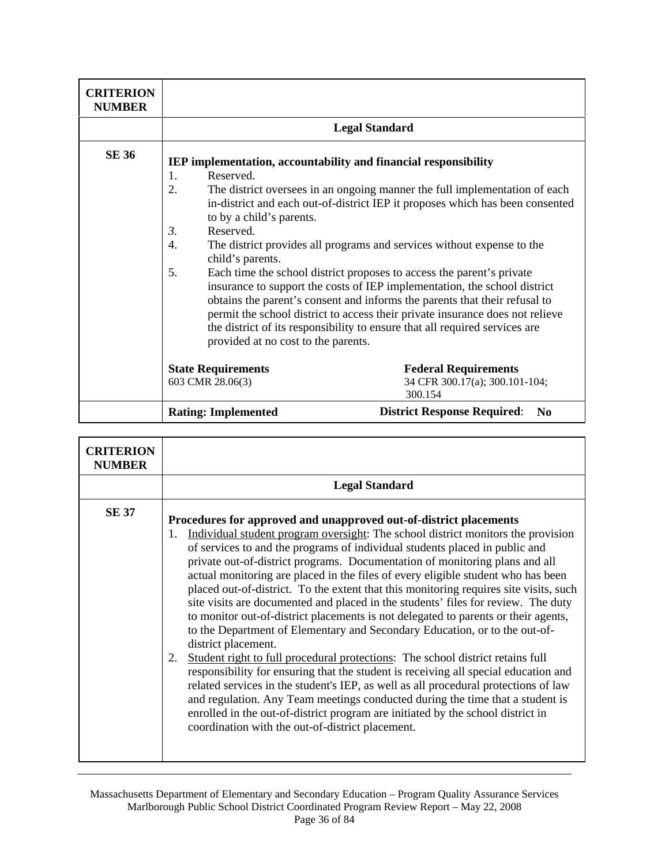| <b>CRITERION</b><br><b>NUMBER</b> |                                                                                                                                                                                                                |                                                                                                                                                                                                                                                                                                                                                                                                                                                                                                                                                                                                                                           |
|-----------------------------------|----------------------------------------------------------------------------------------------------------------------------------------------------------------------------------------------------------------|-------------------------------------------------------------------------------------------------------------------------------------------------------------------------------------------------------------------------------------------------------------------------------------------------------------------------------------------------------------------------------------------------------------------------------------------------------------------------------------------------------------------------------------------------------------------------------------------------------------------------------------------|
|                                   | <b>Legal Standard</b>                                                                                                                                                                                          |                                                                                                                                                                                                                                                                                                                                                                                                                                                                                                                                                                                                                                           |
| <b>SE 36</b>                      | IEP implementation, accountability and financial responsibility<br>Reserved.<br>1.<br>2.<br>to by a child's parents.<br>Reserved.<br>3.<br>4.<br>child's parents.<br>5.<br>provided at no cost to the parents. | The district oversees in an ongoing manner the full implementation of each<br>in-district and each out-of-district IEP it proposes which has been consented<br>The district provides all programs and services without expense to the<br>Each time the school district proposes to access the parent's private<br>insurance to support the costs of IEP implementation, the school district<br>obtains the parent's consent and informs the parents that their refusal to<br>permit the school district to access their private insurance does not relieve<br>the district of its responsibility to ensure that all required services are |
|                                   | <b>State Requirements</b><br>603 CMR 28.06(3)                                                                                                                                                                  | <b>Federal Requirements</b><br>34 CFR 300.17(a); 300.101-104;<br>300.154                                                                                                                                                                                                                                                                                                                                                                                                                                                                                                                                                                  |
|                                   | <b>Rating: Implemented</b>                                                                                                                                                                                     | <b>District Response Required:</b><br>N <sub>0</sub>                                                                                                                                                                                                                                                                                                                                                                                                                                                                                                                                                                                      |

| <b>CRITERION</b><br><b>NUMBER</b> |                                                                                                                                                                                                                                                                                                                                                                                                                                                                                                                                                                                                                                                                                                                                                                                                                                                                                                                                                                                                                                                                                                                                                                                                                                                                                      |
|-----------------------------------|--------------------------------------------------------------------------------------------------------------------------------------------------------------------------------------------------------------------------------------------------------------------------------------------------------------------------------------------------------------------------------------------------------------------------------------------------------------------------------------------------------------------------------------------------------------------------------------------------------------------------------------------------------------------------------------------------------------------------------------------------------------------------------------------------------------------------------------------------------------------------------------------------------------------------------------------------------------------------------------------------------------------------------------------------------------------------------------------------------------------------------------------------------------------------------------------------------------------------------------------------------------------------------------|
|                                   | <b>Legal Standard</b>                                                                                                                                                                                                                                                                                                                                                                                                                                                                                                                                                                                                                                                                                                                                                                                                                                                                                                                                                                                                                                                                                                                                                                                                                                                                |
| <b>SE 37</b>                      | Procedures for approved and unapproved out-of-district placements<br>Individual student program oversight: The school district monitors the provision<br>1.<br>of services to and the programs of individual students placed in public and<br>private out-of-district programs. Documentation of monitoring plans and all<br>actual monitoring are placed in the files of every eligible student who has been<br>placed out-of-district. To the extent that this monitoring requires site visits, such<br>site visits are documented and placed in the students' files for review. The duty<br>to monitor out-of-district placements is not delegated to parents or their agents,<br>to the Department of Elementary and Secondary Education, or to the out-of-<br>district placement.<br>Student right to full procedural protections: The school district retains full<br>2.<br>responsibility for ensuring that the student is receiving all special education and<br>related services in the student's IEP, as well as all procedural protections of law<br>and regulation. Any Team meetings conducted during the time that a student is<br>enrolled in the out-of-district program are initiated by the school district in<br>coordination with the out-of-district placement. |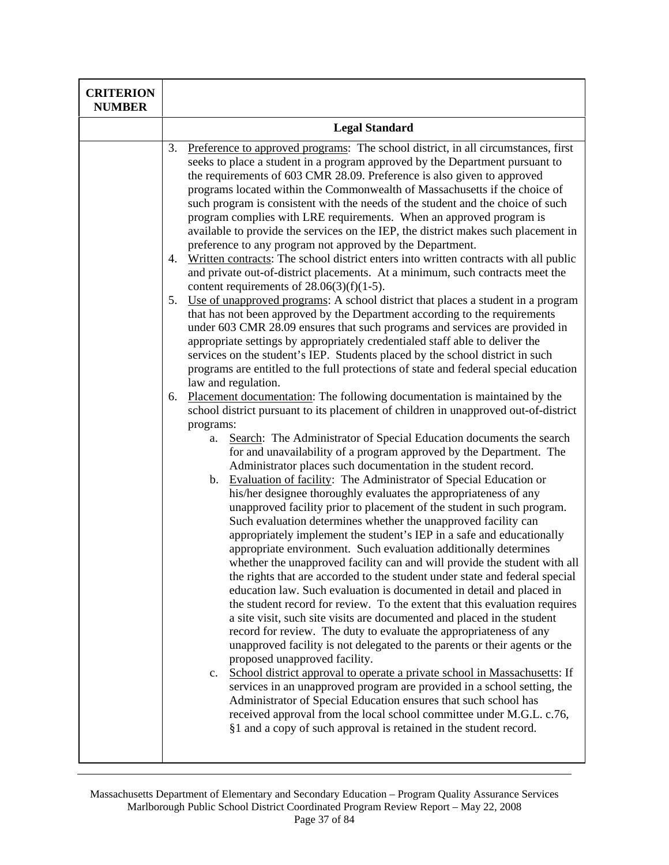| <b>Legal Standard</b><br>Preference to approved programs: The school district, in all circumstances, first<br>3.<br>seeks to place a student in a program approved by the Department pursuant to<br>the requirements of 603 CMR 28.09. Preference is also given to approved<br>programs located within the Commonwealth of Massachusetts if the choice of<br>such program is consistent with the needs of the student and the choice of such<br>program complies with LRE requirements. When an approved program is<br>available to provide the services on the IEP, the district makes such placement in<br>preference to any program not approved by the Department.<br>Written contracts: The school district enters into written contracts with all public<br>4.<br>and private out-of-district placements. At a minimum, such contracts meet the<br>content requirements of $28.06(3)(f)(1-5)$ .<br>Use of unapproved programs: A school district that places a student in a program<br>5.<br>that has not been approved by the Department according to the requirements<br>under 603 CMR 28.09 ensures that such programs and services are provided in<br>appropriate settings by appropriately credentialed staff able to deliver the<br>services on the student's IEP. Students placed by the school district in such<br>programs are entitled to the full protections of state and federal special education<br>law and regulation.<br>Placement documentation: The following documentation is maintained by the<br>6.<br>school district pursuant to its placement of children in unapproved out-of-district<br>programs:<br>Search: The Administrator of Special Education documents the search<br>a.<br>for and unavailability of a program approved by the Department. The<br>Administrator places such documentation in the student record.<br>b. Evaluation of facility: The Administrator of Special Education or<br>his/her designee thoroughly evaluates the appropriateness of any<br>unapproved facility prior to placement of the student in such program.<br>Such evaluation determines whether the unapproved facility can<br>appropriately implement the student's IEP in a safe and educationally<br>appropriate environment. Such evaluation additionally determines<br>whether the unapproved facility can and will provide the student with all<br>the rights that are accorded to the student under state and federal special<br>education law. Such evaluation is documented in detail and placed in<br>the student record for review. To the extent that this evaluation requires |
|------------------------------------------------------------------------------------------------------------------------------------------------------------------------------------------------------------------------------------------------------------------------------------------------------------------------------------------------------------------------------------------------------------------------------------------------------------------------------------------------------------------------------------------------------------------------------------------------------------------------------------------------------------------------------------------------------------------------------------------------------------------------------------------------------------------------------------------------------------------------------------------------------------------------------------------------------------------------------------------------------------------------------------------------------------------------------------------------------------------------------------------------------------------------------------------------------------------------------------------------------------------------------------------------------------------------------------------------------------------------------------------------------------------------------------------------------------------------------------------------------------------------------------------------------------------------------------------------------------------------------------------------------------------------------------------------------------------------------------------------------------------------------------------------------------------------------------------------------------------------------------------------------------------------------------------------------------------------------------------------------------------------------------------------------------------------------------------------------------------------------------------------------------------------------------------------------------------------------------------------------------------------------------------------------------------------------------------------------------------------------------------------------------------------------------------------------------------------------------------------------------------------------------------------------------------------------------------------------------------|
|                                                                                                                                                                                                                                                                                                                                                                                                                                                                                                                                                                                                                                                                                                                                                                                                                                                                                                                                                                                                                                                                                                                                                                                                                                                                                                                                                                                                                                                                                                                                                                                                                                                                                                                                                                                                                                                                                                                                                                                                                                                                                                                                                                                                                                                                                                                                                                                                                                                                                                                                                                                                                  |
| a site visit, such site visits are documented and placed in the student<br>record for review. The duty to evaluate the appropriateness of any<br>unapproved facility is not delegated to the parents or their agents or the<br>proposed unapproved facility.<br>School district approval to operate a private school in Massachusetts: If<br>$c_{\cdot}$<br>services in an unapproved program are provided in a school setting, the<br>Administrator of Special Education ensures that such school has<br>received approval from the local school committee under M.G.L. c.76,<br>§1 and a copy of such approval is retained in the student record.                                                                                                                                                                                                                                                                                                                                                                                                                                                                                                                                                                                                                                                                                                                                                                                                                                                                                                                                                                                                                                                                                                                                                                                                                                                                                                                                                                                                                                                                                                                                                                                                                                                                                                                                                                                                                                                                                                                                                              |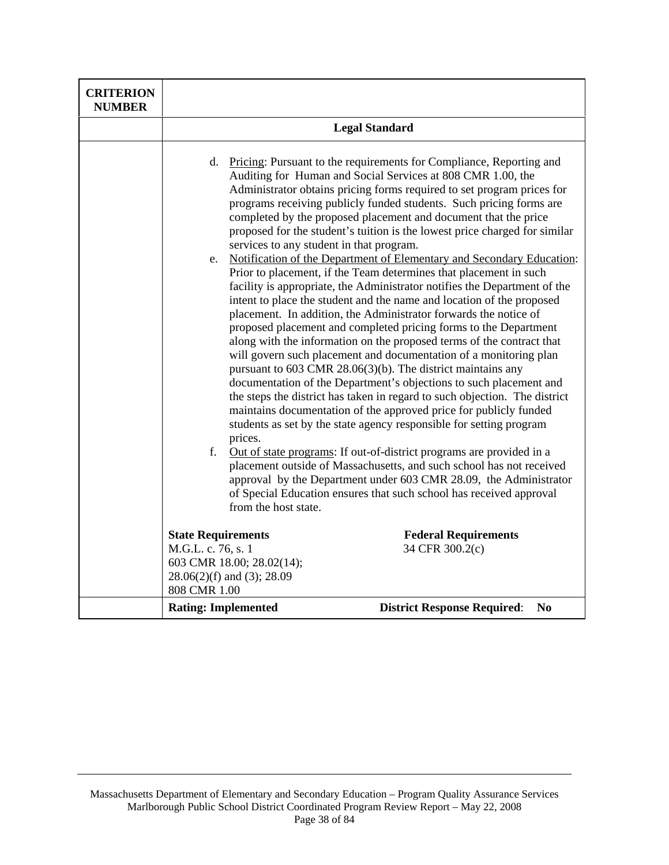| <b>CRITERION</b><br><b>NUMBER</b> |                                                                                               |                                                                                                                                                                                                                                                                                                                                                                                                                                                                                                                                                                                                                                                                                                                                                                                                                                                                                                                                                                                                                                                                                                                                                                                                                                                                                                                                                                                                                                                                                                                                                                                                                                                                                                |
|-----------------------------------|-----------------------------------------------------------------------------------------------|------------------------------------------------------------------------------------------------------------------------------------------------------------------------------------------------------------------------------------------------------------------------------------------------------------------------------------------------------------------------------------------------------------------------------------------------------------------------------------------------------------------------------------------------------------------------------------------------------------------------------------------------------------------------------------------------------------------------------------------------------------------------------------------------------------------------------------------------------------------------------------------------------------------------------------------------------------------------------------------------------------------------------------------------------------------------------------------------------------------------------------------------------------------------------------------------------------------------------------------------------------------------------------------------------------------------------------------------------------------------------------------------------------------------------------------------------------------------------------------------------------------------------------------------------------------------------------------------------------------------------------------------------------------------------------------------|
|                                   |                                                                                               | <b>Legal Standard</b>                                                                                                                                                                                                                                                                                                                                                                                                                                                                                                                                                                                                                                                                                                                                                                                                                                                                                                                                                                                                                                                                                                                                                                                                                                                                                                                                                                                                                                                                                                                                                                                                                                                                          |
|                                   | d.<br>services to any student in that program.<br>e.<br>prices.<br>f.<br>from the host state. | Pricing: Pursuant to the requirements for Compliance, Reporting and<br>Auditing for Human and Social Services at 808 CMR 1.00, the<br>Administrator obtains pricing forms required to set program prices for<br>programs receiving publicly funded students. Such pricing forms are<br>completed by the proposed placement and document that the price<br>proposed for the student's tuition is the lowest price charged for similar<br>Notification of the Department of Elementary and Secondary Education:<br>Prior to placement, if the Team determines that placement in such<br>facility is appropriate, the Administrator notifies the Department of the<br>intent to place the student and the name and location of the proposed<br>placement. In addition, the Administrator forwards the notice of<br>proposed placement and completed pricing forms to the Department<br>along with the information on the proposed terms of the contract that<br>will govern such placement and documentation of a monitoring plan<br>pursuant to $603$ CMR $28.06(3)(b)$ . The district maintains any<br>documentation of the Department's objections to such placement and<br>the steps the district has taken in regard to such objection. The district<br>maintains documentation of the approved price for publicly funded<br>students as set by the state agency responsible for setting program<br>Out of state programs: If out-of-district programs are provided in a<br>placement outside of Massachusetts, and such school has not received<br>approval by the Department under 603 CMR 28.09, the Administrator<br>of Special Education ensures that such school has received approval |
|                                   | <b>State Requirements</b>                                                                     | <b>Federal Requirements</b>                                                                                                                                                                                                                                                                                                                                                                                                                                                                                                                                                                                                                                                                                                                                                                                                                                                                                                                                                                                                                                                                                                                                                                                                                                                                                                                                                                                                                                                                                                                                                                                                                                                                    |
|                                   | M.G.L. c. 76, s. 1<br>603 CMR 18.00; 28.02(14);<br>28.06(2)(f) and (3); 28.09<br>808 CMR 1.00 | 34 CFR 300.2(c)                                                                                                                                                                                                                                                                                                                                                                                                                                                                                                                                                                                                                                                                                                                                                                                                                                                                                                                                                                                                                                                                                                                                                                                                                                                                                                                                                                                                                                                                                                                                                                                                                                                                                |
|                                   | <b>Rating: Implemented</b>                                                                    | <b>District Response Required:</b><br>N <sub>0</sub>                                                                                                                                                                                                                                                                                                                                                                                                                                                                                                                                                                                                                                                                                                                                                                                                                                                                                                                                                                                                                                                                                                                                                                                                                                                                                                                                                                                                                                                                                                                                                                                                                                           |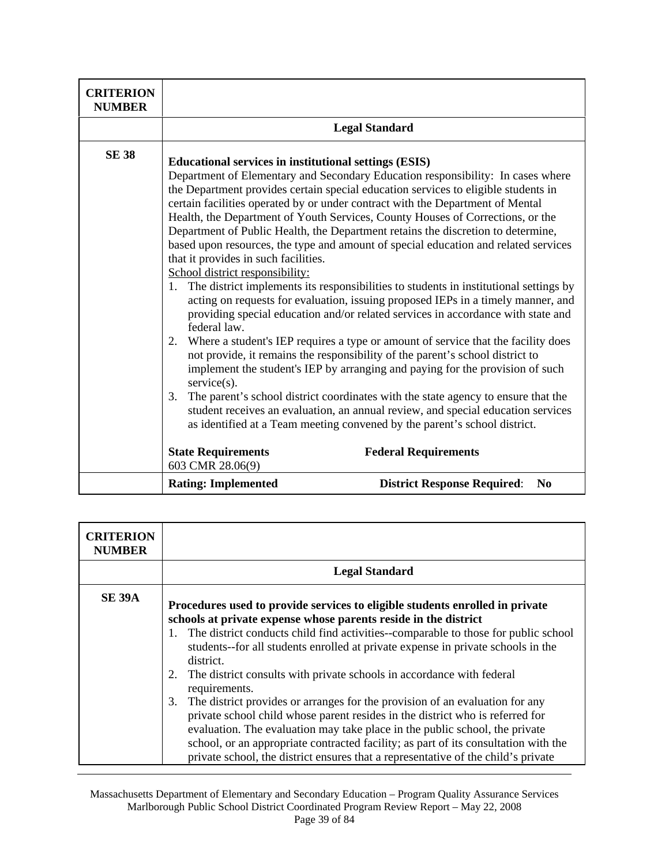| <b>CRITERION</b><br><b>NUMBER</b> |                                                                                                                                                                                                                                                                                                                                    |                                                                                                                                                                                                                                                                                                                                                                                                                                                                                                                                                                                                                                                                                                                                                                                                                                                                                                                                                                                                                                                                                                                                                                                                                                                 |
|-----------------------------------|------------------------------------------------------------------------------------------------------------------------------------------------------------------------------------------------------------------------------------------------------------------------------------------------------------------------------------|-------------------------------------------------------------------------------------------------------------------------------------------------------------------------------------------------------------------------------------------------------------------------------------------------------------------------------------------------------------------------------------------------------------------------------------------------------------------------------------------------------------------------------------------------------------------------------------------------------------------------------------------------------------------------------------------------------------------------------------------------------------------------------------------------------------------------------------------------------------------------------------------------------------------------------------------------------------------------------------------------------------------------------------------------------------------------------------------------------------------------------------------------------------------------------------------------------------------------------------------------|
|                                   |                                                                                                                                                                                                                                                                                                                                    | <b>Legal Standard</b>                                                                                                                                                                                                                                                                                                                                                                                                                                                                                                                                                                                                                                                                                                                                                                                                                                                                                                                                                                                                                                                                                                                                                                                                                           |
| <b>SE 38</b>                      | <b>Educational services in institutional settings (ESIS)</b><br>certain facilities operated by or under contract with the Department of Mental<br>that it provides in such facilities.<br>School district responsibility:<br>1.<br>federal law.<br>2.<br>$s$ ervice $(s)$ .<br>3.<br><b>State Requirements</b><br>603 CMR 28.06(9) | Department of Elementary and Secondary Education responsibility: In cases where<br>the Department provides certain special education services to eligible students in<br>Health, the Department of Youth Services, County Houses of Corrections, or the<br>Department of Public Health, the Department retains the discretion to determine,<br>based upon resources, the type and amount of special education and related services<br>The district implements its responsibilities to students in institutional settings by<br>acting on requests for evaluation, issuing proposed IEPs in a timely manner, and<br>providing special education and/or related services in accordance with state and<br>Where a student's IEP requires a type or amount of service that the facility does<br>not provide, it remains the responsibility of the parent's school district to<br>implement the student's IEP by arranging and paying for the provision of such<br>The parent's school district coordinates with the state agency to ensure that the<br>student receives an evaluation, an annual review, and special education services<br>as identified at a Team meeting convened by the parent's school district.<br><b>Federal Requirements</b> |
|                                   | <b>Rating: Implemented</b>                                                                                                                                                                                                                                                                                                         | <b>District Response Required:</b><br>N <sub>0</sub>                                                                                                                                                                                                                                                                                                                                                                                                                                                                                                                                                                                                                                                                                                                                                                                                                                                                                                                                                                                                                                                                                                                                                                                            |

| <b>CRITERION</b><br><b>NUMBER</b> |                                                                                                                                                                                                                                                                                                                                                                                                                                                                                                                                                                                                                                                                                                                                                                                                                                                                                |
|-----------------------------------|--------------------------------------------------------------------------------------------------------------------------------------------------------------------------------------------------------------------------------------------------------------------------------------------------------------------------------------------------------------------------------------------------------------------------------------------------------------------------------------------------------------------------------------------------------------------------------------------------------------------------------------------------------------------------------------------------------------------------------------------------------------------------------------------------------------------------------------------------------------------------------|
|                                   | <b>Legal Standard</b>                                                                                                                                                                                                                                                                                                                                                                                                                                                                                                                                                                                                                                                                                                                                                                                                                                                          |
| <b>SE 39A</b>                     | Procedures used to provide services to eligible students enrolled in private<br>schools at private expense whose parents reside in the district<br>The district conducts child find activities--comparable to those for public school<br>1.<br>students--for all students enrolled at private expense in private schools in the<br>district.<br>The district consults with private schools in accordance with federal<br>2.<br>requirements.<br>The district provides or arranges for the provision of an evaluation for any<br>3.<br>private school child whose parent resides in the district who is referred for<br>evaluation. The evaluation may take place in the public school, the private<br>school, or an appropriate contracted facility; as part of its consultation with the<br>private school, the district ensures that a representative of the child's private |

Massachusetts Department of Elementary and Secondary Education – Program Quality Assurance Services Marlborough Public School District Coordinated Program Review Report – May 22, 2008 Page 39 of 84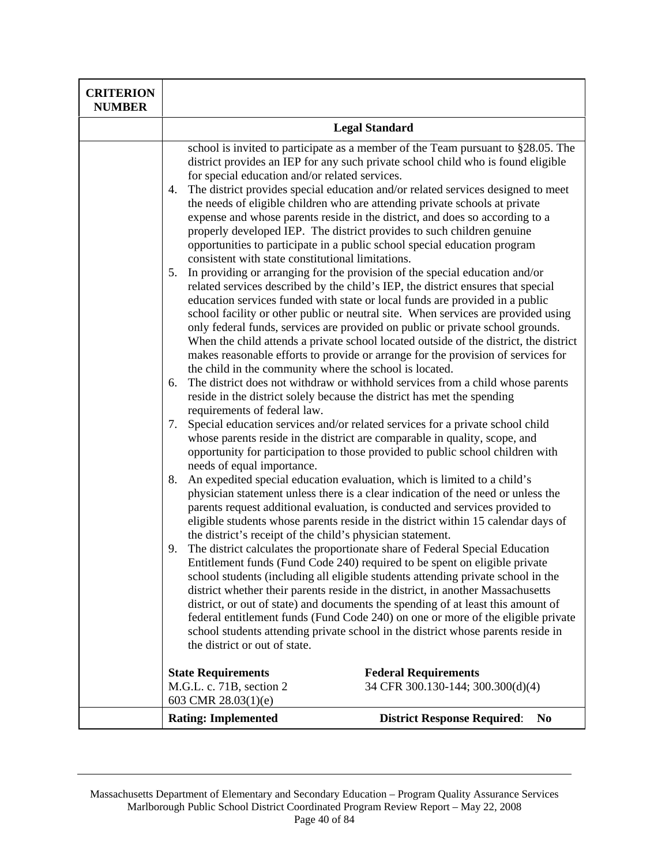| <b>CRITERION</b><br><b>NUMBER</b> |                                                                                                                                                                                                                                                                                                                                                                                                                                                                                                                                                                                                                                                                                                                                                                                                                                                                                                                                                                                                                                                                                                                                                                                                                                                                                                                                                                                                                                                                                                                                                                                                                                                                                                                                                                                                                                                                                                                                                                                                                                                                                                                                                                                                                                                                                                                                                                                                                                                                                                                                                                                                                                                                                                                                                                                                                                                                                                              |  |
|-----------------------------------|--------------------------------------------------------------------------------------------------------------------------------------------------------------------------------------------------------------------------------------------------------------------------------------------------------------------------------------------------------------------------------------------------------------------------------------------------------------------------------------------------------------------------------------------------------------------------------------------------------------------------------------------------------------------------------------------------------------------------------------------------------------------------------------------------------------------------------------------------------------------------------------------------------------------------------------------------------------------------------------------------------------------------------------------------------------------------------------------------------------------------------------------------------------------------------------------------------------------------------------------------------------------------------------------------------------------------------------------------------------------------------------------------------------------------------------------------------------------------------------------------------------------------------------------------------------------------------------------------------------------------------------------------------------------------------------------------------------------------------------------------------------------------------------------------------------------------------------------------------------------------------------------------------------------------------------------------------------------------------------------------------------------------------------------------------------------------------------------------------------------------------------------------------------------------------------------------------------------------------------------------------------------------------------------------------------------------------------------------------------------------------------------------------------------------------------------------------------------------------------------------------------------------------------------------------------------------------------------------------------------------------------------------------------------------------------------------------------------------------------------------------------------------------------------------------------------------------------------------------------------------------------------------------------|--|
|                                   | <b>Legal Standard</b>                                                                                                                                                                                                                                                                                                                                                                                                                                                                                                                                                                                                                                                                                                                                                                                                                                                                                                                                                                                                                                                                                                                                                                                                                                                                                                                                                                                                                                                                                                                                                                                                                                                                                                                                                                                                                                                                                                                                                                                                                                                                                                                                                                                                                                                                                                                                                                                                                                                                                                                                                                                                                                                                                                                                                                                                                                                                                        |  |
|                                   | school is invited to participate as a member of the Team pursuant to §28.05. The<br>district provides an IEP for any such private school child who is found eligible<br>for special education and/or related services.<br>The district provides special education and/or related services designed to meet<br>4.<br>the needs of eligible children who are attending private schools at private<br>expense and whose parents reside in the district, and does so according to a<br>properly developed IEP. The district provides to such children genuine<br>opportunities to participate in a public school special education program<br>consistent with state constitutional limitations.<br>In providing or arranging for the provision of the special education and/or<br>5.<br>related services described by the child's IEP, the district ensures that special<br>education services funded with state or local funds are provided in a public<br>school facility or other public or neutral site. When services are provided using<br>only federal funds, services are provided on public or private school grounds.<br>When the child attends a private school located outside of the district, the district<br>makes reasonable efforts to provide or arrange for the provision of services for<br>the child in the community where the school is located.<br>The district does not withdraw or withhold services from a child whose parents<br>6.<br>reside in the district solely because the district has met the spending<br>requirements of federal law.<br>Special education services and/or related services for a private school child<br>7.<br>whose parents reside in the district are comparable in quality, scope, and<br>opportunity for participation to those provided to public school children with<br>needs of equal importance.<br>An expedited special education evaluation, which is limited to a child's<br>8.<br>physician statement unless there is a clear indication of the need or unless the<br>parents request additional evaluation, is conducted and services provided to<br>eligible students whose parents reside in the district within 15 calendar days of<br>the district's receipt of the child's physician statement.<br>The district calculates the proportionate share of Federal Special Education<br>9.<br>Entitlement funds (Fund Code 240) required to be spent on eligible private<br>school students (including all eligible students attending private school in the<br>district whether their parents reside in the district, in another Massachusetts<br>district, or out of state) and documents the spending of at least this amount of<br>federal entitlement funds (Fund Code 240) on one or more of the eligible private<br>school students attending private school in the district whose parents reside in<br>the district or out of state. |  |
|                                   |                                                                                                                                                                                                                                                                                                                                                                                                                                                                                                                                                                                                                                                                                                                                                                                                                                                                                                                                                                                                                                                                                                                                                                                                                                                                                                                                                                                                                                                                                                                                                                                                                                                                                                                                                                                                                                                                                                                                                                                                                                                                                                                                                                                                                                                                                                                                                                                                                                                                                                                                                                                                                                                                                                                                                                                                                                                                                                              |  |
|                                   |                                                                                                                                                                                                                                                                                                                                                                                                                                                                                                                                                                                                                                                                                                                                                                                                                                                                                                                                                                                                                                                                                                                                                                                                                                                                                                                                                                                                                                                                                                                                                                                                                                                                                                                                                                                                                                                                                                                                                                                                                                                                                                                                                                                                                                                                                                                                                                                                                                                                                                                                                                                                                                                                                                                                                                                                                                                                                                              |  |
|                                   |                                                                                                                                                                                                                                                                                                                                                                                                                                                                                                                                                                                                                                                                                                                                                                                                                                                                                                                                                                                                                                                                                                                                                                                                                                                                                                                                                                                                                                                                                                                                                                                                                                                                                                                                                                                                                                                                                                                                                                                                                                                                                                                                                                                                                                                                                                                                                                                                                                                                                                                                                                                                                                                                                                                                                                                                                                                                                                              |  |
|                                   |                                                                                                                                                                                                                                                                                                                                                                                                                                                                                                                                                                                                                                                                                                                                                                                                                                                                                                                                                                                                                                                                                                                                                                                                                                                                                                                                                                                                                                                                                                                                                                                                                                                                                                                                                                                                                                                                                                                                                                                                                                                                                                                                                                                                                                                                                                                                                                                                                                                                                                                                                                                                                                                                                                                                                                                                                                                                                                              |  |
|                                   |                                                                                                                                                                                                                                                                                                                                                                                                                                                                                                                                                                                                                                                                                                                                                                                                                                                                                                                                                                                                                                                                                                                                                                                                                                                                                                                                                                                                                                                                                                                                                                                                                                                                                                                                                                                                                                                                                                                                                                                                                                                                                                                                                                                                                                                                                                                                                                                                                                                                                                                                                                                                                                                                                                                                                                                                                                                                                                              |  |
|                                   | <b>State Requirements</b><br><b>Federal Requirements</b><br>M.G.L. c. 71B, section 2<br>34 CFR 300.130-144; 300.300(d)(4)                                                                                                                                                                                                                                                                                                                                                                                                                                                                                                                                                                                                                                                                                                                                                                                                                                                                                                                                                                                                                                                                                                                                                                                                                                                                                                                                                                                                                                                                                                                                                                                                                                                                                                                                                                                                                                                                                                                                                                                                                                                                                                                                                                                                                                                                                                                                                                                                                                                                                                                                                                                                                                                                                                                                                                                    |  |
|                                   | 603 CMR 28.03(1)(e)<br><b>Rating: Implemented</b><br><b>District Response Required:</b><br>N <sub>0</sub>                                                                                                                                                                                                                                                                                                                                                                                                                                                                                                                                                                                                                                                                                                                                                                                                                                                                                                                                                                                                                                                                                                                                                                                                                                                                                                                                                                                                                                                                                                                                                                                                                                                                                                                                                                                                                                                                                                                                                                                                                                                                                                                                                                                                                                                                                                                                                                                                                                                                                                                                                                                                                                                                                                                                                                                                    |  |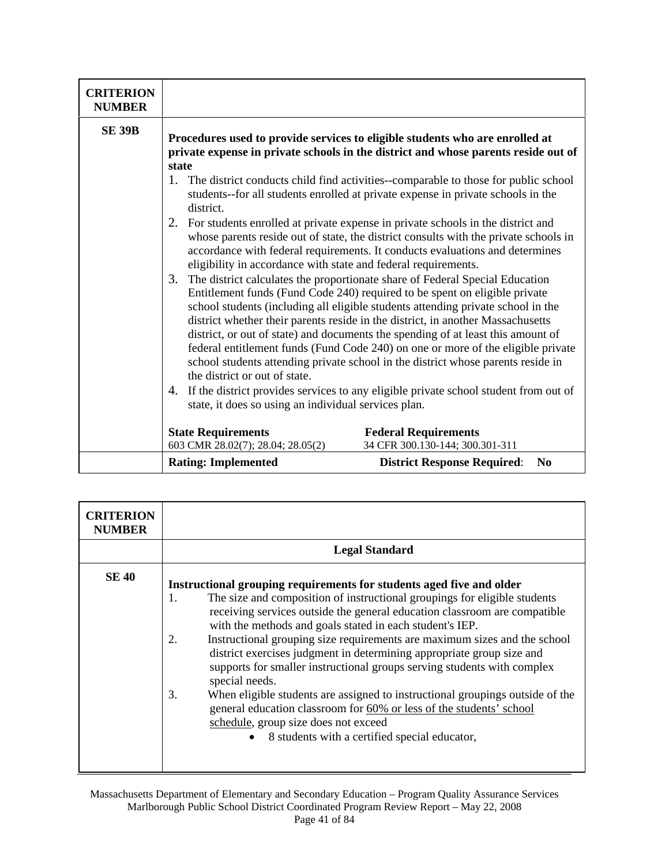| <b>CRITERION</b><br><b>NUMBER</b> |                                                                                                                                                                                                                                                                                                                                                                                                                                                                                                                                                                                                                                                                                                                                                                                                                                                                                                                                                                                      |                                                                                      |
|-----------------------------------|--------------------------------------------------------------------------------------------------------------------------------------------------------------------------------------------------------------------------------------------------------------------------------------------------------------------------------------------------------------------------------------------------------------------------------------------------------------------------------------------------------------------------------------------------------------------------------------------------------------------------------------------------------------------------------------------------------------------------------------------------------------------------------------------------------------------------------------------------------------------------------------------------------------------------------------------------------------------------------------|--------------------------------------------------------------------------------------|
| <b>SE 39B</b>                     | Procedures used to provide services to eligible students who are enrolled at<br>private expense in private schools in the district and whose parents reside out of<br>state<br>The district conducts child find activities--comparable to those for public school<br>1.<br>students--for all students enrolled at private expense in private schools in the                                                                                                                                                                                                                                                                                                                                                                                                                                                                                                                                                                                                                          |                                                                                      |
|                                   | district.<br>For students enrolled at private expense in private schools in the district and<br>2.<br>whose parents reside out of state, the district consults with the private schools in<br>accordance with federal requirements. It conducts evaluations and determines<br>eligibility in accordance with state and federal requirements.<br>The district calculates the proportionate share of Federal Special Education<br>3.<br>Entitlement funds (Fund Code 240) required to be spent on eligible private<br>school students (including all eligible students attending private school in the<br>district whether their parents reside in the district, in another Massachusetts<br>district, or out of state) and documents the spending of at least this amount of<br>federal entitlement funds (Fund Code 240) on one or more of the eligible private<br>school students attending private school in the district whose parents reside in<br>the district or out of state. |                                                                                      |
|                                   |                                                                                                                                                                                                                                                                                                                                                                                                                                                                                                                                                                                                                                                                                                                                                                                                                                                                                                                                                                                      |                                                                                      |
|                                   | 4.<br>state, it does so using an individual services plan.                                                                                                                                                                                                                                                                                                                                                                                                                                                                                                                                                                                                                                                                                                                                                                                                                                                                                                                           | If the district provides services to any eligible private school student from out of |
|                                   | <b>State Requirements</b><br>603 CMR 28.02(7); 28.04; 28.05(2)                                                                                                                                                                                                                                                                                                                                                                                                                                                                                                                                                                                                                                                                                                                                                                                                                                                                                                                       | <b>Federal Requirements</b><br>34 CFR 300.130-144; 300.301-311                       |
|                                   | <b>Rating: Implemented</b>                                                                                                                                                                                                                                                                                                                                                                                                                                                                                                                                                                                                                                                                                                                                                                                                                                                                                                                                                           | N <sub>0</sub><br><b>District Response Required:</b>                                 |

| <b>CRITERION</b><br><b>NUMBER</b> |                                                                                                                                                                                                                                                                                                                                                                                                                                                                                                                                                                                                                                                                                                                                                                                                                    |  |  |
|-----------------------------------|--------------------------------------------------------------------------------------------------------------------------------------------------------------------------------------------------------------------------------------------------------------------------------------------------------------------------------------------------------------------------------------------------------------------------------------------------------------------------------------------------------------------------------------------------------------------------------------------------------------------------------------------------------------------------------------------------------------------------------------------------------------------------------------------------------------------|--|--|
|                                   | <b>Legal Standard</b>                                                                                                                                                                                                                                                                                                                                                                                                                                                                                                                                                                                                                                                                                                                                                                                              |  |  |
| <b>SE 40</b>                      | Instructional grouping requirements for students aged five and older<br>The size and composition of instructional groupings for eligible students<br>1.<br>receiving services outside the general education classroom are compatible<br>with the methods and goals stated in each student's IEP.<br>Instructional grouping size requirements are maximum sizes and the school<br>2.<br>district exercises judgment in determining appropriate group size and<br>supports for smaller instructional groups serving students with complex<br>special needs.<br>3.<br>When eligible students are assigned to instructional groupings outside of the<br>general education classroom for 60% or less of the students' school<br>schedule, group size does not exceed<br>• 8 students with a certified special educator, |  |  |

Massachusetts Department of Elementary and Secondary Education – Program Quality Assurance Services Marlborough Public School District Coordinated Program Review Report – May 22, 2008 Page 41 of 84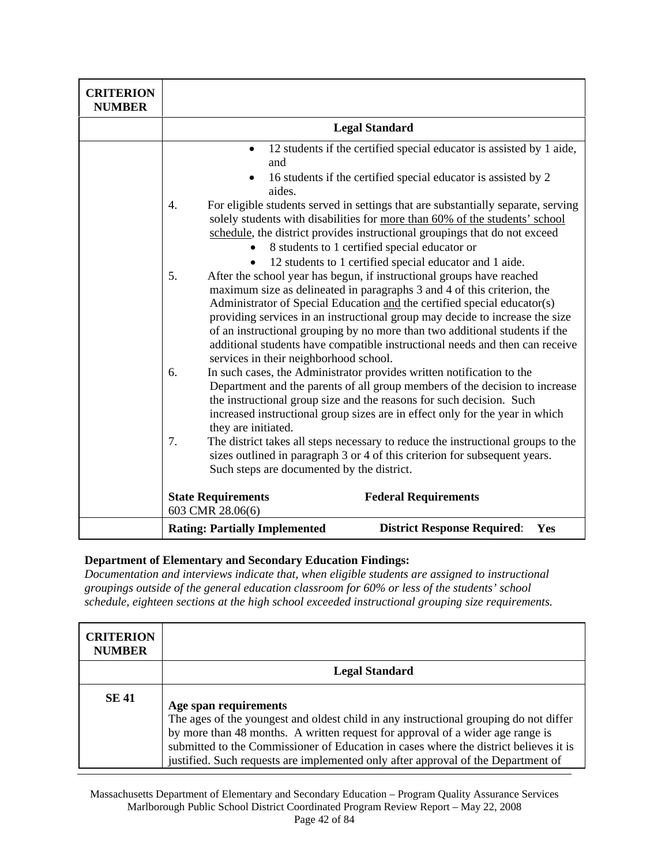| <b>CRITERION</b><br><b>NUMBER</b> |                                                                                                                                                                                                                                                                                                                                                                                                                                                                                                                                                                                        |  |  |
|-----------------------------------|----------------------------------------------------------------------------------------------------------------------------------------------------------------------------------------------------------------------------------------------------------------------------------------------------------------------------------------------------------------------------------------------------------------------------------------------------------------------------------------------------------------------------------------------------------------------------------------|--|--|
|                                   | <b>Legal Standard</b>                                                                                                                                                                                                                                                                                                                                                                                                                                                                                                                                                                  |  |  |
|                                   | 12 students if the certified special educator is assisted by 1 aide,<br>$\bullet$<br>and<br>16 students if the certified special educator is assisted by 2<br>aides.<br>For eligible students served in settings that are substantially separate, serving<br>4.<br>solely students with disabilities for more than 60% of the students' school<br>schedule, the district provides instructional groupings that do not exceed<br>8 students to 1 certified special educator or                                                                                                          |  |  |
|                                   | 12 students to 1 certified special educator and 1 aide.<br>5.<br>After the school year has begun, if instructional groups have reached<br>maximum size as delineated in paragraphs 3 and 4 of this criterion, the<br>Administrator of Special Education and the certified special educator(s)<br>providing services in an instructional group may decide to increase the size<br>of an instructional grouping by no more than two additional students if the<br>additional students have compatible instructional needs and then can receive<br>services in their neighborhood school. |  |  |
|                                   | In such cases, the Administrator provides written notification to the<br>6.<br>Department and the parents of all group members of the decision to increase<br>the instructional group size and the reasons for such decision. Such<br>increased instructional group sizes are in effect only for the year in which<br>they are initiated.                                                                                                                                                                                                                                              |  |  |
|                                   | 7.<br>The district takes all steps necessary to reduce the instructional groups to the<br>sizes outlined in paragraph 3 or 4 of this criterion for subsequent years.<br>Such steps are documented by the district.<br><b>State Requirements</b><br><b>Federal Requirements</b>                                                                                                                                                                                                                                                                                                         |  |  |
|                                   | 603 CMR 28.06(6)<br><b>District Response Required:</b><br><b>Rating: Partially Implemented</b><br>Yes                                                                                                                                                                                                                                                                                                                                                                                                                                                                                  |  |  |

*Documentation and interviews indicate that, when eligible students are assigned to instructional groupings outside of the general education classroom for 60% or less of the students' school schedule, eighteen sections at the high school exceeded instructional grouping size requirements.* 

| <b>CRITERION</b><br><b>NUMBER</b> |                                                                                                                                                                                                                                                                                                                                                                                |
|-----------------------------------|--------------------------------------------------------------------------------------------------------------------------------------------------------------------------------------------------------------------------------------------------------------------------------------------------------------------------------------------------------------------------------|
|                                   | <b>Legal Standard</b>                                                                                                                                                                                                                                                                                                                                                          |
| <b>SE 41</b>                      | Age span requirements<br>The ages of the youngest and oldest child in any instructional grouping do not differ<br>by more than 48 months. A written request for approval of a wider age range is<br>submitted to the Commissioner of Education in cases where the district believes it is<br>justified. Such requests are implemented only after approval of the Department of |

Massachusetts Department of Elementary and Secondary Education – Program Quality Assurance Services Marlborough Public School District Coordinated Program Review Report – May 22, 2008 Page 42 of 84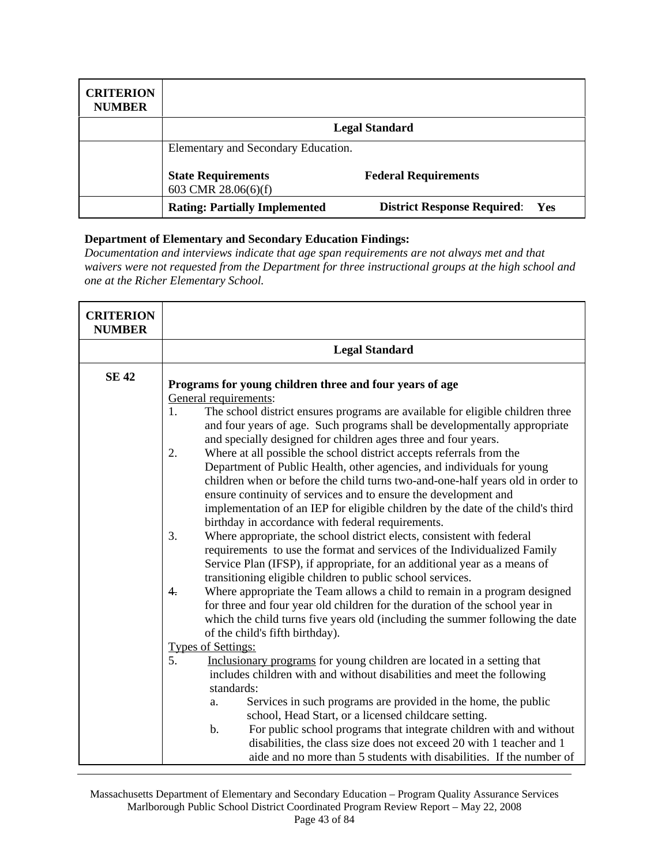| <b>CRITERION</b><br><b>NUMBER</b> |                                                  |                                           |
|-----------------------------------|--------------------------------------------------|-------------------------------------------|
|                                   |                                                  | <b>Legal Standard</b>                     |
|                                   | Elementary and Secondary Education.              |                                           |
|                                   | <b>State Requirements</b><br>603 CMR 28.06(6)(f) | <b>Federal Requirements</b>               |
|                                   | <b>Rating: Partially Implemented</b>             | <b>District Response Required:</b><br>Yes |

*Documentation and interviews indicate that age span requirements are not always met and that waivers were not requested from the Department for three instructional groups at the high school and one at the Richer Elementary School.* 

| <b>CRITERION</b><br><b>NUMBER</b> |                                                                                                                                                                                                                                                                                                                                                                                                                                                                                                                                                                                                                                                                                                                                                                                                                                                                                                                                                                                                                                                                                                                                                                                                                                                                                                                                                                                                                                                                                                                                                                                                                                                                                                                                                                                                                                                                                                                                                              |
|-----------------------------------|--------------------------------------------------------------------------------------------------------------------------------------------------------------------------------------------------------------------------------------------------------------------------------------------------------------------------------------------------------------------------------------------------------------------------------------------------------------------------------------------------------------------------------------------------------------------------------------------------------------------------------------------------------------------------------------------------------------------------------------------------------------------------------------------------------------------------------------------------------------------------------------------------------------------------------------------------------------------------------------------------------------------------------------------------------------------------------------------------------------------------------------------------------------------------------------------------------------------------------------------------------------------------------------------------------------------------------------------------------------------------------------------------------------------------------------------------------------------------------------------------------------------------------------------------------------------------------------------------------------------------------------------------------------------------------------------------------------------------------------------------------------------------------------------------------------------------------------------------------------------------------------------------------------------------------------------------------------|
|                                   | <b>Legal Standard</b>                                                                                                                                                                                                                                                                                                                                                                                                                                                                                                                                                                                                                                                                                                                                                                                                                                                                                                                                                                                                                                                                                                                                                                                                                                                                                                                                                                                                                                                                                                                                                                                                                                                                                                                                                                                                                                                                                                                                        |
| <b>SE 42</b>                      | Programs for young children three and four years of age<br>General requirements:<br>The school district ensures programs are available for eligible children three<br>1.<br>and four years of age. Such programs shall be developmentally appropriate<br>and specially designed for children ages three and four years.<br>Where at all possible the school district accepts referrals from the<br>2.<br>Department of Public Health, other agencies, and individuals for young<br>children when or before the child turns two-and-one-half years old in order to<br>ensure continuity of services and to ensure the development and<br>implementation of an IEP for eligible children by the date of the child's third<br>birthday in accordance with federal requirements.<br>Where appropriate, the school district elects, consistent with federal<br>3.<br>requirements to use the format and services of the Individualized Family<br>Service Plan (IFSP), if appropriate, for an additional year as a means of<br>transitioning eligible children to public school services.<br>Where appropriate the Team allows a child to remain in a program designed<br>4.<br>for three and four year old children for the duration of the school year in<br>which the child turns five years old (including the summer following the date<br>of the child's fifth birthday).<br>Types of Settings:<br>5. Inclusional<br>Inclusionary programs for young children are located in a setting that<br>includes children with and without disabilities and meet the following<br>standards:<br>Services in such programs are provided in the home, the public<br>a.<br>school, Head Start, or a licensed childcare setting.<br>For public school programs that integrate children with and without<br>$\mathbf{b}$ .<br>disabilities, the class size does not exceed 20 with 1 teacher and 1<br>aide and no more than 5 students with disabilities. If the number of |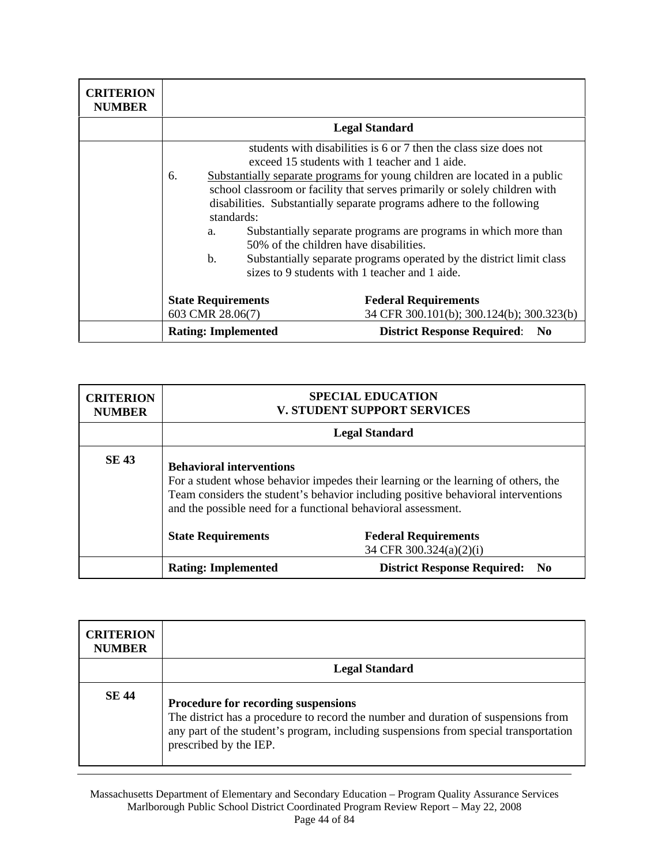| <b>CRITERION</b><br><b>NUMBER</b> |                                               |                                                                                                                                                                                                                                                                                                                                                                                                                                                                                                                                                                                                |
|-----------------------------------|-----------------------------------------------|------------------------------------------------------------------------------------------------------------------------------------------------------------------------------------------------------------------------------------------------------------------------------------------------------------------------------------------------------------------------------------------------------------------------------------------------------------------------------------------------------------------------------------------------------------------------------------------------|
|                                   | <b>Legal Standard</b>                         |                                                                                                                                                                                                                                                                                                                                                                                                                                                                                                                                                                                                |
|                                   | 6.<br>standards:<br>a.<br>$\mathbf{b}$ .      | students with disabilities is 6 or 7 then the class size does not<br>exceed 15 students with 1 teacher and 1 aide.<br>Substantially separate programs for young children are located in a public<br>school classroom or facility that serves primarily or solely children with<br>disabilities. Substantially separate programs adhere to the following<br>Substantially separate programs are programs in which more than<br>50% of the children have disabilities.<br>Substantially separate programs operated by the district limit class<br>sizes to 9 students with 1 teacher and 1 aide. |
|                                   | <b>State Requirements</b><br>603 CMR 28.06(7) | <b>Federal Requirements</b><br>34 CFR 300.101(b); 300.124(b); 300.323(b)                                                                                                                                                                                                                                                                                                                                                                                                                                                                                                                       |
|                                   | <b>Rating: Implemented</b>                    | <b>District Response Required:</b><br>N <sub>0</sub>                                                                                                                                                                                                                                                                                                                                                                                                                                                                                                                                           |

| <b>CRITERION</b><br><b>NUMBER</b> |                                                                                                                                                                                                                                                                             | <b>SPECIAL EDUCATION</b><br>V. STUDENT SUPPORT SERVICES |
|-----------------------------------|-----------------------------------------------------------------------------------------------------------------------------------------------------------------------------------------------------------------------------------------------------------------------------|---------------------------------------------------------|
|                                   | <b>Legal Standard</b>                                                                                                                                                                                                                                                       |                                                         |
| <b>SE 43</b>                      | <b>Behavioral interventions</b><br>For a student whose behavior impedes their learning or the learning of others, the<br>Team considers the student's behavior including positive behavioral interventions<br>and the possible need for a functional behavioral assessment. |                                                         |
|                                   | <b>State Requirements</b>                                                                                                                                                                                                                                                   | <b>Federal Requirements</b><br>34 CFR 300.324(a)(2)(i)  |
|                                   | <b>Rating: Implemented</b>                                                                                                                                                                                                                                                  | <b>District Response Required: No</b>                   |

| <b>CRITERION</b><br><b>NUMBER</b> |                                                                                                                                                                                                                                             |
|-----------------------------------|---------------------------------------------------------------------------------------------------------------------------------------------------------------------------------------------------------------------------------------------|
|                                   | <b>Legal Standard</b>                                                                                                                                                                                                                       |
| <b>SE 44</b>                      | Procedure for recording suspensions<br>The district has a procedure to record the number and duration of suspensions from<br>any part of the student's program, including suspensions from special transportation<br>prescribed by the IEP. |

Massachusetts Department of Elementary and Secondary Education – Program Quality Assurance Services Marlborough Public School District Coordinated Program Review Report – May 22, 2008 Page 44 of 84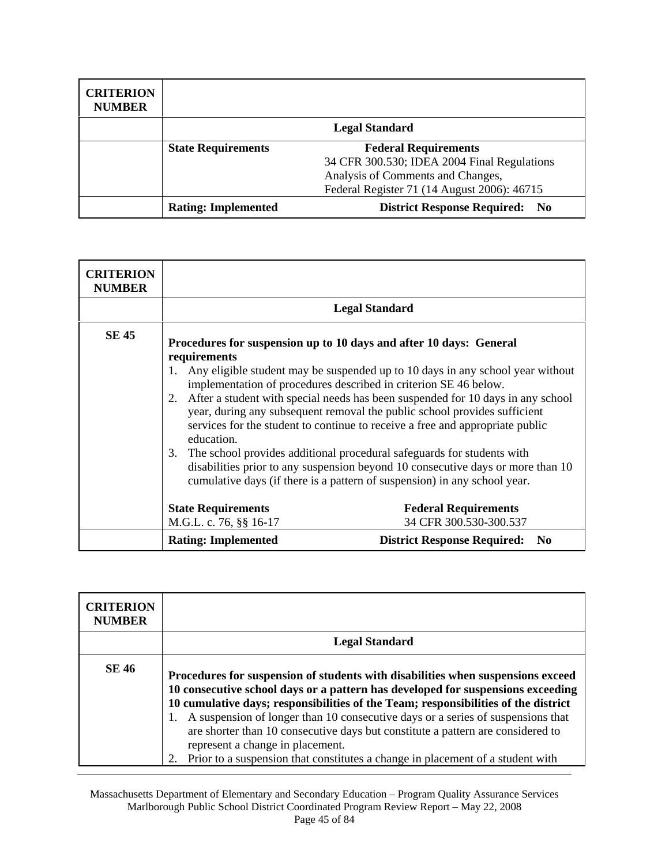| <b>CRITERION</b><br><b>NUMBER</b> |                                                          |                                                              |
|-----------------------------------|----------------------------------------------------------|--------------------------------------------------------------|
|                                   |                                                          | <b>Legal Standard</b>                                        |
|                                   | <b>Federal Requirements</b><br><b>State Requirements</b> |                                                              |
|                                   |                                                          | 34 CFR 300.530; IDEA 2004 Final Regulations                  |
|                                   |                                                          | Analysis of Comments and Changes,                            |
|                                   |                                                          | Federal Register 71 (14 August 2006): 46715                  |
|                                   | <b>Rating: Implemented</b>                               | <b>District Response Required:</b><br>$\mathbf{N}\mathbf{0}$ |

| <b>CRITERION</b><br><b>NUMBER</b> |                                                                                                                                                                                                                                                                                                                                                                                                                                                                                                                                                                                                                                                                                                                                                            |                                                      |
|-----------------------------------|------------------------------------------------------------------------------------------------------------------------------------------------------------------------------------------------------------------------------------------------------------------------------------------------------------------------------------------------------------------------------------------------------------------------------------------------------------------------------------------------------------------------------------------------------------------------------------------------------------------------------------------------------------------------------------------------------------------------------------------------------------|------------------------------------------------------|
|                                   |                                                                                                                                                                                                                                                                                                                                                                                                                                                                                                                                                                                                                                                                                                                                                            | <b>Legal Standard</b>                                |
| <b>SE 45</b>                      | Procedures for suspension up to 10 days and after 10 days: General<br>requirements<br>1. Any eligible student may be suspended up to 10 days in any school year without<br>implementation of procedures described in criterion SE 46 below.<br>2. After a student with special needs has been suspended for 10 days in any school<br>year, during any subsequent removal the public school provides sufficient<br>services for the student to continue to receive a free and appropriate public<br>education.<br>3. The school provides additional procedural safeguards for students with<br>disabilities prior to any suspension beyond 10 consecutive days or more than 10<br>cumulative days (if there is a pattern of suspension) in any school year. |                                                      |
|                                   | <b>State Requirements</b>                                                                                                                                                                                                                                                                                                                                                                                                                                                                                                                                                                                                                                                                                                                                  | <b>Federal Requirements</b>                          |
|                                   | M.G.L. c. 76, §§ 16-17                                                                                                                                                                                                                                                                                                                                                                                                                                                                                                                                                                                                                                                                                                                                     | 34 CFR 300.530-300.537                               |
|                                   | <b>Rating: Implemented</b>                                                                                                                                                                                                                                                                                                                                                                                                                                                                                                                                                                                                                                                                                                                                 | <b>District Response Required:</b><br>N <sub>0</sub> |

| <b>CRITERION</b><br><b>NUMBER</b> |                                                                                                                                                                                                                                                                                                                                                                                                                                                                                                                                                            |
|-----------------------------------|------------------------------------------------------------------------------------------------------------------------------------------------------------------------------------------------------------------------------------------------------------------------------------------------------------------------------------------------------------------------------------------------------------------------------------------------------------------------------------------------------------------------------------------------------------|
|                                   | <b>Legal Standard</b>                                                                                                                                                                                                                                                                                                                                                                                                                                                                                                                                      |
| <b>SE 46</b>                      | Procedures for suspension of students with disabilities when suspensions exceed<br>10 consecutive school days or a pattern has developed for suspensions exceeding<br>10 cumulative days; responsibilities of the Team; responsibilities of the district<br>A suspension of longer than 10 consecutive days or a series of suspensions that<br>are shorter than 10 consecutive days but constitute a pattern are considered to<br>represent a change in placement.<br>Prior to a suspension that constitutes a change in placement of a student with<br>2. |

Massachusetts Department of Elementary and Secondary Education – Program Quality Assurance Services Marlborough Public School District Coordinated Program Review Report – May 22, 2008 Page 45 of 84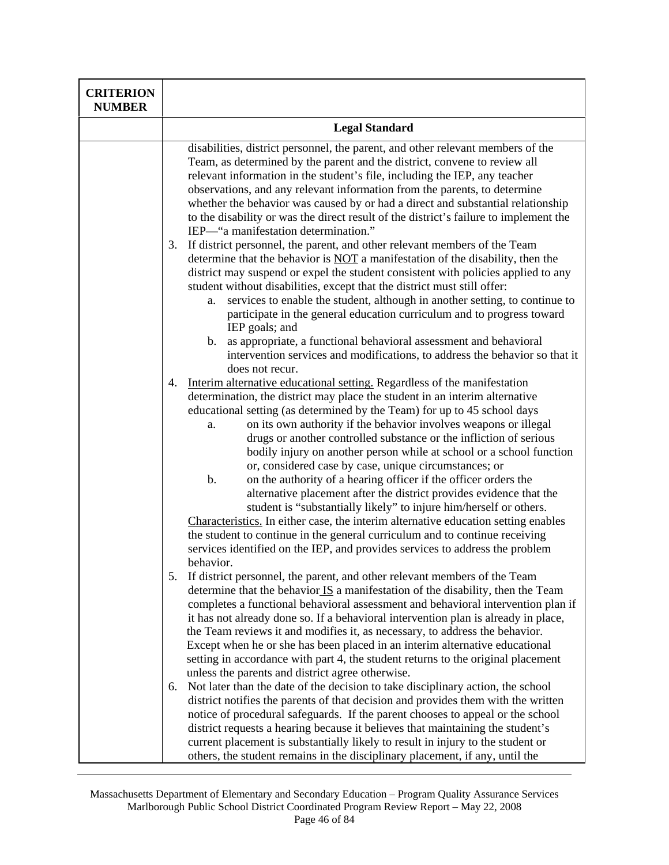| <b>CRITERION</b><br><b>NUMBER</b> |                                                                                                                                                                                                                                                                                                                                                                                                                                                                                                                                                                                                                                                                                                                                                                                                                                                                                                                                                                                                                             |
|-----------------------------------|-----------------------------------------------------------------------------------------------------------------------------------------------------------------------------------------------------------------------------------------------------------------------------------------------------------------------------------------------------------------------------------------------------------------------------------------------------------------------------------------------------------------------------------------------------------------------------------------------------------------------------------------------------------------------------------------------------------------------------------------------------------------------------------------------------------------------------------------------------------------------------------------------------------------------------------------------------------------------------------------------------------------------------|
|                                   | <b>Legal Standard</b>                                                                                                                                                                                                                                                                                                                                                                                                                                                                                                                                                                                                                                                                                                                                                                                                                                                                                                                                                                                                       |
|                                   | disabilities, district personnel, the parent, and other relevant members of the<br>Team, as determined by the parent and the district, convene to review all<br>relevant information in the student's file, including the IEP, any teacher<br>observations, and any relevant information from the parents, to determine<br>whether the behavior was caused by or had a direct and substantial relationship<br>to the disability or was the direct result of the district's failure to implement the<br>IEP—"a manifestation determination."                                                                                                                                                                                                                                                                                                                                                                                                                                                                                 |
|                                   | If district personnel, the parent, and other relevant members of the Team<br>3.<br>determine that the behavior is NOT a manifestation of the disability, then the<br>district may suspend or expel the student consistent with policies applied to any<br>student without disabilities, except that the district must still offer:<br>services to enable the student, although in another setting, to continue to<br>a.<br>participate in the general education curriculum and to progress toward<br>IEP goals; and<br>as appropriate, a functional behavioral assessment and behavioral<br>b.<br>intervention services and modifications, to address the behavior so that it                                                                                                                                                                                                                                                                                                                                               |
|                                   | does not recur.<br>Interim alternative educational setting. Regardless of the manifestation<br>4.<br>determination, the district may place the student in an interim alternative<br>educational setting (as determined by the Team) for up to 45 school days<br>on its own authority if the behavior involves weapons or illegal<br>a.<br>drugs or another controlled substance or the infliction of serious<br>bodily injury on another person while at school or a school function<br>or, considered case by case, unique circumstances; or<br>$b$ .<br>on the authority of a hearing officer if the officer orders the<br>alternative placement after the district provides evidence that the<br>student is "substantially likely" to injure him/herself or others.<br>Characteristics. In either case, the interim alternative education setting enables<br>the student to continue in the general curriculum and to continue receiving<br>services identified on the IEP, and provides services to address the problem |
|                                   | behavior.<br>If district personnel, the parent, and other relevant members of the Team<br>5.<br>determine that the behavior $\overline{IS}$ a manifestation of the disability, then the Team<br>completes a functional behavioral assessment and behavioral intervention plan if<br>it has not already done so. If a behavioral intervention plan is already in place,<br>the Team reviews it and modifies it, as necessary, to address the behavior.<br>Except when he or she has been placed in an interim alternative educational<br>setting in accordance with part 4, the student returns to the original placement<br>unless the parents and district agree otherwise.                                                                                                                                                                                                                                                                                                                                                |
|                                   | Not later than the date of the decision to take disciplinary action, the school<br>6.<br>district notifies the parents of that decision and provides them with the written<br>notice of procedural safeguards. If the parent chooses to appeal or the school<br>district requests a hearing because it believes that maintaining the student's<br>current placement is substantially likely to result in injury to the student or<br>others, the student remains in the disciplinary placement, if any, until the                                                                                                                                                                                                                                                                                                                                                                                                                                                                                                           |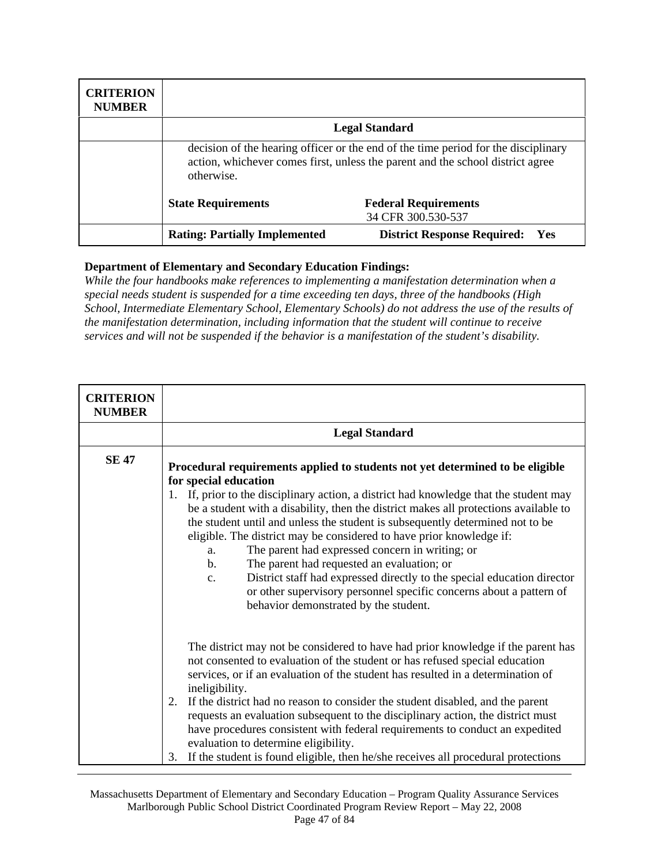| <b>CRITERION</b><br><b>NUMBER</b> |                                                                                                                                                                                    |                                                   |
|-----------------------------------|------------------------------------------------------------------------------------------------------------------------------------------------------------------------------------|---------------------------------------------------|
|                                   |                                                                                                                                                                                    | <b>Legal Standard</b>                             |
|                                   | decision of the hearing officer or the end of the time period for the disciplinary<br>action, whichever comes first, unless the parent and the school district agree<br>otherwise. |                                                   |
|                                   | <b>State Requirements</b>                                                                                                                                                          | <b>Federal Requirements</b><br>34 CFR 300.530-537 |
|                                   | <b>Rating: Partially Implemented</b>                                                                                                                                               | <b>District Response Required:</b><br><b>Yes</b>  |

*While the four handbooks make references to implementing a manifestation determination when a special needs student is suspended for a time exceeding ten days, three of the handbooks (High School, Intermediate Elementary School, Elementary Schools) do not address the use of the results of the manifestation determination, including information that the student will continue to receive services and will not be suspended if the behavior is a manifestation of the student's disability.* 

| <b>CRITERION</b><br><b>NUMBER</b> |                                                                                                                                                                                                                                                                                                                                                                                                                                                                                                                                                                                                                                                                                                                                                                                        |  |
|-----------------------------------|----------------------------------------------------------------------------------------------------------------------------------------------------------------------------------------------------------------------------------------------------------------------------------------------------------------------------------------------------------------------------------------------------------------------------------------------------------------------------------------------------------------------------------------------------------------------------------------------------------------------------------------------------------------------------------------------------------------------------------------------------------------------------------------|--|
|                                   | <b>Legal Standard</b>                                                                                                                                                                                                                                                                                                                                                                                                                                                                                                                                                                                                                                                                                                                                                                  |  |
| <b>SE 47</b>                      | Procedural requirements applied to students not yet determined to be eligible<br>for special education<br>1. If, prior to the disciplinary action, a district had knowledge that the student may<br>be a student with a disability, then the district makes all protections available to<br>the student until and unless the student is subsequently determined not to be<br>eligible. The district may be considered to have prior knowledge if:<br>The parent had expressed concern in writing; or<br>a.<br>The parent had requested an evaluation; or<br>$\mathbf{b}$ .<br>District staff had expressed directly to the special education director<br>$C_{\bullet}$<br>or other supervisory personnel specific concerns about a pattern of<br>behavior demonstrated by the student. |  |
|                                   | The district may not be considered to have had prior knowledge if the parent has<br>not consented to evaluation of the student or has refused special education<br>services, or if an evaluation of the student has resulted in a determination of<br>ineligibility.<br>If the district had no reason to consider the student disabled, and the parent<br>2.<br>requests an evaluation subsequent to the disciplinary action, the district must<br>have procedures consistent with federal requirements to conduct an expedited<br>evaluation to determine eligibility.<br>If the student is found eligible, then he/she receives all procedural protections<br>3.                                                                                                                     |  |

Massachusetts Department of Elementary and Secondary Education – Program Quality Assurance Services Marlborough Public School District Coordinated Program Review Report – May 22, 2008 Page 47 of 84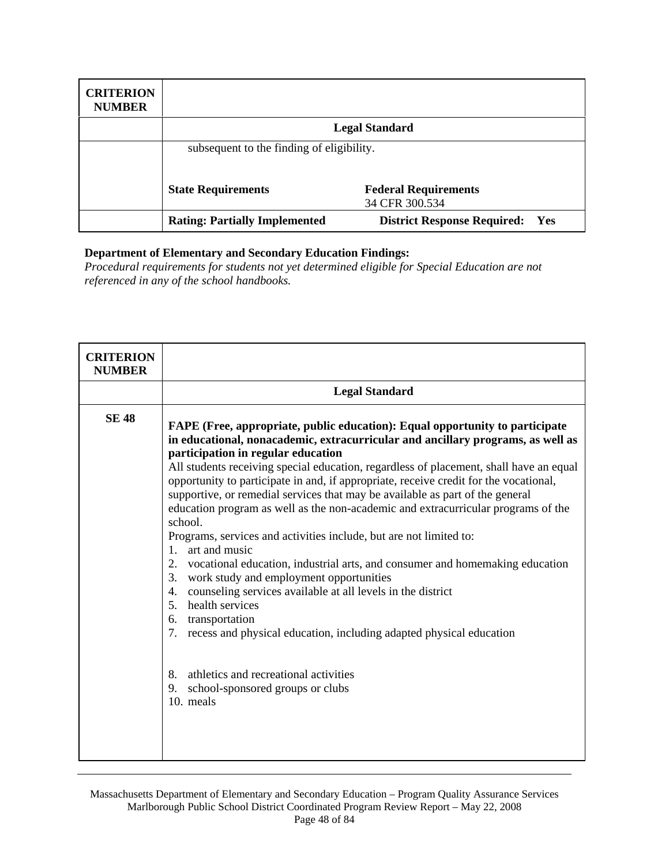| <b>CRITERION</b><br><b>NUMBER</b> |                                           |                                               |
|-----------------------------------|-------------------------------------------|-----------------------------------------------|
|                                   |                                           | <b>Legal Standard</b>                         |
|                                   | subsequent to the finding of eligibility. |                                               |
|                                   | <b>State Requirements</b>                 | <b>Federal Requirements</b><br>34 CFR 300.534 |
|                                   | <b>Rating: Partially Implemented</b>      | <b>District Response Required:</b><br>Yes     |

*Procedural requirements for students not yet determined eligible for Special Education are not referenced in any of the school handbooks.* 

| <b>CRITERION</b><br><b>NUMBER</b> |                                                                                                                                                                                                                                                                                                                                                                                                                                                                                                                                                                                                                                                                                                                                                                                                                                                                                                                                                                                                                                                                                                                        |
|-----------------------------------|------------------------------------------------------------------------------------------------------------------------------------------------------------------------------------------------------------------------------------------------------------------------------------------------------------------------------------------------------------------------------------------------------------------------------------------------------------------------------------------------------------------------------------------------------------------------------------------------------------------------------------------------------------------------------------------------------------------------------------------------------------------------------------------------------------------------------------------------------------------------------------------------------------------------------------------------------------------------------------------------------------------------------------------------------------------------------------------------------------------------|
|                                   | <b>Legal Standard</b>                                                                                                                                                                                                                                                                                                                                                                                                                                                                                                                                                                                                                                                                                                                                                                                                                                                                                                                                                                                                                                                                                                  |
| <b>SE 48</b>                      | FAPE (Free, appropriate, public education): Equal opportunity to participate<br>in educational, nonacademic, extracurricular and ancillary programs, as well as<br>participation in regular education<br>All students receiving special education, regardless of placement, shall have an equal<br>opportunity to participate in and, if appropriate, receive credit for the vocational,<br>supportive, or remedial services that may be available as part of the general<br>education program as well as the non-academic and extracurricular programs of the<br>school.<br>Programs, services and activities include, but are not limited to:<br>art and music<br>1.<br>vocational education, industrial arts, and consumer and homemaking education<br>2.<br>3.<br>work study and employment opportunities<br>counseling services available at all levels in the district<br>4.<br>health services<br>5.<br>transportation<br>6.<br>7.<br>recess and physical education, including adapted physical education<br>athletics and recreational activities<br>8.<br>9.<br>school-sponsored groups or clubs<br>10. meals |

Massachusetts Department of Elementary and Secondary Education – Program Quality Assurance Services Marlborough Public School District Coordinated Program Review Report – May 22, 2008 Page 48 of 84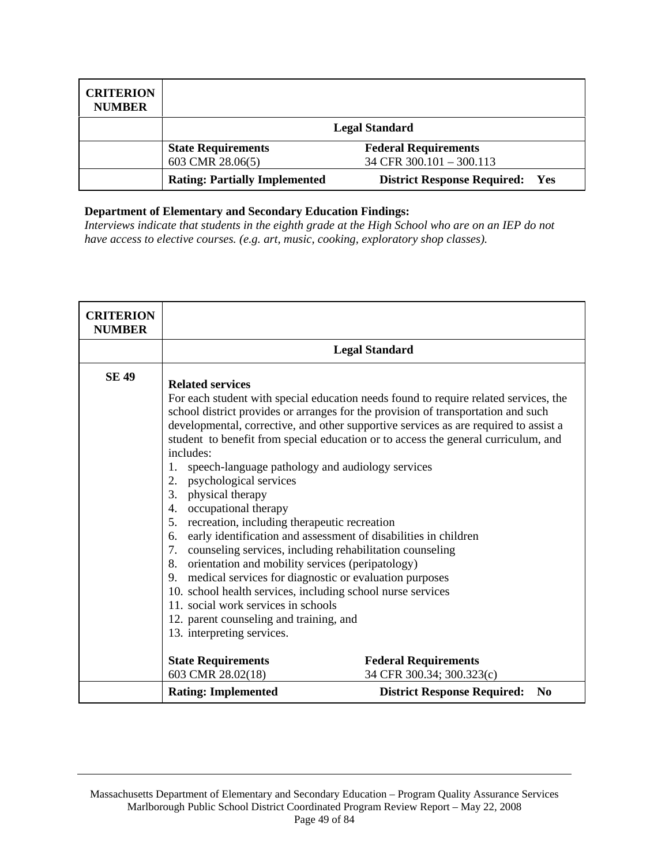| <b>CRITERION</b><br><b>NUMBER</b> |                                      |                                                  |
|-----------------------------------|--------------------------------------|--------------------------------------------------|
|                                   | <b>Legal Standard</b>                |                                                  |
|                                   | <b>State Requirements</b>            | <b>Federal Requirements</b>                      |
|                                   | 603 CMR 28.06(5)                     | 34 CFR 300.101 - 300.113                         |
|                                   | <b>Rating: Partially Implemented</b> | <b>District Response Required:</b><br><b>Yes</b> |

*Interviews indicate that students in the eighth grade at the High School who are on an IEP do not have access to elective courses. (e.g. art, music, cooking, exploratory shop classes).* 

| <b>CRITERION</b><br><b>NUMBER</b> |                                                                                                                                                                                                                                                                                                                                                                                                                                                                                                                                                                                                                                                                                                  |                                                                                                                                                                                                                                                                                                                                                         |
|-----------------------------------|--------------------------------------------------------------------------------------------------------------------------------------------------------------------------------------------------------------------------------------------------------------------------------------------------------------------------------------------------------------------------------------------------------------------------------------------------------------------------------------------------------------------------------------------------------------------------------------------------------------------------------------------------------------------------------------------------|---------------------------------------------------------------------------------------------------------------------------------------------------------------------------------------------------------------------------------------------------------------------------------------------------------------------------------------------------------|
|                                   |                                                                                                                                                                                                                                                                                                                                                                                                                                                                                                                                                                                                                                                                                                  | <b>Legal Standard</b>                                                                                                                                                                                                                                                                                                                                   |
| <b>SE 49</b>                      | <b>Related services</b><br>includes:<br>speech-language pathology and audiology services<br>1.<br>psychological services<br>2.<br>physical therapy<br>3.<br>occupational therapy<br>4.<br>recreation, including therapeutic recreation<br>5.<br>early identification and assessment of disabilities in children<br>6.<br>counseling services, including rehabilitation counseling<br>7.<br>8.<br>orientation and mobility services (peripatology)<br>medical services for diagnostic or evaluation purposes<br>9.<br>10. school health services, including school nurse services<br>11. social work services in schools<br>12. parent counseling and training, and<br>13. interpreting services. | For each student with special education needs found to require related services, the<br>school district provides or arranges for the provision of transportation and such<br>developmental, corrective, and other supportive services as are required to assist a<br>student to benefit from special education or to access the general curriculum, and |
|                                   | <b>State Requirements</b><br>603 CMR 28.02(18)                                                                                                                                                                                                                                                                                                                                                                                                                                                                                                                                                                                                                                                   | <b>Federal Requirements</b><br>34 CFR 300.34; 300.323(c)                                                                                                                                                                                                                                                                                                |
|                                   | <b>Rating: Implemented</b>                                                                                                                                                                                                                                                                                                                                                                                                                                                                                                                                                                                                                                                                       | <b>District Response Required:</b><br>N <sub>0</sub>                                                                                                                                                                                                                                                                                                    |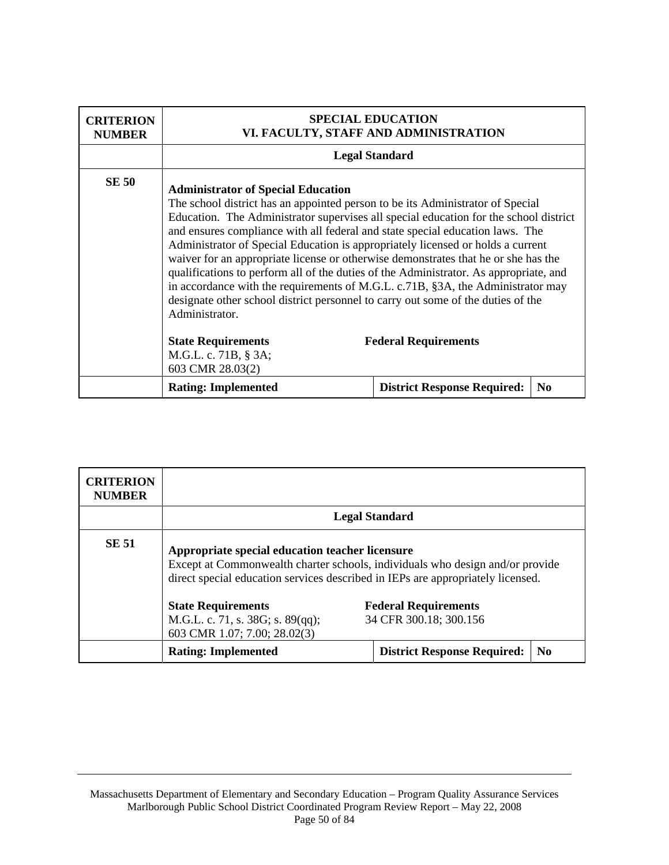| <b>CRITERION</b><br><b>NUMBER</b> | <b>SPECIAL EDUCATION</b><br>VI. FACULTY, STAFF AND ADMINISTRATION                                                                                                                                                                                                                                                                                                                                                                                                                                                                                                                                                                                                                                                                                                |                                    |                |
|-----------------------------------|------------------------------------------------------------------------------------------------------------------------------------------------------------------------------------------------------------------------------------------------------------------------------------------------------------------------------------------------------------------------------------------------------------------------------------------------------------------------------------------------------------------------------------------------------------------------------------------------------------------------------------------------------------------------------------------------------------------------------------------------------------------|------------------------------------|----------------|
|                                   | <b>Legal Standard</b>                                                                                                                                                                                                                                                                                                                                                                                                                                                                                                                                                                                                                                                                                                                                            |                                    |                |
| <b>SE 50</b>                      | <b>Administrator of Special Education</b><br>The school district has an appointed person to be its Administrator of Special<br>Education. The Administrator supervises all special education for the school district<br>and ensures compliance with all federal and state special education laws. The<br>Administrator of Special Education is appropriately licensed or holds a current<br>waiver for an appropriate license or otherwise demonstrates that he or she has the<br>qualifications to perform all of the duties of the Administrator. As appropriate, and<br>in accordance with the requirements of M.G.L. c.71B, §3A, the Administrator may<br>designate other school district personnel to carry out some of the duties of the<br>Administrator. |                                    |                |
|                                   | <b>State Requirements</b><br>M.G.L. c. 71B, § 3A;<br>603 CMR 28.03(2)                                                                                                                                                                                                                                                                                                                                                                                                                                                                                                                                                                                                                                                                                            | <b>Federal Requirements</b>        |                |
|                                   | <b>Rating: Implemented</b>                                                                                                                                                                                                                                                                                                                                                                                                                                                                                                                                                                                                                                                                                                                                       | <b>District Response Required:</b> | N <sub>0</sub> |

| <b>CRITERION</b><br><b>NUMBER</b> |                                                                                                                                                                                                                     |                                                       |                |
|-----------------------------------|---------------------------------------------------------------------------------------------------------------------------------------------------------------------------------------------------------------------|-------------------------------------------------------|----------------|
|                                   |                                                                                                                                                                                                                     | <b>Legal Standard</b>                                 |                |
| <b>SE 51</b>                      | Appropriate special education teacher licensure<br>Except at Commonwealth charter schools, individuals who design and/or provide<br>direct special education services described in IEPs are appropriately licensed. |                                                       |                |
|                                   | <b>State Requirements</b><br>M.G.L. c. 71, s. 38G; s. 89(qq);<br>603 CMR 1.07; 7.00; 28.02(3)                                                                                                                       | <b>Federal Requirements</b><br>34 CFR 300.18; 300.156 |                |
|                                   | <b>Rating: Implemented</b>                                                                                                                                                                                          | <b>District Response Required:</b>                    | N <sub>0</sub> |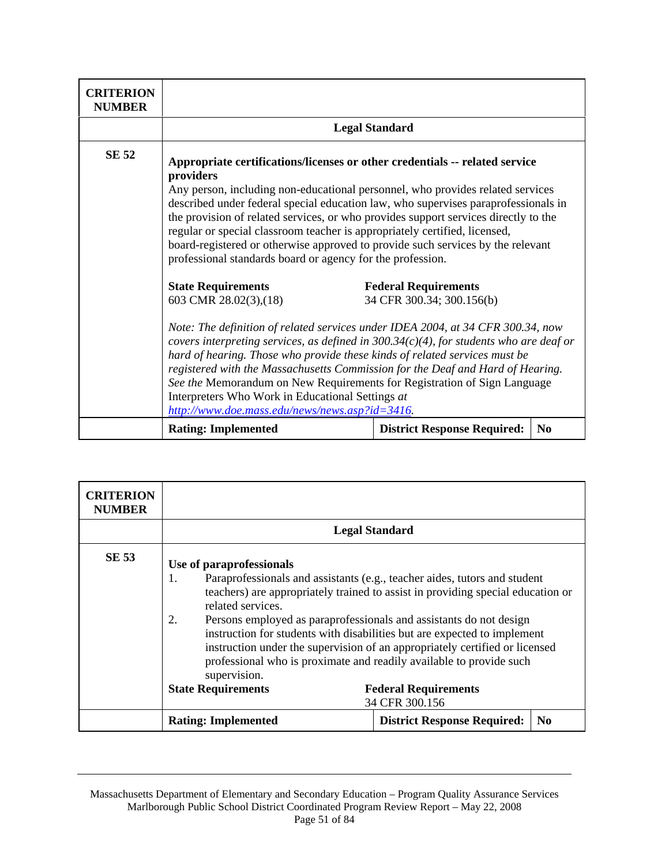| <b>CRITERION</b><br><b>NUMBER</b> |                                                                                                                                                                                                                                                                                                                                                                                                                                                                                                                                                                                        |                                                          |
|-----------------------------------|----------------------------------------------------------------------------------------------------------------------------------------------------------------------------------------------------------------------------------------------------------------------------------------------------------------------------------------------------------------------------------------------------------------------------------------------------------------------------------------------------------------------------------------------------------------------------------------|----------------------------------------------------------|
|                                   |                                                                                                                                                                                                                                                                                                                                                                                                                                                                                                                                                                                        | <b>Legal Standard</b>                                    |
| SE 52                             | Appropriate certifications/licenses or other credentials -- related service<br>providers<br>Any person, including non-educational personnel, who provides related services<br>described under federal special education law, who supervises paraprofessionals in<br>the provision of related services, or who provides support services directly to the<br>regular or special classroom teacher is appropriately certified, licensed,<br>board-registered or otherwise approved to provide such services by the relevant<br>professional standards board or agency for the profession. |                                                          |
|                                   | <b>State Requirements</b><br>603 CMR 28.02(3), (18)                                                                                                                                                                                                                                                                                                                                                                                                                                                                                                                                    | <b>Federal Requirements</b><br>34 CFR 300.34; 300.156(b) |
|                                   | Note: The definition of related services under IDEA 2004, at 34 CFR 300.34, now<br>covers interpreting services, as defined in $300.34(c)(4)$ , for students who are deaf or<br>hard of hearing. Those who provide these kinds of related services must be<br>registered with the Massachusetts Commission for the Deaf and Hard of Hearing.<br>See the Memorandum on New Requirements for Registration of Sign Language<br>Interpreters Who Work in Educational Settings at<br>http://www.doe.mass.edu/news/news.asp?id=3416.                                                         |                                                          |
|                                   | <b>Rating: Implemented</b>                                                                                                                                                                                                                                                                                                                                                                                                                                                                                                                                                             | N <sub>0</sub><br><b>District Response Required:</b>     |

| <b>CRITERION</b><br><b>NUMBER</b> |                                                                                                                                                                                                                                                     |                                                                                                                                                                                                                                                                                                                                                        |
|-----------------------------------|-----------------------------------------------------------------------------------------------------------------------------------------------------------------------------------------------------------------------------------------------------|--------------------------------------------------------------------------------------------------------------------------------------------------------------------------------------------------------------------------------------------------------------------------------------------------------------------------------------------------------|
|                                   |                                                                                                                                                                                                                                                     | <b>Legal Standard</b>                                                                                                                                                                                                                                                                                                                                  |
| <b>SE 53</b>                      | Use of paraprofessionals<br>1.<br>related services.<br>2.<br>Persons employed as paraprofessionals and assistants do not design<br>professional who is proximate and readily available to provide such<br>supervision.<br><b>State Requirements</b> | Paraprofessionals and assistants (e.g., teacher aides, tutors and student<br>teachers) are appropriately trained to assist in providing special education or<br>instruction for students with disabilities but are expected to implement<br>instruction under the supervision of an appropriately certified or licensed<br><b>Federal Requirements</b> |
|                                   |                                                                                                                                                                                                                                                     | 34 CFR 300.156                                                                                                                                                                                                                                                                                                                                         |
|                                   | <b>Rating: Implemented</b>                                                                                                                                                                                                                          | <b>District Response Required:</b><br>N <sub>0</sub>                                                                                                                                                                                                                                                                                                   |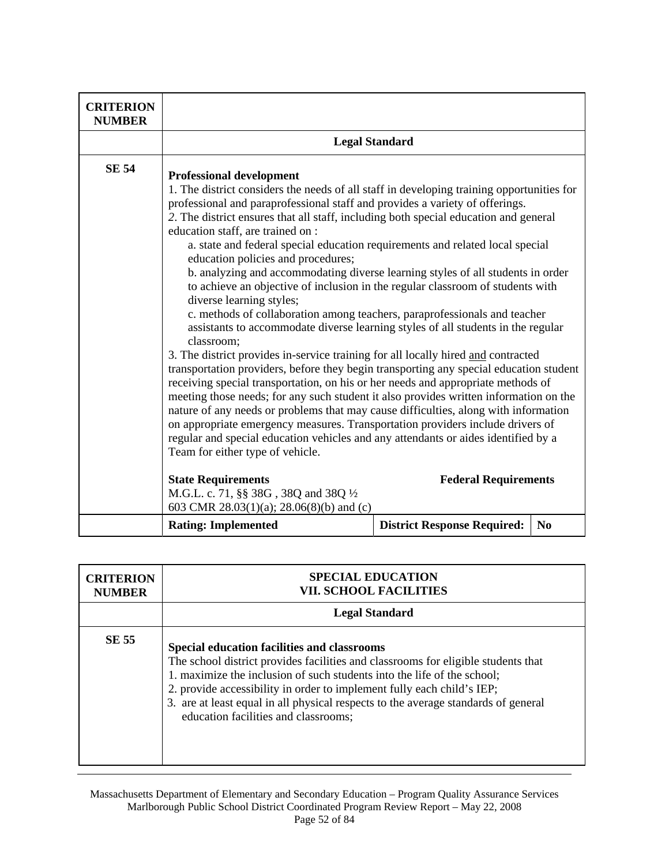| <b>CRITERION</b><br><b>NUMBER</b> |                                                                                                                                                                                                                                                                                                                                                                                                                                                                                                                                                                                                                                                                                                                                                                                                                                                                                                                                                                                                                                                                                                                                                                                                                                                                                                                                                                                                                                                                                                                 |                                    |                |
|-----------------------------------|-----------------------------------------------------------------------------------------------------------------------------------------------------------------------------------------------------------------------------------------------------------------------------------------------------------------------------------------------------------------------------------------------------------------------------------------------------------------------------------------------------------------------------------------------------------------------------------------------------------------------------------------------------------------------------------------------------------------------------------------------------------------------------------------------------------------------------------------------------------------------------------------------------------------------------------------------------------------------------------------------------------------------------------------------------------------------------------------------------------------------------------------------------------------------------------------------------------------------------------------------------------------------------------------------------------------------------------------------------------------------------------------------------------------------------------------------------------------------------------------------------------------|------------------------------------|----------------|
|                                   | <b>Legal Standard</b>                                                                                                                                                                                                                                                                                                                                                                                                                                                                                                                                                                                                                                                                                                                                                                                                                                                                                                                                                                                                                                                                                                                                                                                                                                                                                                                                                                                                                                                                                           |                                    |                |
| <b>SE 54</b>                      | <b>Professional development</b><br>1. The district considers the needs of all staff in developing training opportunities for<br>professional and paraprofessional staff and provides a variety of offerings.<br>2. The district ensures that all staff, including both special education and general<br>education staff, are trained on :<br>a. state and federal special education requirements and related local special<br>education policies and procedures;<br>b. analyzing and accommodating diverse learning styles of all students in order<br>to achieve an objective of inclusion in the regular classroom of students with<br>diverse learning styles;<br>c. methods of collaboration among teachers, paraprofessionals and teacher<br>assistants to accommodate diverse learning styles of all students in the regular<br>classroom;<br>3. The district provides in-service training for all locally hired and contracted<br>transportation providers, before they begin transporting any special education student<br>receiving special transportation, on his or her needs and appropriate methods of<br>meeting those needs; for any such student it also provides written information on the<br>nature of any needs or problems that may cause difficulties, along with information<br>on appropriate emergency measures. Transportation providers include drivers of<br>regular and special education vehicles and any attendants or aides identified by a<br>Team for either type of vehicle. |                                    |                |
|                                   | <b>State Requirements</b><br>M.G.L. c. 71, §§ 38G, 38Q and 38Q 1/2<br>603 CMR 28.03(1)(a); 28.06(8)(b) and (c)                                                                                                                                                                                                                                                                                                                                                                                                                                                                                                                                                                                                                                                                                                                                                                                                                                                                                                                                                                                                                                                                                                                                                                                                                                                                                                                                                                                                  | <b>Federal Requirements</b>        |                |
|                                   | <b>Rating: Implemented</b>                                                                                                                                                                                                                                                                                                                                                                                                                                                                                                                                                                                                                                                                                                                                                                                                                                                                                                                                                                                                                                                                                                                                                                                                                                                                                                                                                                                                                                                                                      | <b>District Response Required:</b> | N <sub>0</sub> |

| <b>CRITERION</b><br><b>NUMBER</b> | <b>SPECIAL EDUCATION</b><br><b>VII. SCHOOL FACILITIES</b>                                                                                                                                                                                                                                                                                                                                                           |
|-----------------------------------|---------------------------------------------------------------------------------------------------------------------------------------------------------------------------------------------------------------------------------------------------------------------------------------------------------------------------------------------------------------------------------------------------------------------|
|                                   | <b>Legal Standard</b>                                                                                                                                                                                                                                                                                                                                                                                               |
| <b>SE 55</b>                      | Special education facilities and classrooms<br>The school district provides facilities and classrooms for eligible students that<br>1. maximize the inclusion of such students into the life of the school;<br>2. provide accessibility in order to implement fully each child's IEP;<br>3. are at least equal in all physical respects to the average standards of general<br>education facilities and classrooms; |

Massachusetts Department of Elementary and Secondary Education – Program Quality Assurance Services Marlborough Public School District Coordinated Program Review Report – May 22, 2008 Page 52 of 84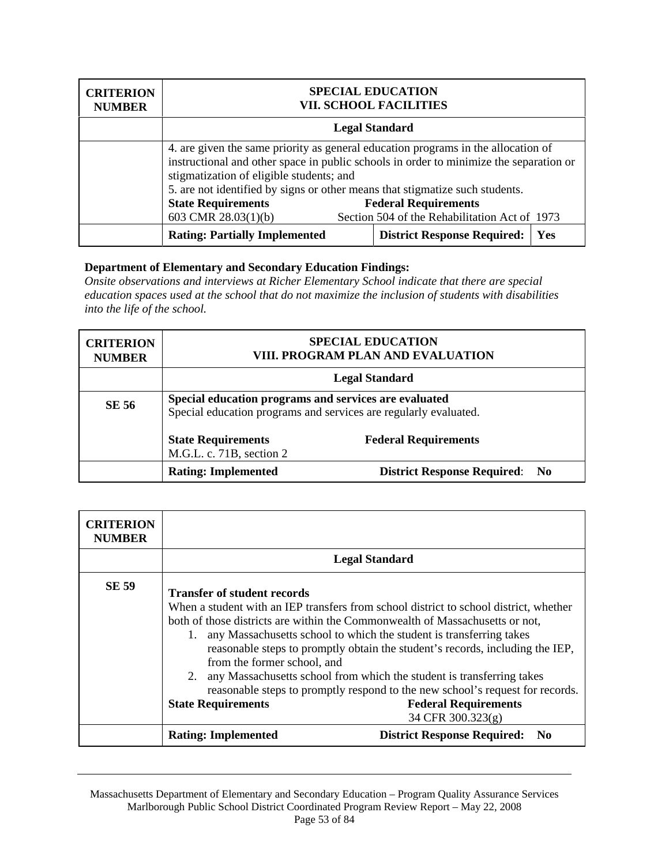| <b>CRITERION</b><br><b>NUMBER</b> | <b>SPECIAL EDUCATION</b><br><b>VII. SCHOOL FACILITIES</b>                                                                                                                                                                                                                                               |                                                                              |     |
|-----------------------------------|---------------------------------------------------------------------------------------------------------------------------------------------------------------------------------------------------------------------------------------------------------------------------------------------------------|------------------------------------------------------------------------------|-----|
|                                   | <b>Legal Standard</b>                                                                                                                                                                                                                                                                                   |                                                                              |     |
|                                   | 4. are given the same priority as general education programs in the allocation of<br>instructional and other space in public schools in order to minimize the separation or<br>stigmatization of eligible students; and<br>5. are not identified by signs or other means that stigmatize such students. |                                                                              |     |
|                                   | <b>State Requirements</b><br>603 CMR 28.03(1)(b)                                                                                                                                                                                                                                                        | <b>Federal Requirements</b><br>Section 504 of the Rehabilitation Act of 1973 |     |
|                                   | <b>Rating: Partially Implemented</b>                                                                                                                                                                                                                                                                    | <b>District Response Required:</b>                                           | Yes |

*Onsite observations and interviews at Richer Elementary School indicate that there are special education spaces used at the school that do not maximize the inclusion of students with disabilities into the life of the school.* 

| <b>CRITERION</b><br><b>NUMBER</b> | <b>SPECIAL EDUCATION</b><br>VIII. PROGRAM PLAN AND EVALUATION                                                             |                                       |
|-----------------------------------|---------------------------------------------------------------------------------------------------------------------------|---------------------------------------|
|                                   | <b>Legal Standard</b>                                                                                                     |                                       |
| SE 56                             | Special education programs and services are evaluated<br>Special education programs and services are regularly evaluated. |                                       |
|                                   | <b>State Requirements</b><br>M.G.L. c. 71B, section 2                                                                     | <b>Federal Requirements</b>           |
|                                   | <b>Rating: Implemented</b>                                                                                                | <b>District Response Required: No</b> |

| <b>CRITERION</b><br><b>NUMBER</b> |                                                                                                                                                                                                                                                                                                                                                                                                                                                                                                                                                                                                                                                     |                                                              |
|-----------------------------------|-----------------------------------------------------------------------------------------------------------------------------------------------------------------------------------------------------------------------------------------------------------------------------------------------------------------------------------------------------------------------------------------------------------------------------------------------------------------------------------------------------------------------------------------------------------------------------------------------------------------------------------------------------|--------------------------------------------------------------|
|                                   |                                                                                                                                                                                                                                                                                                                                                                                                                                                                                                                                                                                                                                                     | <b>Legal Standard</b>                                        |
| <b>SE 59</b>                      | <b>Transfer of student records</b><br>When a student with an IEP transfers from school district to school district, whether<br>both of those districts are within the Commonwealth of Massachusetts or not,<br>1. any Massachusetts school to which the student is transferring takes<br>reasonable steps to promptly obtain the student's records, including the IEP,<br>from the former school, and<br>2. any Massachusetts school from which the student is transferring takes<br>reasonable steps to promptly respond to the new school's request for records.<br><b>Federal Requirements</b><br><b>State Requirements</b><br>34 CFR 300.323(g) |                                                              |
|                                   | <b>Rating: Implemented</b>                                                                                                                                                                                                                                                                                                                                                                                                                                                                                                                                                                                                                          | <b>District Response Required:</b><br>$\mathbf{N}\mathbf{0}$ |

Massachusetts Department of Elementary and Secondary Education – Program Quality Assurance Services Marlborough Public School District Coordinated Program Review Report – May 22, 2008 Page 53 of 84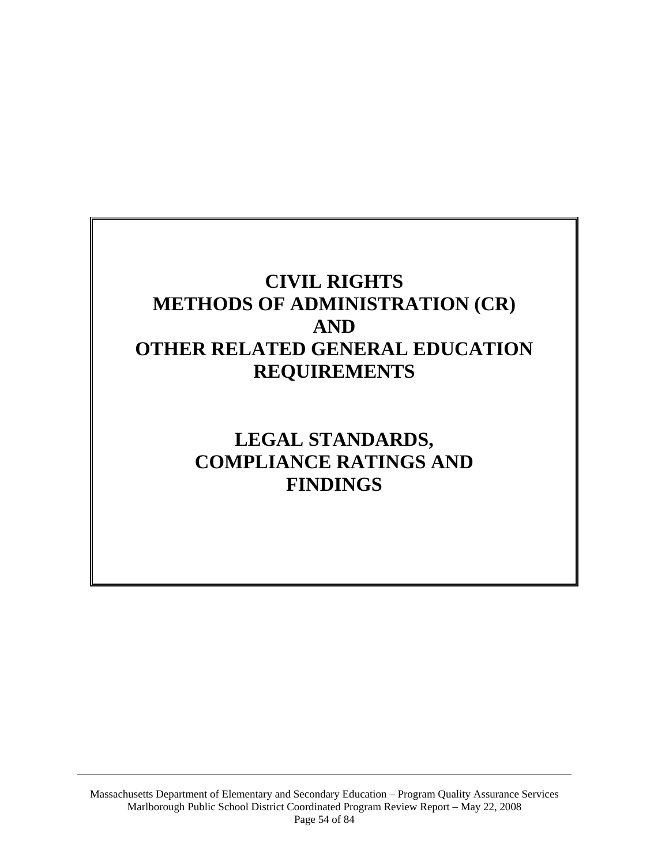# **CIVIL RIGHTS METHODS OF ADMINISTRATION (CR) AND OTHER RELATED GENERAL EDUCATION REQUIREMENTS**

# **LEGAL STANDARDS, COMPLIANCE RATINGS AND FINDINGS**

Massachusetts Department of Elementary and Secondary Education – Program Quality Assurance Services Marlborough Public School District Coordinated Program Review Report – May 22, 2008 Page 54 of 84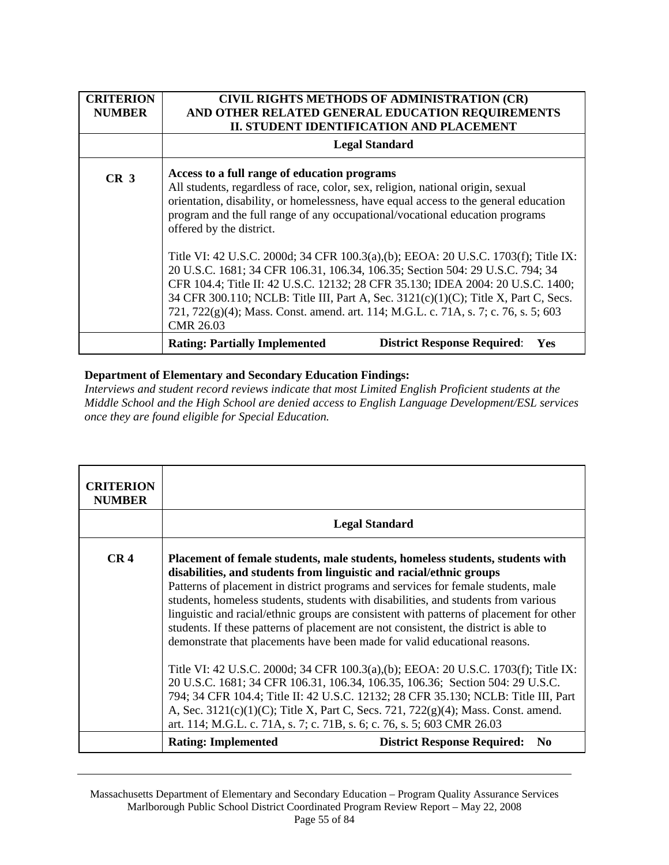| <b>CRITERION</b><br><b>NUMBER</b> | CIVIL RIGHTS METHODS OF ADMINISTRATION (CR)<br>AND OTHER RELATED GENERAL EDUCATION REQUIREMENTS<br><b>II. STUDENT IDENTIFICATION AND PLACEMENT</b>                                                                                                                                                                                                                                                                                                                                                                                                                                                                                                                                                                                                                                              |  |
|-----------------------------------|-------------------------------------------------------------------------------------------------------------------------------------------------------------------------------------------------------------------------------------------------------------------------------------------------------------------------------------------------------------------------------------------------------------------------------------------------------------------------------------------------------------------------------------------------------------------------------------------------------------------------------------------------------------------------------------------------------------------------------------------------------------------------------------------------|--|
|                                   | <b>Legal Standard</b>                                                                                                                                                                                                                                                                                                                                                                                                                                                                                                                                                                                                                                                                                                                                                                           |  |
| CR <sub>3</sub>                   | Access to a full range of education programs<br>All students, regardless of race, color, sex, religion, national origin, sexual<br>orientation, disability, or homelessness, have equal access to the general education<br>program and the full range of any occupational/vocational education programs<br>offered by the district.<br>Title VI: 42 U.S.C. 2000d; 34 CFR 100.3(a),(b); EEOA: 20 U.S.C. 1703(f); Title IX:<br>20 U.S.C. 1681; 34 CFR 106.31, 106.34, 106.35; Section 504: 29 U.S.C. 794; 34<br>CFR 104.4; Title II: 42 U.S.C. 12132; 28 CFR 35.130; IDEA 2004: 20 U.S.C. 1400;<br>34 CFR 300.110; NCLB: Title III, Part A, Sec. 3121(c)(1)(C); Title X, Part C, Secs.<br>721, 722(g)(4); Mass. Const. amend. art. 114; M.G.L. c. 71A, s. 7; c. 76, s. 5; 603<br><b>CMR 26.03</b> |  |
|                                   | <b>District Response Required:</b><br><b>Rating: Partially Implemented</b><br>Yes                                                                                                                                                                                                                                                                                                                                                                                                                                                                                                                                                                                                                                                                                                               |  |

*Interviews and student record reviews indicate that most Limited English Proficient students at the Middle School and the High School are denied access to English Language Development/ESL services once they are found eligible for Special Education.* 

| <b>CRITERION</b><br><b>NUMBER</b> |                                                                                                                                                                                                                                                                                                                                                                                                                                                                                                                                                                                                 |
|-----------------------------------|-------------------------------------------------------------------------------------------------------------------------------------------------------------------------------------------------------------------------------------------------------------------------------------------------------------------------------------------------------------------------------------------------------------------------------------------------------------------------------------------------------------------------------------------------------------------------------------------------|
|                                   | <b>Legal Standard</b>                                                                                                                                                                                                                                                                                                                                                                                                                                                                                                                                                                           |
| CR <sub>4</sub>                   | Placement of female students, male students, homeless students, students with<br>disabilities, and students from linguistic and racial/ethnic groups<br>Patterns of placement in district programs and services for female students, male<br>students, homeless students, students with disabilities, and students from various<br>linguistic and racial/ethnic groups are consistent with patterns of placement for other<br>students. If these patterns of placement are not consistent, the district is able to<br>demonstrate that placements have been made for valid educational reasons. |
|                                   | Title VI: 42 U.S.C. 2000d; 34 CFR 100.3(a),(b); EEOA: 20 U.S.C. 1703(f); Title IX:<br>20 U.S.C. 1681; 34 CFR 106.31, 106.34, 106.35, 106.36; Section 504: 29 U.S.C.<br>794; 34 CFR 104.4; Title II: 42 U.S.C. 12132; 28 CFR 35.130; NCLB: Title III, Part<br>A, Sec. 3121(c)(1)(C); Title X, Part C, Secs. 721, 722(g)(4); Mass. Const. amend.<br>art. 114; M.G.L. c. 71A, s. 7; c. 71B, s. 6; c. 76, s. 5; 603 CMR 26.03                                                                                                                                                                       |
|                                   | <b>District Response Required:</b><br><b>Rating: Implemented</b><br>N <sub>0</sub>                                                                                                                                                                                                                                                                                                                                                                                                                                                                                                              |

Massachusetts Department of Elementary and Secondary Education – Program Quality Assurance Services Marlborough Public School District Coordinated Program Review Report – May 22, 2008 Page 55 of 84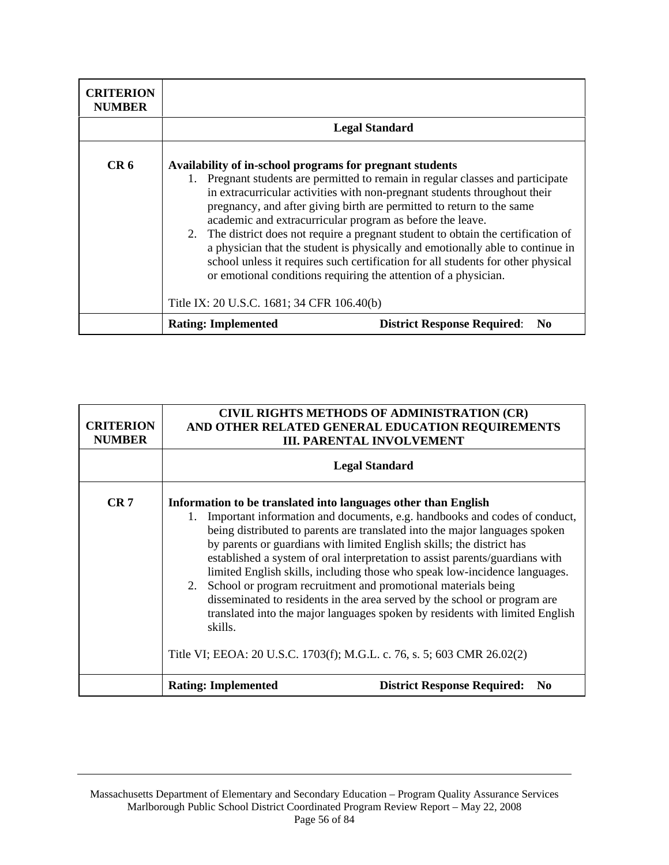| <b>CRITERION</b><br><b>NUMBER</b> |                                                                                                                                                                                                                                                                                                                                                                                                                                                                                                                                                                                                                                                                                               |  |
|-----------------------------------|-----------------------------------------------------------------------------------------------------------------------------------------------------------------------------------------------------------------------------------------------------------------------------------------------------------------------------------------------------------------------------------------------------------------------------------------------------------------------------------------------------------------------------------------------------------------------------------------------------------------------------------------------------------------------------------------------|--|
|                                   | <b>Legal Standard</b>                                                                                                                                                                                                                                                                                                                                                                                                                                                                                                                                                                                                                                                                         |  |
| CR <sub>6</sub>                   | Availability of in-school programs for pregnant students<br>1. Pregnant students are permitted to remain in regular classes and participate<br>in extracurricular activities with non-pregnant students throughout their<br>pregnancy, and after giving birth are permitted to return to the same<br>academic and extracurricular program as before the leave.<br>2. The district does not require a pregnant student to obtain the certification of<br>a physician that the student is physically and emotionally able to continue in<br>school unless it requires such certification for all students for other physical<br>or emotional conditions requiring the attention of a physician. |  |
|                                   | Title IX: 20 U.S.C. 1681; 34 CFR 106.40(b)                                                                                                                                                                                                                                                                                                                                                                                                                                                                                                                                                                                                                                                    |  |
|                                   | <b>District Response Required:</b><br><b>Rating: Implemented</b><br>N <sub>0</sub>                                                                                                                                                                                                                                                                                                                                                                                                                                                                                                                                                                                                            |  |

| <b>CRITERION</b><br><b>NUMBER</b> | <b>CIVIL RIGHTS METHODS OF ADMINISTRATION (CR)</b><br>AND OTHER RELATED GENERAL EDUCATION REQUIREMENTS<br><b>III. PARENTAL INVOLVEMENT</b>                                                                                                                                                                                                                                                                                                                                                                                                                                                                                                                                                                                                                                               |  |
|-----------------------------------|------------------------------------------------------------------------------------------------------------------------------------------------------------------------------------------------------------------------------------------------------------------------------------------------------------------------------------------------------------------------------------------------------------------------------------------------------------------------------------------------------------------------------------------------------------------------------------------------------------------------------------------------------------------------------------------------------------------------------------------------------------------------------------------|--|
|                                   | <b>Legal Standard</b>                                                                                                                                                                                                                                                                                                                                                                                                                                                                                                                                                                                                                                                                                                                                                                    |  |
| CR <sub>7</sub>                   | Information to be translated into languages other than English<br>Important information and documents, e.g. handbooks and codes of conduct,<br>being distributed to parents are translated into the major languages spoken<br>by parents or guardians with limited English skills; the district has<br>established a system of oral interpretation to assist parents/guardians with<br>limited English skills, including those who speak low-incidence languages.<br>2. School or program recruitment and promotional materials being<br>disseminated to residents in the area served by the school or program are<br>translated into the major languages spoken by residents with limited English<br>skills.<br>Title VI; EEOA: 20 U.S.C. 1703(f); M.G.L. c. 76, s. 5; 603 CMR 26.02(2) |  |
|                                   | <b>Rating: Implemented</b><br><b>District Response Required:</b><br>N <sub>0</sub>                                                                                                                                                                                                                                                                                                                                                                                                                                                                                                                                                                                                                                                                                                       |  |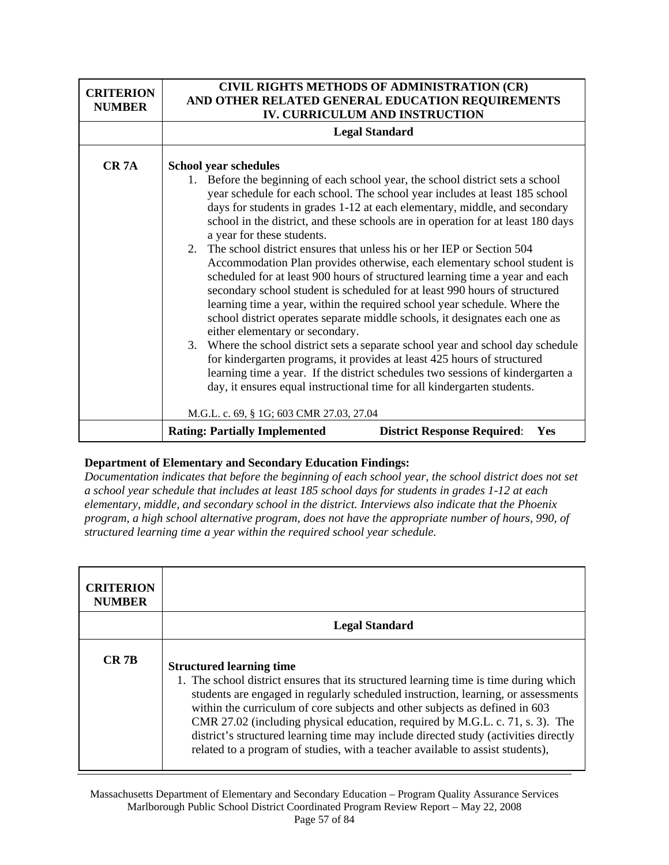| <b>CRITERION</b><br><b>NUMBER</b> | CIVIL RIGHTS METHODS OF ADMINISTRATION (CR)<br>AND OTHER RELATED GENERAL EDUCATION REQUIREMENTS<br>IV. CURRICULUM AND INSTRUCTION                                                                                                                                                                                                                                                                                                                                                                                                                                                                                                                                                                                                                                                                                                                                                                                                                                                                                                                                                                                                                                                                                                                                                          |  |
|-----------------------------------|--------------------------------------------------------------------------------------------------------------------------------------------------------------------------------------------------------------------------------------------------------------------------------------------------------------------------------------------------------------------------------------------------------------------------------------------------------------------------------------------------------------------------------------------------------------------------------------------------------------------------------------------------------------------------------------------------------------------------------------------------------------------------------------------------------------------------------------------------------------------------------------------------------------------------------------------------------------------------------------------------------------------------------------------------------------------------------------------------------------------------------------------------------------------------------------------------------------------------------------------------------------------------------------------|--|
|                                   | <b>Legal Standard</b>                                                                                                                                                                                                                                                                                                                                                                                                                                                                                                                                                                                                                                                                                                                                                                                                                                                                                                                                                                                                                                                                                                                                                                                                                                                                      |  |
| CR <sub>7</sub> A                 | <b>School year schedules</b><br>1. Before the beginning of each school year, the school district sets a school<br>year schedule for each school. The school year includes at least 185 school<br>days for students in grades 1-12 at each elementary, middle, and secondary<br>school in the district, and these schools are in operation for at least 180 days<br>a year for these students.<br>2. The school district ensures that unless his or her IEP or Section 504<br>Accommodation Plan provides otherwise, each elementary school student is<br>scheduled for at least 900 hours of structured learning time a year and each<br>secondary school student is scheduled for at least 990 hours of structured<br>learning time a year, within the required school year schedule. Where the<br>school district operates separate middle schools, it designates each one as<br>either elementary or secondary.<br>3. Where the school district sets a separate school year and school day schedule<br>for kindergarten programs, it provides at least 425 hours of structured<br>learning time a year. If the district schedules two sessions of kindergarten a<br>day, it ensures equal instructional time for all kindergarten students.<br>M.G.L. c. 69, § 1G; 603 CMR 27.03, 27.04 |  |
|                                   | <b>Rating: Partially Implemented</b><br><b>District Response Required:</b><br>Yes                                                                                                                                                                                                                                                                                                                                                                                                                                                                                                                                                                                                                                                                                                                                                                                                                                                                                                                                                                                                                                                                                                                                                                                                          |  |

*Documentation indicates that before the beginning of each school year, the school district does not set a school year schedule that includes at least 185 school days for students in grades 1-12 at each elementary, middle, and secondary school in the district. Interviews also indicate that the Phoenix program, a high school alternative program, does not have the appropriate number of hours, 990, of structured learning time a year within the required school year schedule.* 

| <b>CRITERION</b><br><b>NUMBER</b> |                                                                                                                                                                                                                                                                                                                                                                                                                                                                                                                                                        |
|-----------------------------------|--------------------------------------------------------------------------------------------------------------------------------------------------------------------------------------------------------------------------------------------------------------------------------------------------------------------------------------------------------------------------------------------------------------------------------------------------------------------------------------------------------------------------------------------------------|
|                                   | <b>Legal Standard</b>                                                                                                                                                                                                                                                                                                                                                                                                                                                                                                                                  |
| $CR$ 7 $B$                        | <b>Structured learning time</b><br>1. The school district ensures that its structured learning time is time during which<br>students are engaged in regularly scheduled instruction, learning, or assessments<br>within the curriculum of core subjects and other subjects as defined in 603<br>CMR 27.02 (including physical education, required by M.G.L. c. 71, s. 3). The<br>district's structured learning time may include directed study (activities directly<br>related to a program of studies, with a teacher available to assist students), |

Massachusetts Department of Elementary and Secondary Education – Program Quality Assurance Services Marlborough Public School District Coordinated Program Review Report – May 22, 2008 Page 57 of 84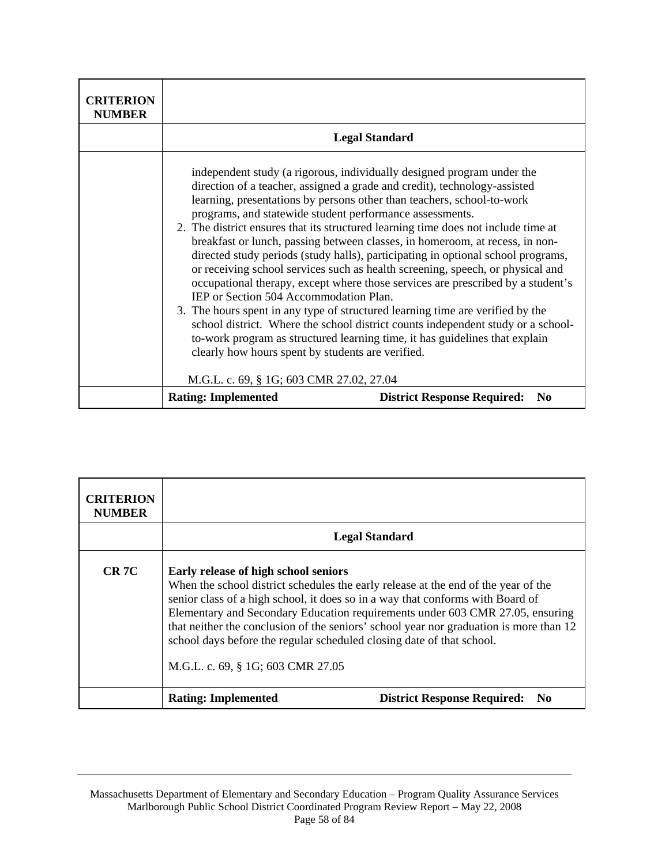| <b>CRITERION</b><br><b>NUMBER</b> |                                                                                                                                                                                                                                                                                                                                                                 |                                                                                                                                                                                                                                                                                                                                                                                                                                                                                                                                                                                                                                                                                                                                                       |
|-----------------------------------|-----------------------------------------------------------------------------------------------------------------------------------------------------------------------------------------------------------------------------------------------------------------------------------------------------------------------------------------------------------------|-------------------------------------------------------------------------------------------------------------------------------------------------------------------------------------------------------------------------------------------------------------------------------------------------------------------------------------------------------------------------------------------------------------------------------------------------------------------------------------------------------------------------------------------------------------------------------------------------------------------------------------------------------------------------------------------------------------------------------------------------------|
|                                   |                                                                                                                                                                                                                                                                                                                                                                 | <b>Legal Standard</b>                                                                                                                                                                                                                                                                                                                                                                                                                                                                                                                                                                                                                                                                                                                                 |
|                                   | learning, presentations by persons other than teachers, school-to-work<br>programs, and statewide student performance assessments.<br>IEP or Section 504 Accommodation Plan.<br>3. The hours spent in any type of structured learning time are verified by the<br>clearly how hours spent by students are verified.<br>M.G.L. c. 69, § 1G; 603 CMR 27.02, 27.04 | independent study (a rigorous, individually designed program under the<br>direction of a teacher, assigned a grade and credit), technology-assisted<br>2. The district ensures that its structured learning time does not include time at<br>breakfast or lunch, passing between classes, in homeroom, at recess, in non-<br>directed study periods (study halls), participating in optional school programs,<br>or receiving school services such as health screening, speech, or physical and<br>occupational therapy, except where those services are prescribed by a student's<br>school district. Where the school district counts independent study or a school-<br>to-work program as structured learning time, it has guidelines that explain |
|                                   | <b>Rating: Implemented</b>                                                                                                                                                                                                                                                                                                                                      | <b>District Response Required:</b><br>N <sub>0</sub>                                                                                                                                                                                                                                                                                                                                                                                                                                                                                                                                                                                                                                                                                                  |

| <b>CRITERION</b><br><b>NUMBER</b> |                                                                                                                                                                                                                                                                                                                            |                                                                                                                                                                         |
|-----------------------------------|----------------------------------------------------------------------------------------------------------------------------------------------------------------------------------------------------------------------------------------------------------------------------------------------------------------------------|-------------------------------------------------------------------------------------------------------------------------------------------------------------------------|
|                                   |                                                                                                                                                                                                                                                                                                                            | <b>Legal Standard</b>                                                                                                                                                   |
| CR <sub>7C</sub>                  | Early release of high school seniors<br>When the school district schedules the early release at the end of the year of the<br>senior class of a high school, it does so in a way that conforms with Board of<br>school days before the regular scheduled closing date of that school.<br>M.G.L. c. 69, § 1G; 603 CMR 27.05 | Elementary and Secondary Education requirements under 603 CMR 27.05, ensuring<br>that neither the conclusion of the seniors' school year nor graduation is more than 12 |
|                                   | <b>Rating: Implemented</b>                                                                                                                                                                                                                                                                                                 | <b>District Response Required:</b><br>N <sub>0</sub>                                                                                                                    |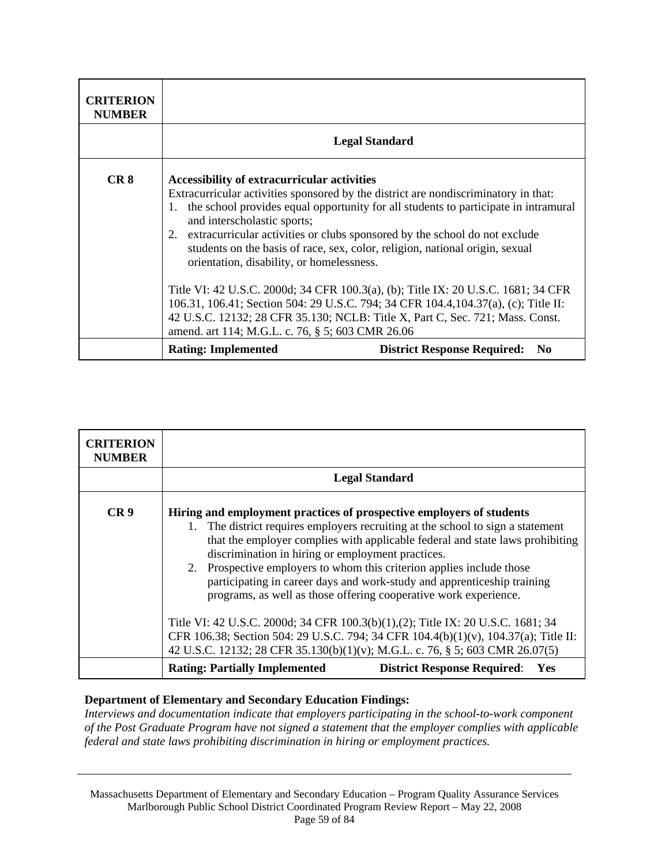| <b>CRITERION</b><br><b>NUMBER</b> |                                                                                                                                                                                                                                                                    |                                                                                                                                                                                                                                                                                                                                                                                                                                                                                                                         |
|-----------------------------------|--------------------------------------------------------------------------------------------------------------------------------------------------------------------------------------------------------------------------------------------------------------------|-------------------------------------------------------------------------------------------------------------------------------------------------------------------------------------------------------------------------------------------------------------------------------------------------------------------------------------------------------------------------------------------------------------------------------------------------------------------------------------------------------------------------|
|                                   |                                                                                                                                                                                                                                                                    | <b>Legal Standard</b>                                                                                                                                                                                                                                                                                                                                                                                                                                                                                                   |
| CR <sub>8</sub>                   | Accessibility of extracurricular activities<br>1.<br>and interscholastic sports;<br>2. extracurricular activities or clubs sponsored by the school do not exclude<br>orientation, disability, or homelessness.<br>amend. art 114; M.G.L. c. 76, § 5; 603 CMR 26.06 | Extracurricular activities sponsored by the district are nondiscriminatory in that:<br>the school provides equal opportunity for all students to participate in intramural<br>students on the basis of race, sex, color, religion, national origin, sexual<br>Title VI: 42 U.S.C. 2000d; 34 CFR 100.3(a), (b); Title IX: 20 U.S.C. 1681; 34 CFR<br>106.31, 106.41; Section 504: 29 U.S.C. 794; 34 CFR 104.4, 104.37(a), (c); Title II:<br>42 U.S.C. 12132; 28 CFR 35.130; NCLB: Title X, Part C, Sec. 721; Mass. Const. |
|                                   | <b>Rating: Implemented</b>                                                                                                                                                                                                                                         | <b>District Response Required:</b><br>N <sub>0</sub>                                                                                                                                                                                                                                                                                                                                                                                                                                                                    |

| <b>CRITERION</b><br><b>NUMBER</b> |                                                                                                                                                                                                                                                                                                                                                                                                                                                                                                                          |                                           |  |
|-----------------------------------|--------------------------------------------------------------------------------------------------------------------------------------------------------------------------------------------------------------------------------------------------------------------------------------------------------------------------------------------------------------------------------------------------------------------------------------------------------------------------------------------------------------------------|-------------------------------------------|--|
|                                   | <b>Legal Standard</b>                                                                                                                                                                                                                                                                                                                                                                                                                                                                                                    |                                           |  |
| CR <sub>9</sub>                   | Hiring and employment practices of prospective employers of students<br>The district requires employers recruiting at the school to sign a statement<br>1.<br>that the employer complies with applicable federal and state laws prohibiting<br>discrimination in hiring or employment practices.<br>2. Prospective employers to whom this criterion applies include those<br>participating in career days and work-study and apprenticeship training<br>programs, as well as those offering cooperative work experience. |                                           |  |
|                                   | Title VI: 42 U.S.C. 2000d; 34 CFR 100.3(b)(1),(2); Title IX: 20 U.S.C. 1681; 34<br>CFR 106.38; Section 504: 29 U.S.C. 794; 34 CFR 104.4(b)(1)(v), 104.37(a); Title II:<br>42 U.S.C. 12132; 28 CFR 35.130(b)(1)(v); M.G.L. c. 76, § 5; 603 CMR 26.07(5)                                                                                                                                                                                                                                                                   |                                           |  |
|                                   | <b>Rating: Partially Implemented</b>                                                                                                                                                                                                                                                                                                                                                                                                                                                                                     | <b>District Response Required:</b><br>Yes |  |

*Interviews and documentation indicate that employers participating in the school-to-work component of the Post Graduate Program have not signed a statement that the employer complies with applicable federal and state laws prohibiting discrimination in hiring or employment practices.*

Massachusetts Department of Elementary and Secondary Education – Program Quality Assurance Services Marlborough Public School District Coordinated Program Review Report – May 22, 2008 Page 59 of 84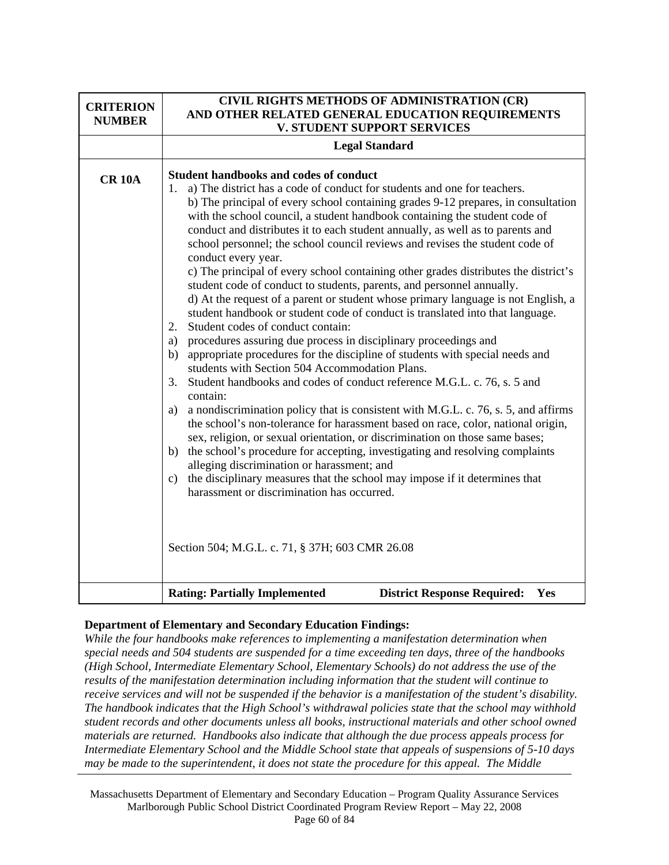| <b>CRITERION</b><br><b>NUMBER</b> | CIVIL RIGHTS METHODS OF ADMINISTRATION (CR)<br>AND OTHER RELATED GENERAL EDUCATION REQUIREMENTS<br><b>V. STUDENT SUPPORT SERVICES</b>                                                                                                                                                                                                                                                                                                                                                                                                                                                                                                                                                                                                                                                                                                                                                                                                                                                                                                                                                                                                                                                                                                                                                                                                                                                                                                                                                                                                                                                                                                                                                                                                                                               |  |
|-----------------------------------|-------------------------------------------------------------------------------------------------------------------------------------------------------------------------------------------------------------------------------------------------------------------------------------------------------------------------------------------------------------------------------------------------------------------------------------------------------------------------------------------------------------------------------------------------------------------------------------------------------------------------------------------------------------------------------------------------------------------------------------------------------------------------------------------------------------------------------------------------------------------------------------------------------------------------------------------------------------------------------------------------------------------------------------------------------------------------------------------------------------------------------------------------------------------------------------------------------------------------------------------------------------------------------------------------------------------------------------------------------------------------------------------------------------------------------------------------------------------------------------------------------------------------------------------------------------------------------------------------------------------------------------------------------------------------------------------------------------------------------------------------------------------------------------|--|
|                                   | <b>Legal Standard</b>                                                                                                                                                                                                                                                                                                                                                                                                                                                                                                                                                                                                                                                                                                                                                                                                                                                                                                                                                                                                                                                                                                                                                                                                                                                                                                                                                                                                                                                                                                                                                                                                                                                                                                                                                               |  |
| <b>CR 10A</b>                     | <b>Student handbooks and codes of conduct</b><br>a) The district has a code of conduct for students and one for teachers.<br>1.<br>b) The principal of every school containing grades 9-12 prepares, in consultation<br>with the school council, a student handbook containing the student code of<br>conduct and distributes it to each student annually, as well as to parents and<br>school personnel; the school council reviews and revises the student code of<br>conduct every year.<br>c) The principal of every school containing other grades distributes the district's<br>student code of conduct to students, parents, and personnel annually.<br>d) At the request of a parent or student whose primary language is not English, a<br>student handbook or student code of conduct is translated into that language.<br>Student codes of conduct contain:<br>2.<br>procedures assuring due process in disciplinary proceedings and<br>a)<br>appropriate procedures for the discipline of students with special needs and<br>b)<br>students with Section 504 Accommodation Plans.<br>Student handbooks and codes of conduct reference M.G.L. c. 76, s. 5 and<br>3.<br>contain:<br>a nondiscrimination policy that is consistent with M.G.L. c. 76, s. 5, and affirms<br>a)<br>the school's non-tolerance for harassment based on race, color, national origin,<br>sex, religion, or sexual orientation, or discrimination on those same bases;<br>the school's procedure for accepting, investigating and resolving complaints<br>b)<br>alleging discrimination or harassment; and<br>the disciplinary measures that the school may impose if it determines that<br>c)<br>harassment or discrimination has occurred.<br>Section 504; M.G.L. c. 71, § 37H; 603 CMR 26.08 |  |
|                                   | <b>Rating: Partially Implemented</b><br><b>District Response Required:</b><br>Yes                                                                                                                                                                                                                                                                                                                                                                                                                                                                                                                                                                                                                                                                                                                                                                                                                                                                                                                                                                                                                                                                                                                                                                                                                                                                                                                                                                                                                                                                                                                                                                                                                                                                                                   |  |

*While the four handbooks make references to implementing a manifestation determination when special needs and 504 students are suspended for a time exceeding ten days, three of the handbooks (High School, Intermediate Elementary School, Elementary Schools) do not address the use of the results of the manifestation determination including information that the student will continue to receive services and will not be suspended if the behavior is a manifestation of the student's disability. The handbook indicates that the High School's withdrawal policies state that the school may withhold student records and other documents unless all books, instructional materials and other school owned materials are returned. Handbooks also indicate that although the due process appeals process for Intermediate Elementary School and the Middle School state that appeals of suspensions of 5-10 days may be made to the superintendent, it does not state the procedure for this appeal. The Middle*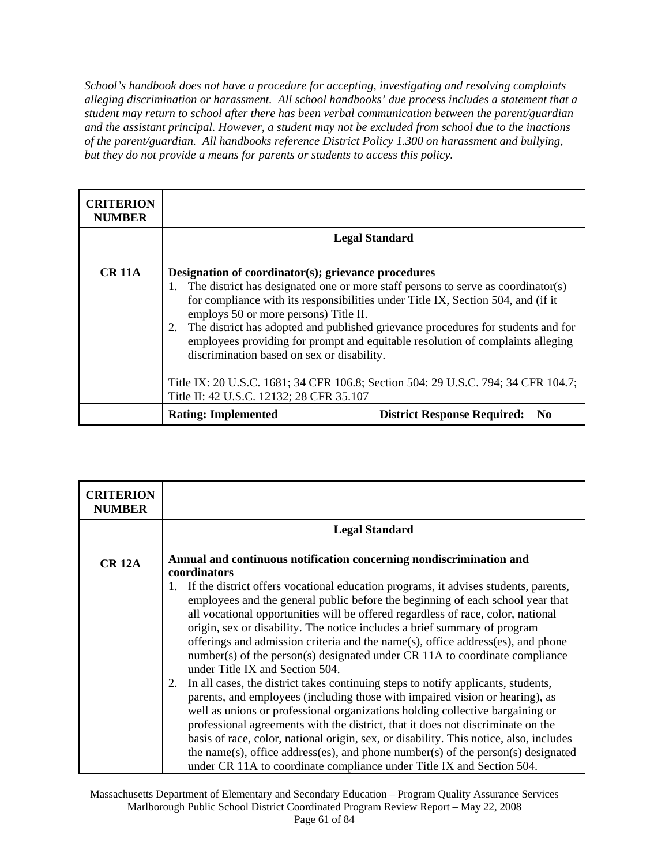*School's handbook does not have a procedure for accepting, investigating and resolving complaints alleging discrimination or harassment. All school handbooks' due process includes a statement that a student may return to school after there has been verbal communication between the parent/guardian and the assistant principal. However, a student may not be excluded from school due to the inactions of the parent/guardian. All handbooks reference District Policy 1.300 on harassment and bullying, but they do not provide a means for parents or students to access this policy.* 

| <b>CRITERION</b><br><b>NUMBER</b> |                                                                                                                                                                                                                                                                                                                                                                                                                                                                                                      |                                                |
|-----------------------------------|------------------------------------------------------------------------------------------------------------------------------------------------------------------------------------------------------------------------------------------------------------------------------------------------------------------------------------------------------------------------------------------------------------------------------------------------------------------------------------------------------|------------------------------------------------|
|                                   | <b>Legal Standard</b>                                                                                                                                                                                                                                                                                                                                                                                                                                                                                |                                                |
| <b>CR 11A</b>                     | Designation of coordinator(s); grievance procedures<br>The district has designated one or more staff persons to serve as coordinator(s)<br>1.<br>for compliance with its responsibilities under Title IX, Section 504, and (if it<br>employs 50 or more persons) Title II.<br>The district has adopted and published grievance procedures for students and for<br>2.<br>employees providing for prompt and equitable resolution of complaints alleging<br>discrimination based on sex or disability. |                                                |
|                                   | Title IX: 20 U.S.C. 1681; 34 CFR 106.8; Section 504: 29 U.S.C. 794; 34 CFR 104.7;<br>Title II: 42 U.S.C. 12132; 28 CFR 35.107                                                                                                                                                                                                                                                                                                                                                                        |                                                |
|                                   | <b>Rating: Implemented</b>                                                                                                                                                                                                                                                                                                                                                                                                                                                                           | <b>District Response Required:</b><br>$\bf No$ |

| <b>CRITERION</b><br><b>NUMBER</b> |                                                                                                                                                                                                                                                                                                                                                                                                                                                                                                                                                                                                    |  |
|-----------------------------------|----------------------------------------------------------------------------------------------------------------------------------------------------------------------------------------------------------------------------------------------------------------------------------------------------------------------------------------------------------------------------------------------------------------------------------------------------------------------------------------------------------------------------------------------------------------------------------------------------|--|
|                                   | <b>Legal Standard</b>                                                                                                                                                                                                                                                                                                                                                                                                                                                                                                                                                                              |  |
| <b>CR 12A</b>                     | Annual and continuous notification concerning nondiscrimination and<br>coordinators                                                                                                                                                                                                                                                                                                                                                                                                                                                                                                                |  |
|                                   | If the district offers vocational education programs, it advises students, parents,<br>1.<br>employees and the general public before the beginning of each school year that<br>all vocational opportunities will be offered regardless of race, color, national<br>origin, sex or disability. The notice includes a brief summary of program<br>offerings and admission criteria and the name(s), office address(es), and phone<br>number(s) of the person(s) designated under CR 11A to coordinate compliance<br>under Title IX and Section 504.                                                  |  |
|                                   | In all cases, the district takes continuing steps to notify applicants, students,<br>2.<br>parents, and employees (including those with impaired vision or hearing), as<br>well as unions or professional organizations holding collective bargaining or<br>professional agreements with the district, that it does not discriminate on the<br>basis of race, color, national origin, sex, or disability. This notice, also, includes<br>the name(s), office address(es), and phone number(s) of the person(s) designated<br>under CR 11A to coordinate compliance under Title IX and Section 504. |  |

Massachusetts Department of Elementary and Secondary Education – Program Quality Assurance Services Marlborough Public School District Coordinated Program Review Report – May 22, 2008 Page 61 of 84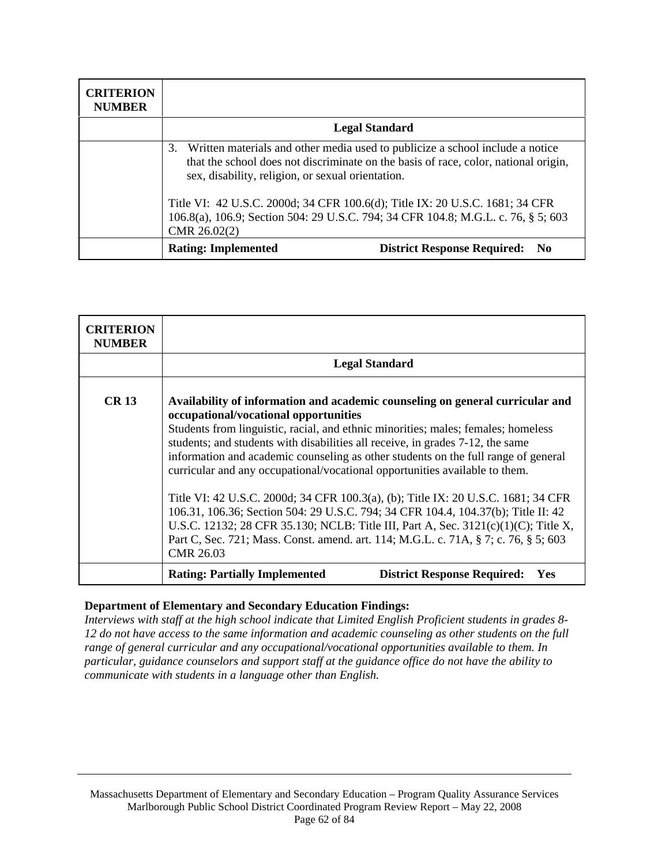| <b>CRITERION</b><br><b>NUMBER</b> |                                                                                                                                                                                                                                 |
|-----------------------------------|---------------------------------------------------------------------------------------------------------------------------------------------------------------------------------------------------------------------------------|
|                                   | <b>Legal Standard</b>                                                                                                                                                                                                           |
|                                   | Written materials and other media used to publicize a school include a notice<br>3.<br>that the school does not discriminate on the basis of race, color, national origin,<br>sex, disability, religion, or sexual orientation. |
|                                   | Title VI: 42 U.S.C. 2000d; 34 CFR 100.6(d); Title IX: 20 U.S.C. 1681; 34 CFR<br>106.8(a), 106.9; Section 504: 29 U.S.C. 794; 34 CFR 104.8; M.G.L. c. 76, § 5; 603<br>$CMR$ 26.02(2)                                             |
|                                   | <b>Rating: Implemented</b><br><b>District Response Required:</b><br>- No                                                                                                                                                        |

| <b>CRITERION</b><br><b>NUMBER</b> |                                                                                                                                                                                                                                                                                                                                                                                                                                                                    |  |
|-----------------------------------|--------------------------------------------------------------------------------------------------------------------------------------------------------------------------------------------------------------------------------------------------------------------------------------------------------------------------------------------------------------------------------------------------------------------------------------------------------------------|--|
|                                   | <b>Legal Standard</b>                                                                                                                                                                                                                                                                                                                                                                                                                                              |  |
| <b>CR13</b>                       | Availability of information and academic counseling on general curricular and<br>occupational/vocational opportunities<br>Students from linguistic, racial, and ethnic minorities; males; females; homeless<br>students; and students with disabilities all receive, in grades 7-12, the same<br>information and academic counseling as other students on the full range of general<br>curricular and any occupational/vocational opportunities available to them. |  |
|                                   | Title VI: 42 U.S.C. 2000d; 34 CFR 100.3(a), (b); Title IX: 20 U.S.C. 1681; 34 CFR<br>106.31, 106.36; Section 504: 29 U.S.C. 794; 34 CFR 104.4, 104.37(b); Title II: 42<br>U.S.C. 12132; 28 CFR 35.130; NCLB: Title III, Part A, Sec. 3121(c)(1)(C); Title X,<br>Part C, Sec. 721; Mass. Const. amend. art. 114; M.G.L. c. 71A, § 7; c. 76, § 5; 603<br><b>CMR 26.03</b>                                                                                            |  |
|                                   | <b>Rating: Partially Implemented</b><br><b>District Response Required:</b><br>Yes                                                                                                                                                                                                                                                                                                                                                                                  |  |

*Interviews with staff at the high school indicate that Limited English Proficient students in grades 8- 12 do not have access to the same information and academic counseling as other students on the full range of general curricular and any occupational/vocational opportunities available to them. In particular, guidance counselors and support staff at the guidance office do not have the ability to communicate with students in a language other than English.*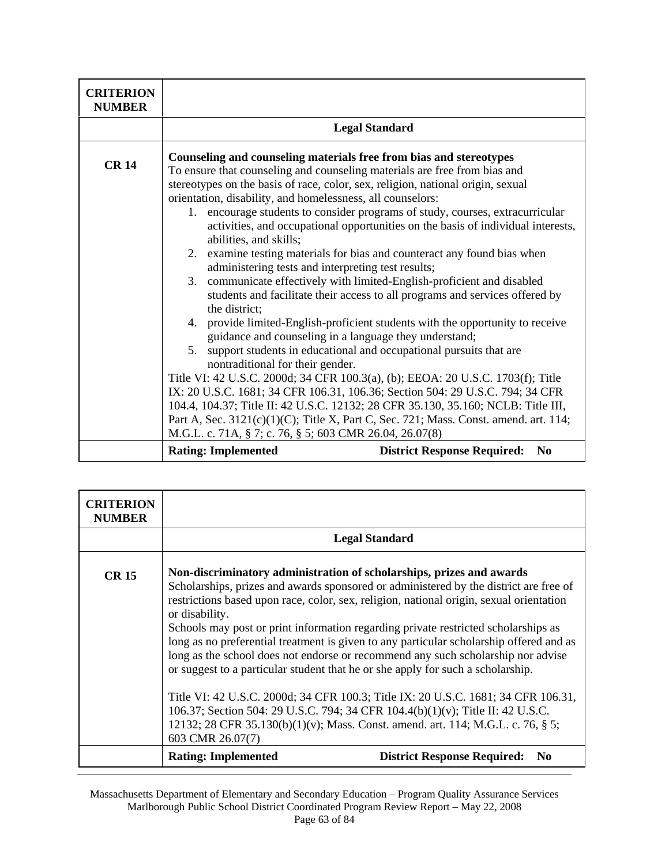| <b>CRITERION</b><br><b>NUMBER</b> |                                                                                                                                                                                                                                                            |                                                                                                                                                                                                                                                                                                                                                                                                                                                                                                                                                                                                                                                                                                                                                                                                                                                                                                                                                                                                                                                                                                                                                                                                                      |
|-----------------------------------|------------------------------------------------------------------------------------------------------------------------------------------------------------------------------------------------------------------------------------------------------------|----------------------------------------------------------------------------------------------------------------------------------------------------------------------------------------------------------------------------------------------------------------------------------------------------------------------------------------------------------------------------------------------------------------------------------------------------------------------------------------------------------------------------------------------------------------------------------------------------------------------------------------------------------------------------------------------------------------------------------------------------------------------------------------------------------------------------------------------------------------------------------------------------------------------------------------------------------------------------------------------------------------------------------------------------------------------------------------------------------------------------------------------------------------------------------------------------------------------|
|                                   |                                                                                                                                                                                                                                                            | <b>Legal Standard</b>                                                                                                                                                                                                                                                                                                                                                                                                                                                                                                                                                                                                                                                                                                                                                                                                                                                                                                                                                                                                                                                                                                                                                                                                |
| <b>CR14</b>                       | orientation, disability, and homelessness, all counselors:<br>abilities, and skills;<br>administering tests and interpreting test results;<br>the district;<br>nontraditional for their gender.<br>M.G.L. c. 71A, § 7; c. 76, § 5; 603 CMR 26.04, 26.07(8) | Counseling and counseling materials free from bias and stereotypes<br>To ensure that counseling and counseling materials are free from bias and<br>stereotypes on the basis of race, color, sex, religion, national origin, sexual<br>1. encourage students to consider programs of study, courses, extracurricular<br>activities, and occupational opportunities on the basis of individual interests,<br>2. examine testing materials for bias and counteract any found bias when<br>3. communicate effectively with limited-English-proficient and disabled<br>students and facilitate their access to all programs and services offered by<br>4. provide limited-English-proficient students with the opportunity to receive<br>guidance and counseling in a language they understand;<br>5. support students in educational and occupational pursuits that are<br>Title VI: 42 U.S.C. 2000d; 34 CFR 100.3(a), (b); EEOA: 20 U.S.C. 1703(f); Title<br>IX: 20 U.S.C. 1681; 34 CFR 106.31, 106.36; Section 504: 29 U.S.C. 794; 34 CFR<br>104.4, 104.37; Title II: 42 U.S.C. 12132; 28 CFR 35.130, 35.160; NCLB: Title III,<br>Part A, Sec. 3121(c)(1)(C); Title X, Part C, Sec. 721; Mass. Const. amend. art. 114; |
|                                   | <b>Rating: Implemented</b>                                                                                                                                                                                                                                 | <b>District Response Required:</b><br>N <sub>0</sub>                                                                                                                                                                                                                                                                                                                                                                                                                                                                                                                                                                                                                                                                                                                                                                                                                                                                                                                                                                                                                                                                                                                                                                 |

| <b>CRITERION</b><br><b>NUMBER</b> |                                                                                                                                                                                                                                                                                                                                                                                                                                                                                                                                                                                                                                                                                                                                                                                                                                                                                                                  |
|-----------------------------------|------------------------------------------------------------------------------------------------------------------------------------------------------------------------------------------------------------------------------------------------------------------------------------------------------------------------------------------------------------------------------------------------------------------------------------------------------------------------------------------------------------------------------------------------------------------------------------------------------------------------------------------------------------------------------------------------------------------------------------------------------------------------------------------------------------------------------------------------------------------------------------------------------------------|
|                                   | <b>Legal Standard</b>                                                                                                                                                                                                                                                                                                                                                                                                                                                                                                                                                                                                                                                                                                                                                                                                                                                                                            |
| <b>CR15</b>                       | Non-discriminatory administration of scholarships, prizes and awards<br>Scholarships, prizes and awards sponsored or administered by the district are free of<br>restrictions based upon race, color, sex, religion, national origin, sexual orientation<br>or disability.<br>Schools may post or print information regarding private restricted scholarships as<br>long as no preferential treatment is given to any particular scholarship offered and as<br>long as the school does not endorse or recommend any such scholarship nor advise<br>or suggest to a particular student that he or she apply for such a scholarship.<br>Title VI: 42 U.S.C. 2000d; 34 CFR 100.3; Title IX: 20 U.S.C. 1681; 34 CFR 106.31,<br>106.37; Section 504: 29 U.S.C. 794; 34 CFR 104.4(b)(1)(v); Title II: 42 U.S.C.<br>12132; 28 CFR 35.130(b)(1)(v); Mass. Const. amend. art. 114; M.G.L. c. 76, § 5;<br>603 CMR 26.07(7) |
|                                   | <b>Rating: Implemented</b><br><b>District Response Required:</b><br>N <sub>0</sub>                                                                                                                                                                                                                                                                                                                                                                                                                                                                                                                                                                                                                                                                                                                                                                                                                               |

Massachusetts Department of Elementary and Secondary Education – Program Quality Assurance Services Marlborough Public School District Coordinated Program Review Report – May 22, 2008 Page 63 of 84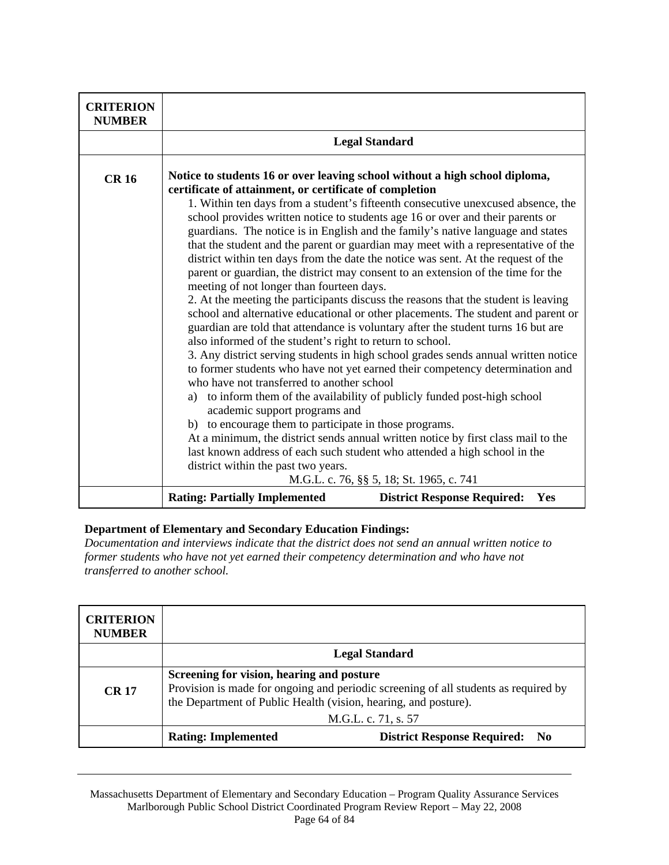| <b>CRITERION</b><br><b>NUMBER</b> |                                                                                                                                                                                                                                                                                                                                                                                                                                                                                                                                                                                                                                                                                                                                                                                                                                                                                                                                                                                                                                                                                                                                                                                                                                                                                                                                                                                                                                                                                                                                                                                                                                                                                           |
|-----------------------------------|-------------------------------------------------------------------------------------------------------------------------------------------------------------------------------------------------------------------------------------------------------------------------------------------------------------------------------------------------------------------------------------------------------------------------------------------------------------------------------------------------------------------------------------------------------------------------------------------------------------------------------------------------------------------------------------------------------------------------------------------------------------------------------------------------------------------------------------------------------------------------------------------------------------------------------------------------------------------------------------------------------------------------------------------------------------------------------------------------------------------------------------------------------------------------------------------------------------------------------------------------------------------------------------------------------------------------------------------------------------------------------------------------------------------------------------------------------------------------------------------------------------------------------------------------------------------------------------------------------------------------------------------------------------------------------------------|
|                                   | <b>Legal Standard</b>                                                                                                                                                                                                                                                                                                                                                                                                                                                                                                                                                                                                                                                                                                                                                                                                                                                                                                                                                                                                                                                                                                                                                                                                                                                                                                                                                                                                                                                                                                                                                                                                                                                                     |
| <b>CR16</b>                       | Notice to students 16 or over leaving school without a high school diploma,<br>certificate of attainment, or certificate of completion<br>1. Within ten days from a student's fifteenth consecutive unexcused absence, the<br>school provides written notice to students age 16 or over and their parents or<br>guardians. The notice is in English and the family's native language and states<br>that the student and the parent or guardian may meet with a representative of the<br>district within ten days from the date the notice was sent. At the request of the<br>parent or guardian, the district may consent to an extension of the time for the<br>meeting of not longer than fourteen days.<br>2. At the meeting the participants discuss the reasons that the student is leaving<br>school and alternative educational or other placements. The student and parent or<br>guardian are told that attendance is voluntary after the student turns 16 but are<br>also informed of the student's right to return to school.<br>3. Any district serving students in high school grades sends annual written notice<br>to former students who have not yet earned their competency determination and<br>who have not transferred to another school<br>a) to inform them of the availability of publicly funded post-high school<br>academic support programs and<br>b) to encourage them to participate in those programs.<br>At a minimum, the district sends annual written notice by first class mail to the<br>last known address of each such student who attended a high school in the<br>district within the past two years.<br>M.G.L. c. 76, §§ 5, 18; St. 1965, c. 741 |
|                                   | <b>Rating: Partially Implemented</b><br><b>District Response Required:</b><br>Yes                                                                                                                                                                                                                                                                                                                                                                                                                                                                                                                                                                                                                                                                                                                                                                                                                                                                                                                                                                                                                                                                                                                                                                                                                                                                                                                                                                                                                                                                                                                                                                                                         |

*Documentation and interviews indicate that the district does not send an annual written notice to former students who have not yet earned their competency determination and who have not transferred to another school.* 

| <b>CRITERION</b><br><b>NUMBER</b> |                                                                                                                                                                                                                            |  |
|-----------------------------------|----------------------------------------------------------------------------------------------------------------------------------------------------------------------------------------------------------------------------|--|
|                                   | <b>Legal Standard</b>                                                                                                                                                                                                      |  |
| <b>CR 17</b>                      | Screening for vision, hearing and posture<br>Provision is made for ongoing and periodic screening of all students as required by<br>the Department of Public Health (vision, hearing, and posture).<br>M.G.L. c. 71, s. 57 |  |
|                                   | <b>Rating: Implemented</b><br><b>District Response Required:</b><br>$\bf No$                                                                                                                                               |  |

Massachusetts Department of Elementary and Secondary Education – Program Quality Assurance Services Marlborough Public School District Coordinated Program Review Report – May 22, 2008 Page 64 of 84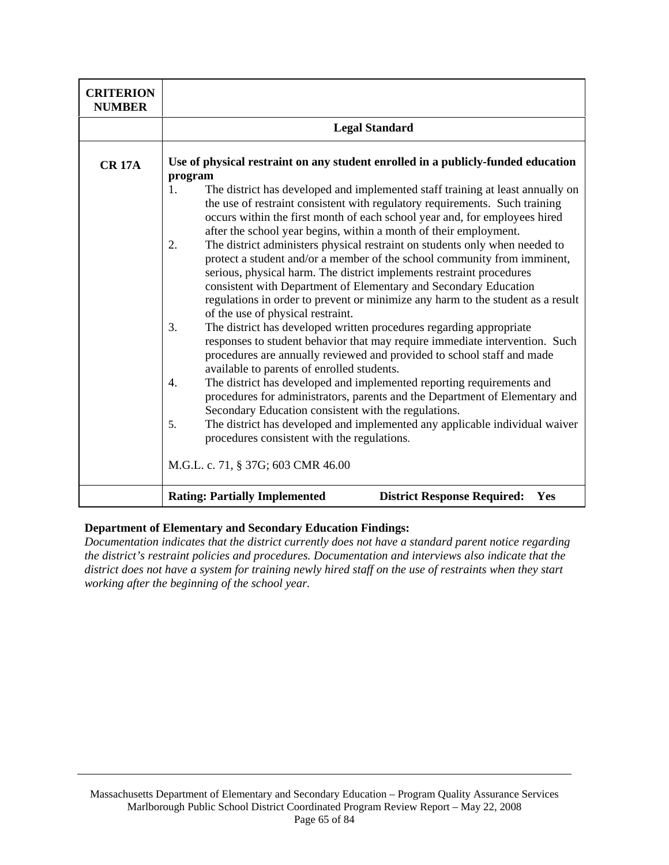| <b>CRITERION</b><br><b>NUMBER</b> |                                                                                                                                                                                                                                                                                                                                                                                                                                   |
|-----------------------------------|-----------------------------------------------------------------------------------------------------------------------------------------------------------------------------------------------------------------------------------------------------------------------------------------------------------------------------------------------------------------------------------------------------------------------------------|
|                                   | <b>Legal Standard</b>                                                                                                                                                                                                                                                                                                                                                                                                             |
| <b>CR 17A</b>                     | Use of physical restraint on any student enrolled in a publicly-funded education<br>program                                                                                                                                                                                                                                                                                                                                       |
|                                   | The district has developed and implemented staff training at least annually on<br>1.<br>the use of restraint consistent with regulatory requirements. Such training<br>occurs within the first month of each school year and, for employees hired<br>after the school year begins, within a month of their employment.                                                                                                            |
|                                   | The district administers physical restraint on students only when needed to<br>2.<br>protect a student and/or a member of the school community from imminent,<br>serious, physical harm. The district implements restraint procedures<br>consistent with Department of Elementary and Secondary Education<br>regulations in order to prevent or minimize any harm to the student as a result<br>of the use of physical restraint. |
|                                   | The district has developed written procedures regarding appropriate<br>3.<br>responses to student behavior that may require immediate intervention. Such<br>procedures are annually reviewed and provided to school staff and made<br>available to parents of enrolled students.                                                                                                                                                  |
|                                   | The district has developed and implemented reporting requirements and<br>4.<br>procedures for administrators, parents and the Department of Elementary and<br>Secondary Education consistent with the regulations.                                                                                                                                                                                                                |
|                                   | The district has developed and implemented any applicable individual waiver<br>5.<br>procedures consistent with the regulations.                                                                                                                                                                                                                                                                                                  |
|                                   | M.G.L. c. 71, § 37G; 603 CMR 46.00                                                                                                                                                                                                                                                                                                                                                                                                |
|                                   | <b>Rating: Partially Implemented</b><br><b>District Response Required:</b><br>Yes                                                                                                                                                                                                                                                                                                                                                 |

*Documentation indicates that the district currently does not have a standard parent notice regarding the district's restraint policies and procedures. Documentation and interviews also indicate that the district does not have a system for training newly hired staff on the use of restraints when they start working after the beginning of the school year.*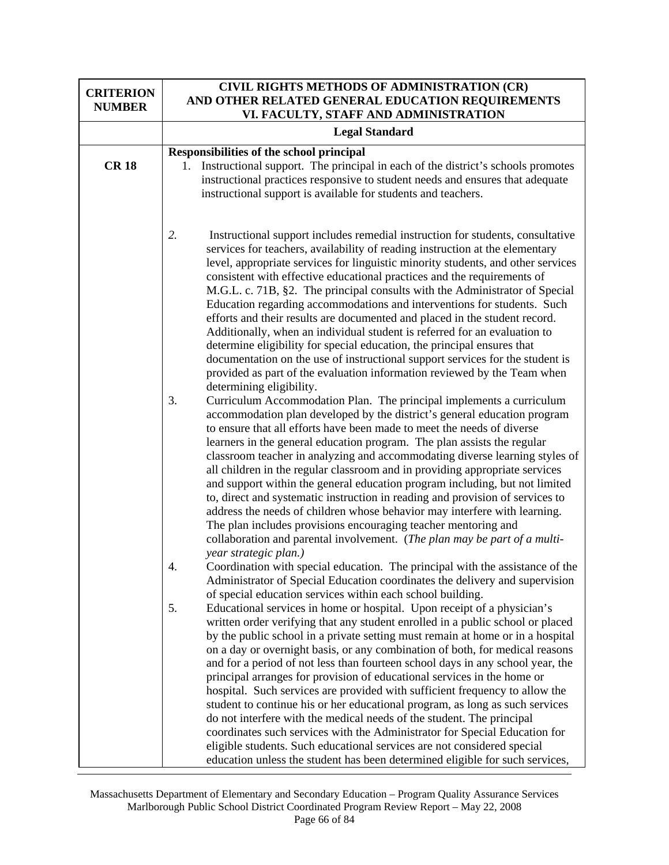| <b>CRITERION</b><br><b>NUMBER</b> | CIVIL RIGHTS METHODS OF ADMINISTRATION (CR)<br>AND OTHER RELATED GENERAL EDUCATION REQUIREMENTS<br>VI. FACULTY, STAFF AND ADMINISTRATION                                                                                                                                                                                                                                                                                                                                                                                                                                                                                                                                                                                                                                                                                                                                                                                                                                                                                                                                                                                                                                                                                                                                                                                                                                                                  |
|-----------------------------------|-----------------------------------------------------------------------------------------------------------------------------------------------------------------------------------------------------------------------------------------------------------------------------------------------------------------------------------------------------------------------------------------------------------------------------------------------------------------------------------------------------------------------------------------------------------------------------------------------------------------------------------------------------------------------------------------------------------------------------------------------------------------------------------------------------------------------------------------------------------------------------------------------------------------------------------------------------------------------------------------------------------------------------------------------------------------------------------------------------------------------------------------------------------------------------------------------------------------------------------------------------------------------------------------------------------------------------------------------------------------------------------------------------------|
|                                   | <b>Legal Standard</b>                                                                                                                                                                                                                                                                                                                                                                                                                                                                                                                                                                                                                                                                                                                                                                                                                                                                                                                                                                                                                                                                                                                                                                                                                                                                                                                                                                                     |
| <b>CR18</b>                       | Responsibilities of the school principal<br>1. Instructional support. The principal in each of the district's schools promotes<br>instructional practices responsive to student needs and ensures that adequate<br>instructional support is available for students and teachers.                                                                                                                                                                                                                                                                                                                                                                                                                                                                                                                                                                                                                                                                                                                                                                                                                                                                                                                                                                                                                                                                                                                          |
|                                   | 2.<br>Instructional support includes remedial instruction for students, consultative<br>services for teachers, availability of reading instruction at the elementary<br>level, appropriate services for linguistic minority students, and other services<br>consistent with effective educational practices and the requirements of<br>M.G.L. c. 71B, §2. The principal consults with the Administrator of Special<br>Education regarding accommodations and interventions for students. Such<br>efforts and their results are documented and placed in the student record.<br>Additionally, when an individual student is referred for an evaluation to<br>determine eligibility for special education, the principal ensures that<br>documentation on the use of instructional support services for the student is<br>provided as part of the evaluation information reviewed by the Team when<br>determining eligibility.<br>3.<br>Curriculum Accommodation Plan. The principal implements a curriculum<br>accommodation plan developed by the district's general education program<br>to ensure that all efforts have been made to meet the needs of diverse<br>learners in the general education program. The plan assists the regular<br>classroom teacher in analyzing and accommodating diverse learning styles of<br>all children in the regular classroom and in providing appropriate services |
|                                   | and support within the general education program including, but not limited<br>to, direct and systematic instruction in reading and provision of services to<br>address the needs of children whose behavior may interfere with learning.<br>The plan includes provisions encouraging teacher mentoring and<br>collaboration and parental involvement. (The plan may be part of a multi-<br>year strategic plan.)<br>Coordination with special education. The principal with the assistance of the<br>4.<br>Administrator of Special Education coordinates the delivery and supervision                                                                                                                                                                                                                                                                                                                                                                                                                                                                                                                                                                                                                                                                                                                                                                                                                   |
|                                   | of special education services within each school building.<br>5.<br>Educational services in home or hospital. Upon receipt of a physician's<br>written order verifying that any student enrolled in a public school or placed<br>by the public school in a private setting must remain at home or in a hospital<br>on a day or overnight basis, or any combination of both, for medical reasons<br>and for a period of not less than fourteen school days in any school year, the<br>principal arranges for provision of educational services in the home or<br>hospital. Such services are provided with sufficient frequency to allow the<br>student to continue his or her educational program, as long as such services<br>do not interfere with the medical needs of the student. The principal<br>coordinates such services with the Administrator for Special Education for<br>eligible students. Such educational services are not considered special<br>education unless the student has been determined eligible for such services,                                                                                                                                                                                                                                                                                                                                                             |

Massachusetts Department of Elementary and Secondary Education – Program Quality Assurance Services Marlborough Public School District Coordinated Program Review Report – May 22, 2008 Page 66 of 84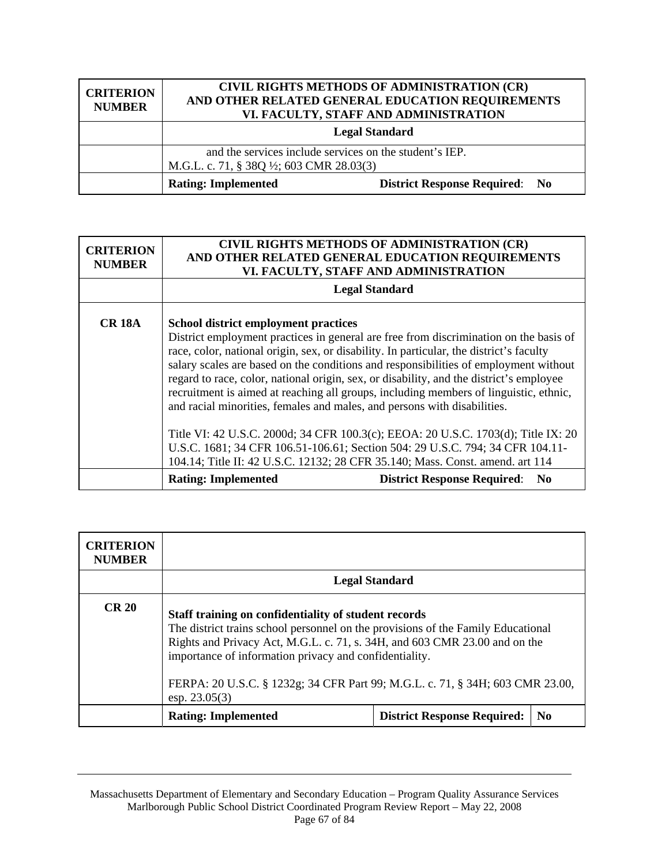| <b>CRITERION</b><br><b>NUMBER</b> |                                                                                                    | CIVIL RIGHTS METHODS OF ADMINISTRATION (CR)<br>AND OTHER RELATED GENERAL EDUCATION REQUIREMENTS<br>VI. FACULTY, STAFF AND ADMINISTRATION |
|-----------------------------------|----------------------------------------------------------------------------------------------------|------------------------------------------------------------------------------------------------------------------------------------------|
|                                   | <b>Legal Standard</b>                                                                              |                                                                                                                                          |
|                                   | and the services include services on the student's IEP.<br>M.G.L. c. 71, § 38Q ½; 603 CMR 28.03(3) |                                                                                                                                          |
|                                   | <b>Rating: Implemented</b>                                                                         | <b>District Response Required: No</b>                                                                                                    |

| <b>CRITERION</b><br><b>NUMBER</b> | CIVIL RIGHTS METHODS OF ADMINISTRATION (CR)<br>AND OTHER RELATED GENERAL EDUCATION REQUIREMENTS<br>VI. FACULTY, STAFF AND ADMINISTRATION                                                                                                                                                                                                                                                                                                                                                                                                                                                |
|-----------------------------------|-----------------------------------------------------------------------------------------------------------------------------------------------------------------------------------------------------------------------------------------------------------------------------------------------------------------------------------------------------------------------------------------------------------------------------------------------------------------------------------------------------------------------------------------------------------------------------------------|
|                                   | <b>Legal Standard</b>                                                                                                                                                                                                                                                                                                                                                                                                                                                                                                                                                                   |
| <b>CR 18A</b>                     | <b>School district employment practices</b><br>District employment practices in general are free from discrimination on the basis of<br>race, color, national origin, sex, or disability. In particular, the district's faculty<br>salary scales are based on the conditions and responsibilities of employment without<br>regard to race, color, national origin, sex, or disability, and the district's employee<br>recruitment is aimed at reaching all groups, including members of linguistic, ethnic,<br>and racial minorities, females and males, and persons with disabilities. |
|                                   | Title VI: 42 U.S.C. 2000d; 34 CFR 100.3(c); EEOA: 20 U.S.C. 1703(d); Title IX: 20<br>U.S.C. 1681; 34 CFR 106.51-106.61; Section 504: 29 U.S.C. 794; 34 CFR 104.11-<br>104.14; Title II: 42 U.S.C. 12132; 28 CFR 35.140; Mass. Const. amend. art 114                                                                                                                                                                                                                                                                                                                                     |
|                                   | <b>District Response Required:</b><br><b>Rating: Implemented</b><br>N <sub>0</sub>                                                                                                                                                                                                                                                                                                                                                                                                                                                                                                      |

| <b>CRITERION</b><br><b>NUMBER</b> |                                                                                                                                                                                                                                                                                                                                                                                       |                                    |                |
|-----------------------------------|---------------------------------------------------------------------------------------------------------------------------------------------------------------------------------------------------------------------------------------------------------------------------------------------------------------------------------------------------------------------------------------|------------------------------------|----------------|
|                                   |                                                                                                                                                                                                                                                                                                                                                                                       | <b>Legal Standard</b>              |                |
| CR <sub>20</sub>                  | Staff training on confidentiality of student records<br>The district trains school personnel on the provisions of the Family Educational<br>Rights and Privacy Act, M.G.L. c. 71, s. 34H, and 603 CMR 23.00 and on the<br>importance of information privacy and confidentiality.<br>FERPA: 20 U.S.C. § 1232g; 34 CFR Part 99; M.G.L. c. 71, § 34H; 603 CMR 23.00,<br>$\exp. 23.05(3)$ |                                    |                |
|                                   | <b>Rating: Implemented</b>                                                                                                                                                                                                                                                                                                                                                            | <b>District Response Required:</b> | N <sub>0</sub> |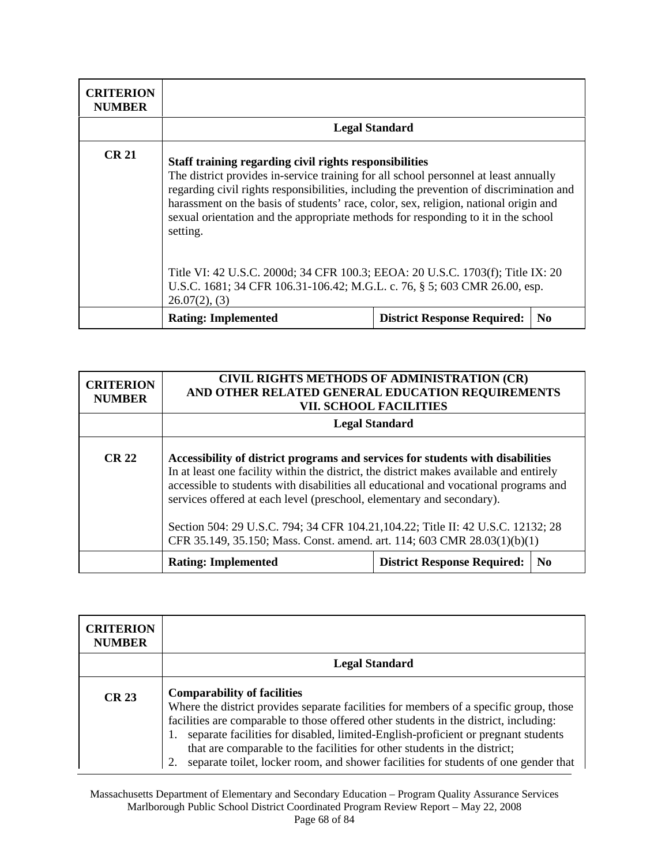| <b>CRITERION</b><br><b>NUMBER</b> |                                                                                                                                                                                                                                                                                                                                                                                                                                                                                                                                                                                                                       |                                    |                |
|-----------------------------------|-----------------------------------------------------------------------------------------------------------------------------------------------------------------------------------------------------------------------------------------------------------------------------------------------------------------------------------------------------------------------------------------------------------------------------------------------------------------------------------------------------------------------------------------------------------------------------------------------------------------------|------------------------------------|----------------|
|                                   |                                                                                                                                                                                                                                                                                                                                                                                                                                                                                                                                                                                                                       | <b>Legal Standard</b>              |                |
| <b>CR 21</b>                      | Staff training regarding civil rights responsibilities<br>The district provides in-service training for all school personnel at least annually<br>regarding civil rights responsibilities, including the prevention of discrimination and<br>harassment on the basis of students' race, color, sex, religion, national origin and<br>sexual orientation and the appropriate methods for responding to it in the school<br>setting.<br>Title VI: 42 U.S.C. 2000d; 34 CFR 100.3; EEOA: 20 U.S.C. 1703(f); Title IX: 20<br>U.S.C. 1681; 34 CFR 106.31-106.42; M.G.L. c. 76, § 5; 603 CMR 26.00, esp.<br>$26.07(2)$ , (3) |                                    |                |
|                                   | <b>Rating: Implemented</b>                                                                                                                                                                                                                                                                                                                                                                                                                                                                                                                                                                                            | <b>District Response Required:</b> | N <sub>0</sub> |

| <b>CRITERION</b><br><b>NUMBER</b> | AND OTHER RELATED GENERAL EDUCATION REQUIREMENTS                                                                                                                                                                                                                                                                                                                                                                                                                                                           | CIVIL RIGHTS METHODS OF ADMINISTRATION (CR)<br><b>VII. SCHOOL FACILITIES</b> |                |
|-----------------------------------|------------------------------------------------------------------------------------------------------------------------------------------------------------------------------------------------------------------------------------------------------------------------------------------------------------------------------------------------------------------------------------------------------------------------------------------------------------------------------------------------------------|------------------------------------------------------------------------------|----------------|
|                                   |                                                                                                                                                                                                                                                                                                                                                                                                                                                                                                            | <b>Legal Standard</b>                                                        |                |
| <b>CR 22</b>                      | Accessibility of district programs and services for students with disabilities<br>In at least one facility within the district, the district makes available and entirely<br>accessible to students with disabilities all educational and vocational programs and<br>services offered at each level (preschool, elementary and secondary).<br>Section 504: 29 U.S.C. 794; 34 CFR 104.21, 104.22; Title II: 42 U.S.C. 12132; 28<br>CFR 35.149, 35.150; Mass. Const. amend. art. 114; 603 CMR 28.03(1)(b)(1) |                                                                              |                |
|                                   | <b>Rating: Implemented</b>                                                                                                                                                                                                                                                                                                                                                                                                                                                                                 | <b>District Response Required:</b>                                           | N <sub>0</sub> |

| <b>CRITERION</b><br><b>NUMBER</b> |                                                                                                                                                                                                                                                                                                                                                                                                                                                                                      |
|-----------------------------------|--------------------------------------------------------------------------------------------------------------------------------------------------------------------------------------------------------------------------------------------------------------------------------------------------------------------------------------------------------------------------------------------------------------------------------------------------------------------------------------|
|                                   | <b>Legal Standard</b>                                                                                                                                                                                                                                                                                                                                                                                                                                                                |
| <b>CR 23</b>                      | <b>Comparability of facilities</b><br>Where the district provides separate facilities for members of a specific group, those<br>facilities are comparable to those offered other students in the district, including:<br>separate facilities for disabled, limited-English-proficient or pregnant students<br>that are comparable to the facilities for other students in the district;<br>separate toilet, locker room, and shower facilities for students of one gender that<br>2. |

Massachusetts Department of Elementary and Secondary Education – Program Quality Assurance Services Marlborough Public School District Coordinated Program Review Report – May 22, 2008 Page 68 of 84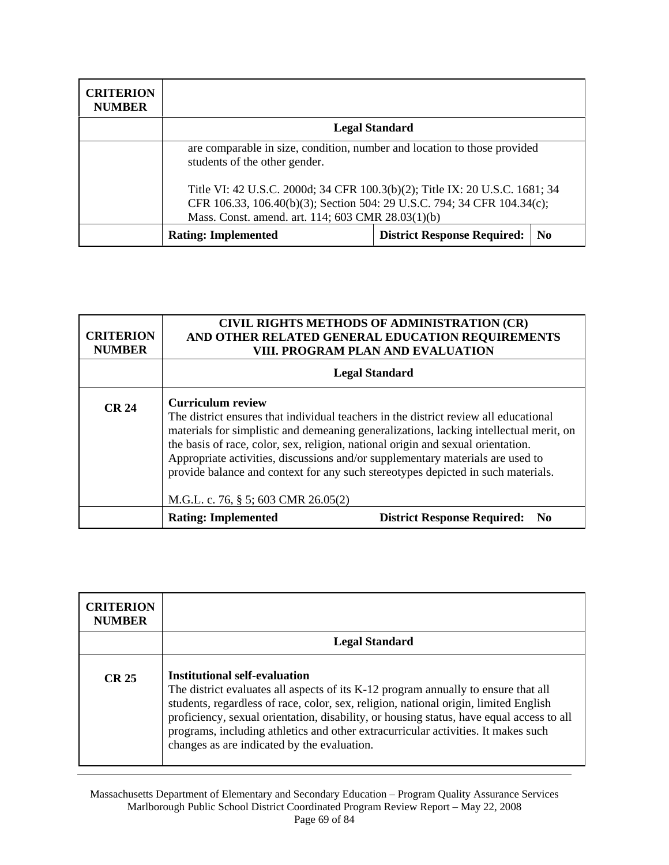| <b>CRITERION</b><br><b>NUMBER</b> |                                                                                                                                                                                                             |                                    |                |
|-----------------------------------|-------------------------------------------------------------------------------------------------------------------------------------------------------------------------------------------------------------|------------------------------------|----------------|
|                                   | <b>Legal Standard</b>                                                                                                                                                                                       |                                    |                |
|                                   | are comparable in size, condition, number and location to those provided<br>students of the other gender.                                                                                                   |                                    |                |
|                                   | Title VI: 42 U.S.C. 2000d; 34 CFR 100.3(b)(2); Title IX: 20 U.S.C. 1681; 34<br>CFR 106.33, 106.40(b)(3); Section 504: 29 U.S.C. 794; 34 CFR 104.34(c);<br>Mass. Const. amend. art. 114; 603 CMR 28.03(1)(b) |                                    |                |
|                                   | <b>Rating: Implemented</b>                                                                                                                                                                                  | <b>District Response Required:</b> | N <sub>0</sub> |

| <b>CRITERION</b><br><b>NUMBER</b> | <b>CIVIL RIGHTS METHODS OF ADMINISTRATION (CR)</b><br>AND OTHER RELATED GENERAL EDUCATION REQUIREMENTS<br>VIII. PROGRAM PLAN AND EVALUATION                                                                                                                                                                                                                                                                                                                                                                 |                                                              |
|-----------------------------------|-------------------------------------------------------------------------------------------------------------------------------------------------------------------------------------------------------------------------------------------------------------------------------------------------------------------------------------------------------------------------------------------------------------------------------------------------------------------------------------------------------------|--------------------------------------------------------------|
|                                   | <b>Legal Standard</b>                                                                                                                                                                                                                                                                                                                                                                                                                                                                                       |                                                              |
| <b>CR 24</b>                      | <b>Curriculum review</b><br>The district ensures that individual teachers in the district review all educational<br>materials for simplistic and demeaning generalizations, lacking intellectual merit, on<br>the basis of race, color, sex, religion, national origin and sexual orientation.<br>Appropriate activities, discussions and/or supplementary materials are used to<br>provide balance and context for any such stereotypes depicted in such materials.<br>M.G.L. c. 76, § 5; 603 CMR 26.05(2) |                                                              |
|                                   | <b>Rating: Implemented</b>                                                                                                                                                                                                                                                                                                                                                                                                                                                                                  | <b>District Response Required:</b><br>$\mathbf{N}\mathbf{0}$ |

| <b>CRITERION</b><br><b>NUMBER</b> |                                                                                                                                                                                                                                                                                                                                                                                                                                                    |  |
|-----------------------------------|----------------------------------------------------------------------------------------------------------------------------------------------------------------------------------------------------------------------------------------------------------------------------------------------------------------------------------------------------------------------------------------------------------------------------------------------------|--|
|                                   | <b>Legal Standard</b>                                                                                                                                                                                                                                                                                                                                                                                                                              |  |
| CR <sub>25</sub>                  | <b>Institutional self-evaluation</b><br>The district evaluates all aspects of its K-12 program annually to ensure that all<br>students, regardless of race, color, sex, religion, national origin, limited English<br>proficiency, sexual orientation, disability, or housing status, have equal access to all<br>programs, including athletics and other extracurricular activities. It makes such<br>changes as are indicated by the evaluation. |  |

Massachusetts Department of Elementary and Secondary Education – Program Quality Assurance Services Marlborough Public School District Coordinated Program Review Report – May 22, 2008 Page 69 of 84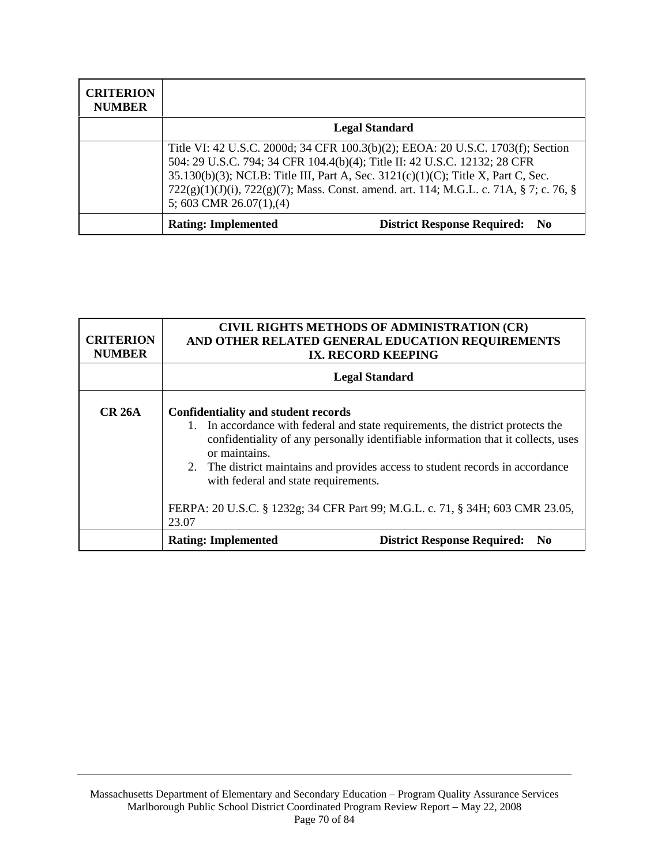| <b>CRITERION</b><br><b>NUMBER</b> |                                                                                                                                                                                                                                                                                                                                                                           |  |
|-----------------------------------|---------------------------------------------------------------------------------------------------------------------------------------------------------------------------------------------------------------------------------------------------------------------------------------------------------------------------------------------------------------------------|--|
|                                   | <b>Legal Standard</b>                                                                                                                                                                                                                                                                                                                                                     |  |
|                                   | Title VI: 42 U.S.C. 2000d; 34 CFR 100.3(b)(2); EEOA: 20 U.S.C. 1703(f); Section<br>504: 29 U.S.C. 794; 34 CFR 104.4(b)(4); Title II: 42 U.S.C. 12132; 28 CFR<br>35.130(b)(3); NCLB: Title III, Part A, Sec. 3121(c)(1)(C); Title X, Part C, Sec.<br>722(g)(1)(J)(i), 722(g)(7); Mass. Const. amend. art. 114; M.G.L. c. 71A, § 7; c. 76, §<br>5; 603 CMR $26.07(1)$ , (4) |  |
|                                   | <b>Rating: Implemented</b><br><b>District Response Required: No</b>                                                                                                                                                                                                                                                                                                       |  |

| <b>CRITERION</b><br><b>NUMBER</b> | <b>CIVIL RIGHTS METHODS OF ADMINISTRATION (CR)</b><br>AND OTHER RELATED GENERAL EDUCATION REQUIREMENTS<br>IX. RECORD KEEPING                                                                                                                                                                                                                                                                                                                            |  |
|-----------------------------------|---------------------------------------------------------------------------------------------------------------------------------------------------------------------------------------------------------------------------------------------------------------------------------------------------------------------------------------------------------------------------------------------------------------------------------------------------------|--|
|                                   | <b>Legal Standard</b>                                                                                                                                                                                                                                                                                                                                                                                                                                   |  |
| <b>CR 26A</b>                     | <b>Confidentiality and student records</b><br>1. In accordance with federal and state requirements, the district protects the<br>confidentiality of any personally identifiable information that it collects, uses<br>or maintains.<br>2. The district maintains and provides access to student records in accordance<br>with federal and state requirements.<br>FERPA: 20 U.S.C. § 1232g; 34 CFR Part 99; M.G.L. c. 71, § 34H; 603 CMR 23.05,<br>23.07 |  |
|                                   | <b>District Response Required:</b><br><b>Rating: Implemented</b><br>N <sub>0</sub>                                                                                                                                                                                                                                                                                                                                                                      |  |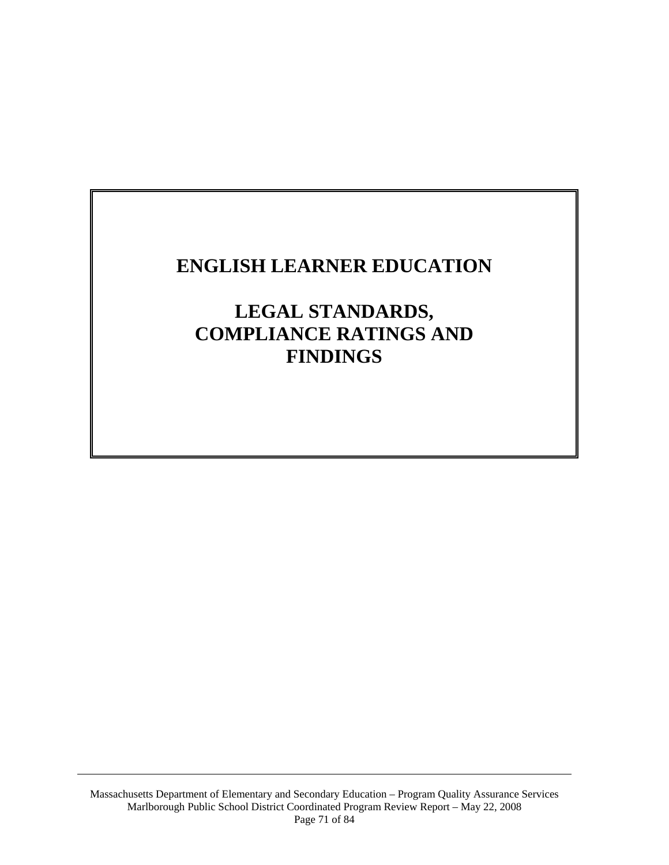# **ENGLISH LEARNER EDUCATION**

**LEGAL STANDARDS, COMPLIANCE RATINGS AND FINDINGS**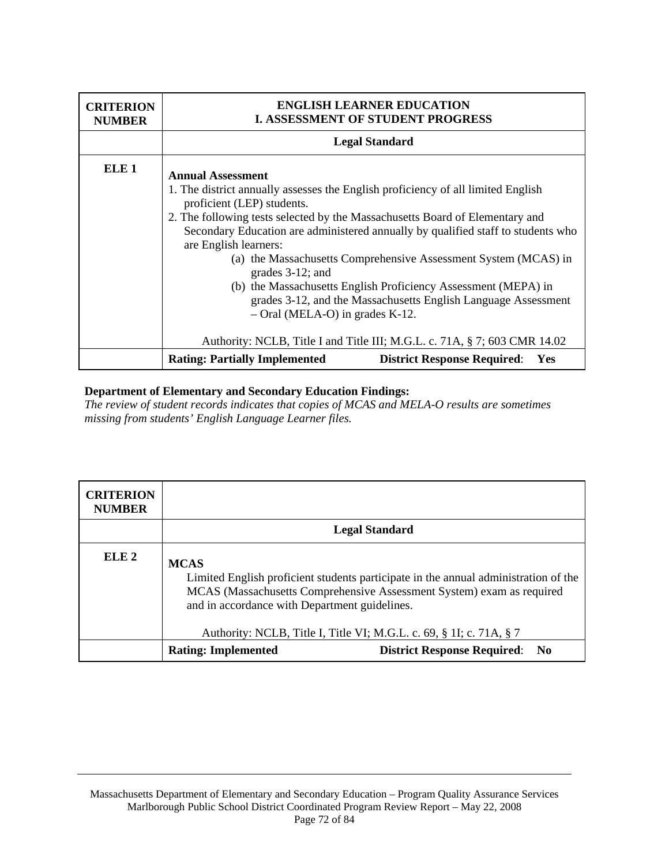| <b>CRITERION</b><br><b>NUMBER</b> | <b>ENGLISH LEARNER EDUCATION</b><br><b>I. ASSESSMENT OF STUDENT PROGRESS</b>                                                                                                                                                                                                                                                                                                                                                                                                                                                                                                                                                                                                         |  |
|-----------------------------------|--------------------------------------------------------------------------------------------------------------------------------------------------------------------------------------------------------------------------------------------------------------------------------------------------------------------------------------------------------------------------------------------------------------------------------------------------------------------------------------------------------------------------------------------------------------------------------------------------------------------------------------------------------------------------------------|--|
|                                   | <b>Legal Standard</b>                                                                                                                                                                                                                                                                                                                                                                                                                                                                                                                                                                                                                                                                |  |
| <b>ELE</b> 1                      | <b>Annual Assessment</b><br>1. The district annually assesses the English proficiency of all limited English<br>proficient (LEP) students.<br>2. The following tests selected by the Massachusetts Board of Elementary and<br>Secondary Education are administered annually by qualified staff to students who<br>are English learners:<br>(a) the Massachusetts Comprehensive Assessment System (MCAS) in<br>grades 3-12; and<br>(b) the Massachusetts English Proficiency Assessment (MEPA) in<br>grades 3-12, and the Massachusetts English Language Assessment<br>$-$ Oral (MELA-O) in grades K-12.<br>Authority: NCLB, Title I and Title III; M.G.L. c. 71A, § 7; 603 CMR 14.02 |  |
|                                   | <b>Rating: Partially Implemented</b><br><b>District Response Required:</b><br>Yes                                                                                                                                                                                                                                                                                                                                                                                                                                                                                                                                                                                                    |  |

*The review of student records indicates that copies of MCAS and MELA-O results are sometimes missing from students' English Language Learner files.* 

| <b>CRITERION</b><br><b>NUMBER</b> |                                                                                                                                                                                                                                                                                                     |                                       |
|-----------------------------------|-----------------------------------------------------------------------------------------------------------------------------------------------------------------------------------------------------------------------------------------------------------------------------------------------------|---------------------------------------|
|                                   | <b>Legal Standard</b>                                                                                                                                                                                                                                                                               |                                       |
| ELE <sub>2</sub>                  | <b>MCAS</b><br>Limited English proficient students participate in the annual administration of the<br>MCAS (Massachusetts Comprehensive Assessment System) exam as required<br>and in accordance with Department guidelines.<br>Authority: NCLB, Title I, Title VI; M.G.L. c. 69, § 1I; c. 71A, § 7 |                                       |
|                                   | <b>Rating: Implemented</b>                                                                                                                                                                                                                                                                          | <b>District Response Required: No</b> |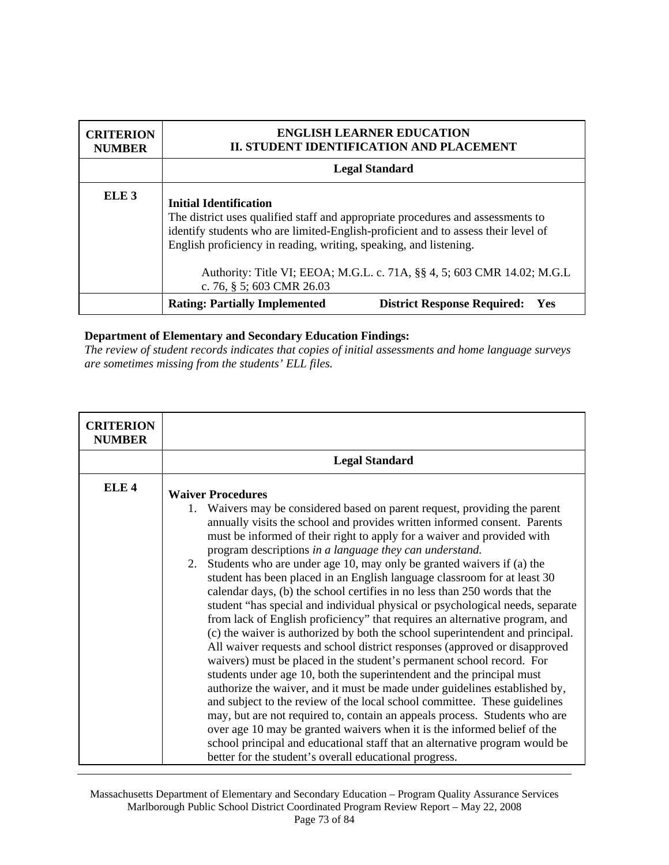| <b>CRITERION</b><br><b>NUMBER</b> |                                                                                                                                                                                                                                                                                                                                                       | <b>ENGLISH LEARNER EDUCATION</b><br>II. STUDENT IDENTIFICATION AND PLACEMENT |
|-----------------------------------|-------------------------------------------------------------------------------------------------------------------------------------------------------------------------------------------------------------------------------------------------------------------------------------------------------------------------------------------------------|------------------------------------------------------------------------------|
|                                   | <b>Legal Standard</b>                                                                                                                                                                                                                                                                                                                                 |                                                                              |
| ELE <sub>3</sub>                  | <b>Initial Identification</b><br>The district uses qualified staff and appropriate procedures and assessments to<br>identify students who are limited-English-proficient and to assess their level of<br>English proficiency in reading, writing, speaking, and listening.<br>Authority: Title VI; EEOA; M.G.L. c. 71A, §§ 4, 5; 603 CMR 14.02; M.G.L |                                                                              |
|                                   | c. 76, § 5; 603 CMR 26.03<br><b>Rating: Partially Implemented</b>                                                                                                                                                                                                                                                                                     | <b>District Response Required:</b><br>Yes                                    |

*The review of student records indicates that copies of initial assessments and home language surveys are sometimes missing from the students' ELL files.* 

| <b>CRITERION</b><br><b>NUMBER</b> |                                                                                                                                                                                                                                                                                                                                                                                                                                                                                                                                                                                                                                                                                                                                                                                                                                                                                                                                                                                                                                                                                                                                                                                                                                                                                                                                                                                                                                                                                                                            |
|-----------------------------------|----------------------------------------------------------------------------------------------------------------------------------------------------------------------------------------------------------------------------------------------------------------------------------------------------------------------------------------------------------------------------------------------------------------------------------------------------------------------------------------------------------------------------------------------------------------------------------------------------------------------------------------------------------------------------------------------------------------------------------------------------------------------------------------------------------------------------------------------------------------------------------------------------------------------------------------------------------------------------------------------------------------------------------------------------------------------------------------------------------------------------------------------------------------------------------------------------------------------------------------------------------------------------------------------------------------------------------------------------------------------------------------------------------------------------------------------------------------------------------------------------------------------------|
|                                   | <b>Legal Standard</b>                                                                                                                                                                                                                                                                                                                                                                                                                                                                                                                                                                                                                                                                                                                                                                                                                                                                                                                                                                                                                                                                                                                                                                                                                                                                                                                                                                                                                                                                                                      |
| ELE <sub>4</sub>                  | <b>Waiver Procedures</b><br>Waivers may be considered based on parent request, providing the parent<br>$1_{\cdot}$<br>annually visits the school and provides written informed consent. Parents<br>must be informed of their right to apply for a waiver and provided with<br>program descriptions in a language they can understand.<br>2. Students who are under age 10, may only be granted waivers if (a) the<br>student has been placed in an English language classroom for at least 30<br>calendar days, (b) the school certifies in no less than 250 words that the<br>student "has special and individual physical or psychological needs, separate<br>from lack of English proficiency" that requires an alternative program, and<br>(c) the waiver is authorized by both the school superintendent and principal.<br>All waiver requests and school district responses (approved or disapproved<br>waivers) must be placed in the student's permanent school record. For<br>students under age 10, both the superintendent and the principal must<br>authorize the waiver, and it must be made under guidelines established by,<br>and subject to the review of the local school committee. These guidelines<br>may, but are not required to, contain an appeals process. Students who are<br>over age 10 may be granted waivers when it is the informed belief of the<br>school principal and educational staff that an alternative program would be<br>better for the student's overall educational progress. |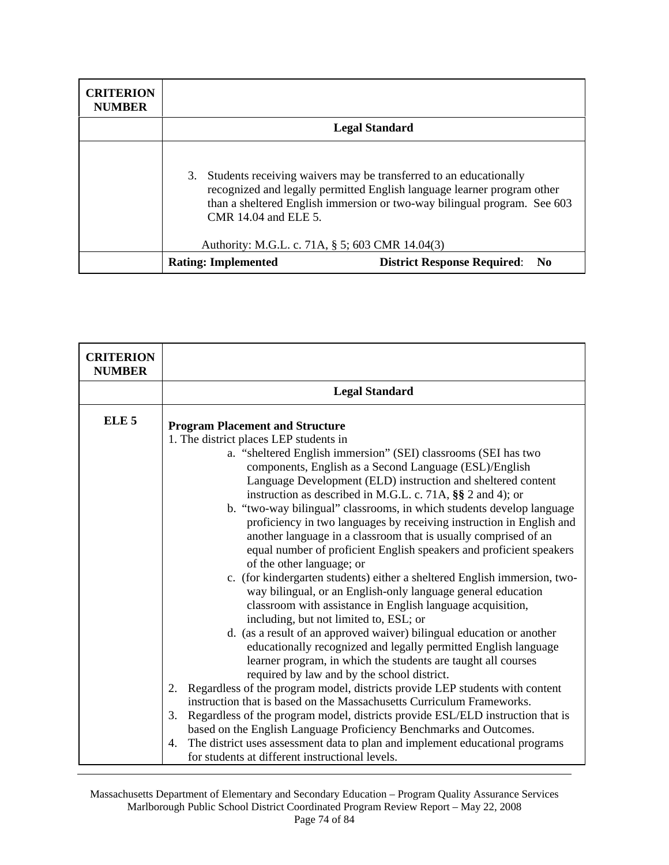| <b>CRITERION</b><br><b>NUMBER</b> |                                                                               |                                                                                                                                                                                                                          |
|-----------------------------------|-------------------------------------------------------------------------------|--------------------------------------------------------------------------------------------------------------------------------------------------------------------------------------------------------------------------|
|                                   | <b>Legal Standard</b>                                                         |                                                                                                                                                                                                                          |
|                                   | 3.<br>CMR 14.04 and ELE 5.<br>Authority: M.G.L. c. 71A, § 5; 603 CMR 14.04(3) | Students receiving waivers may be transferred to an educationally<br>recognized and legally permitted English language learner program other<br>than a sheltered English immersion or two-way bilingual program. See 603 |
|                                   | <b>Rating: Implemented</b>                                                    | <b>District Response Required: No</b>                                                                                                                                                                                    |

| <b>CRITERION</b><br><b>NUMBER</b> |                                                                                                        |  |  |
|-----------------------------------|--------------------------------------------------------------------------------------------------------|--|--|
|                                   | <b>Legal Standard</b>                                                                                  |  |  |
| ELE <sub>5</sub>                  | <b>Program Placement and Structure</b>                                                                 |  |  |
|                                   | 1. The district places LEP students in                                                                 |  |  |
|                                   | a. "sheltered English immersion" (SEI) classrooms (SEI has two                                         |  |  |
|                                   | components, English as a Second Language (ESL)/English                                                 |  |  |
|                                   | Language Development (ELD) instruction and sheltered content                                           |  |  |
|                                   | instruction as described in M.G.L. c. 71A, §§ 2 and 4); or                                             |  |  |
|                                   | b. "two-way bilingual" classrooms, in which students develop language                                  |  |  |
|                                   | proficiency in two languages by receiving instruction in English and                                   |  |  |
|                                   | another language in a classroom that is usually comprised of an                                        |  |  |
|                                   | equal number of proficient English speakers and proficient speakers                                    |  |  |
|                                   | of the other language; or<br>c. (for kindergarten students) either a sheltered English immersion, two- |  |  |
|                                   | way bilingual, or an English-only language general education                                           |  |  |
|                                   | classroom with assistance in English language acquisition,                                             |  |  |
|                                   | including, but not limited to, ESL; or                                                                 |  |  |
|                                   | d. (as a result of an approved waiver) bilingual education or another                                  |  |  |
|                                   | educationally recognized and legally permitted English language                                        |  |  |
|                                   | learner program, in which the students are taught all courses                                          |  |  |
|                                   | required by law and by the school district.                                                            |  |  |
|                                   | Regardless of the program model, districts provide LEP students with content<br>2.                     |  |  |
|                                   | instruction that is based on the Massachusetts Curriculum Frameworks.                                  |  |  |
|                                   | Regardless of the program model, districts provide ESL/ELD instruction that is<br>3.                   |  |  |
|                                   | based on the English Language Proficiency Benchmarks and Outcomes.                                     |  |  |
|                                   | The district uses assessment data to plan and implement educational programs<br>4.                     |  |  |
|                                   | for students at different instructional levels.                                                        |  |  |

Massachusetts Department of Elementary and Secondary Education – Program Quality Assurance Services Marlborough Public School District Coordinated Program Review Report – May 22, 2008 Page 74 of 84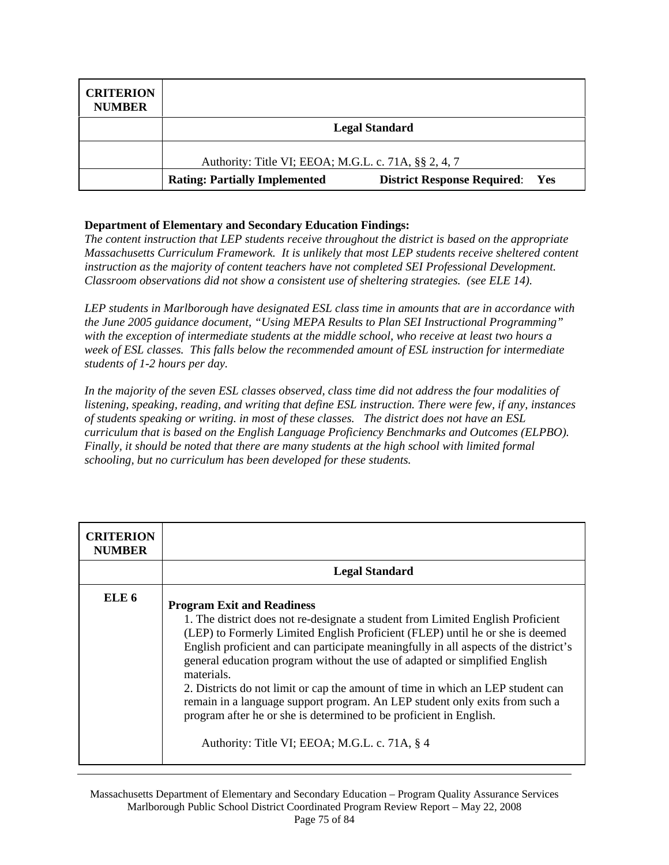| <b>CRITERION</b><br><b>NUMBER</b> |                                                      |                                        |
|-----------------------------------|------------------------------------------------------|----------------------------------------|
|                                   | <b>Legal Standard</b>                                |                                        |
|                                   | Authority: Title VI; EEOA; M.G.L. c. 71A, §§ 2, 4, 7 |                                        |
|                                   | <b>Rating: Partially Implemented</b>                 | <b>District Response Required:</b> Yes |

*The content instruction that LEP students receive throughout the district is based on the appropriate Massachusetts Curriculum Framework. It is unlikely that most LEP students receive sheltered content instruction as the majority of content teachers have not completed SEI Professional Development. Classroom observations did not show a consistent use of sheltering strategies. (see ELE 14).* 

*LEP students in Marlborough have designated ESL class time in amounts that are in accordance with the June 2005 guidance document, "Using MEPA Results to Plan SEI Instructional Programming" with the exception of intermediate students at the middle school, who receive at least two hours a week of ESL classes. This falls below the recommended amount of ESL instruction for intermediate students of 1-2 hours per day.* 

*In the majority of the seven ESL classes observed, class time did not address the four modalities of listening, speaking, reading, and writing that define ESL instruction. There were few, if any, instances of students speaking or writing. in most of these classes. The district does not have an ESL curriculum that is based on the English Language Proficiency Benchmarks and Outcomes (ELPBO). Finally, it should be noted that there are many students at the high school with limited formal schooling, but no curriculum has been developed for these students.* 

| <b>CRITERION</b><br><b>NUMBER</b> |                                                                                                                                                                                                                                                                                                                                                                                                                                                                                                                                                                                                                                                                                    |
|-----------------------------------|------------------------------------------------------------------------------------------------------------------------------------------------------------------------------------------------------------------------------------------------------------------------------------------------------------------------------------------------------------------------------------------------------------------------------------------------------------------------------------------------------------------------------------------------------------------------------------------------------------------------------------------------------------------------------------|
|                                   | <b>Legal Standard</b>                                                                                                                                                                                                                                                                                                                                                                                                                                                                                                                                                                                                                                                              |
| ELE 6                             | <b>Program Exit and Readiness</b><br>1. The district does not re-designate a student from Limited English Proficient<br>(LEP) to Formerly Limited English Proficient (FLEP) until he or she is deemed<br>English proficient and can participate meaningfully in all aspects of the district's<br>general education program without the use of adapted or simplified English<br>materials.<br>2. Districts do not limit or cap the amount of time in which an LEP student can<br>remain in a language support program. An LEP student only exits from such a<br>program after he or she is determined to be proficient in English.<br>Authority: Title VI; EEOA; M.G.L. c. 71A, § 4 |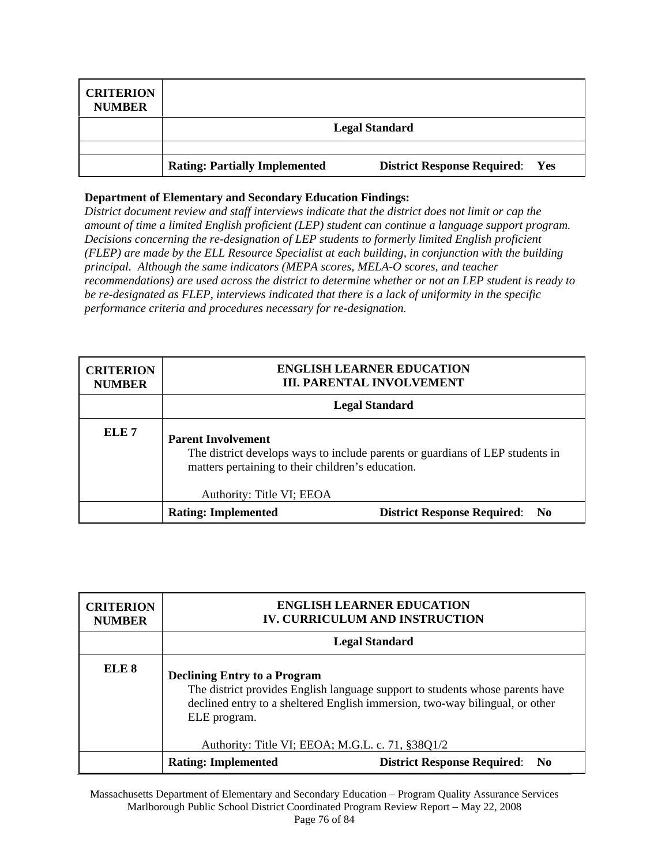| <b>CRITERION</b><br><b>NUMBER</b> |                                      |                                        |
|-----------------------------------|--------------------------------------|----------------------------------------|
|                                   | <b>Legal Standard</b>                |                                        |
|                                   |                                      |                                        |
|                                   | <b>Rating: Partially Implemented</b> | <b>District Response Required: Yes</b> |

*District document review and staff interviews indicate that the district does not limit or cap the amount of time a limited English proficient (LEP) student can continue a language support program. Decisions concerning the re-designation of LEP students to formerly limited English proficient (FLEP) are made by the ELL Resource Specialist at each building, in conjunction with the building principal. Although the same indicators (MEPA scores, MELA-O scores, and teacher recommendations) are used across the district to determine whether or not an LEP student is ready to be re-designated as FLEP, interviews indicated that there is a lack of uniformity in the specific performance criteria and procedures necessary for re-designation.* 

| <b>CRITERION</b><br><b>NUMBER</b> |                                                                                                                                                                                              | <b>ENGLISH LEARNER EDUCATION</b><br><b>III. PARENTAL INVOLVEMENT</b> |
|-----------------------------------|----------------------------------------------------------------------------------------------------------------------------------------------------------------------------------------------|----------------------------------------------------------------------|
|                                   | <b>Legal Standard</b>                                                                                                                                                                        |                                                                      |
| ELE <sub>7</sub>                  | <b>Parent Involvement</b><br>The district develops ways to include parents or guardians of LEP students in<br>matters pertaining to their children's education.<br>Authority: Title VI; EEOA |                                                                      |
|                                   | <b>Rating: Implemented</b>                                                                                                                                                                   | <b>District Response Required:</b> No                                |

| <b>CRITERION</b><br><b>NUMBER</b> |                                                                                                                                                                                                                      | <b>ENGLISH LEARNER EDUCATION</b><br><b>IV. CURRICULUM AND INSTRUCTION</b> |
|-----------------------------------|----------------------------------------------------------------------------------------------------------------------------------------------------------------------------------------------------------------------|---------------------------------------------------------------------------|
|                                   |                                                                                                                                                                                                                      | <b>Legal Standard</b>                                                     |
| ELE <sub>8</sub>                  | <b>Declining Entry to a Program</b><br>The district provides English language support to students whose parents have<br>declined entry to a sheltered English immersion, two-way bilingual, or other<br>ELE program. |                                                                           |
|                                   | Authority: Title VI; EEOA; M.G.L. c. 71, §38Q1/2                                                                                                                                                                     |                                                                           |
|                                   | <b>Rating: Implemented</b>                                                                                                                                                                                           | <b>District Response Required: No</b>                                     |

Massachusetts Department of Elementary and Secondary Education – Program Quality Assurance Services Marlborough Public School District Coordinated Program Review Report – May 22, 2008 Page 76 of 84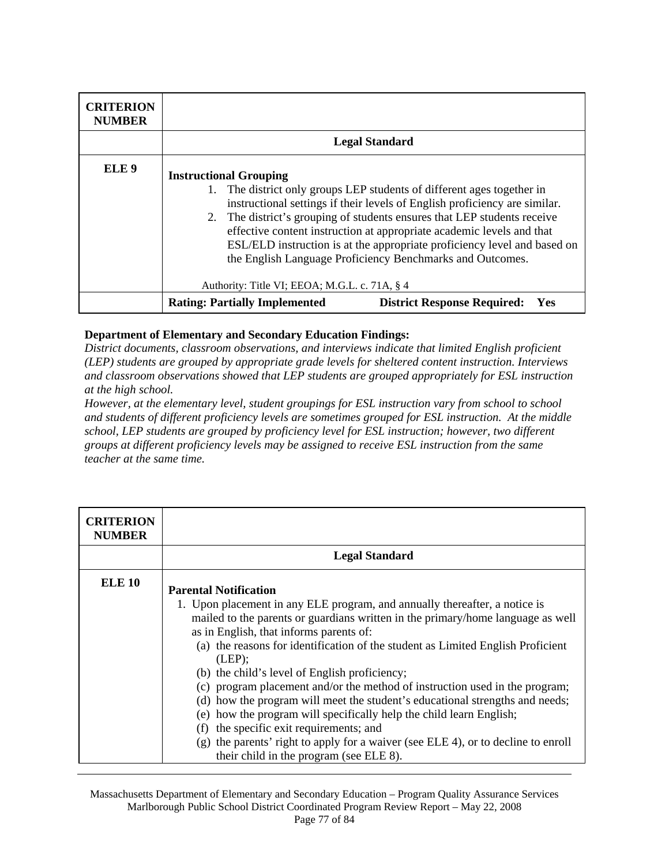| <b>CRITERION</b><br><b>NUMBER</b> |                                                                                                                                                                                                                                                                                                                                                                                                                                                                                                                                      |  |
|-----------------------------------|--------------------------------------------------------------------------------------------------------------------------------------------------------------------------------------------------------------------------------------------------------------------------------------------------------------------------------------------------------------------------------------------------------------------------------------------------------------------------------------------------------------------------------------|--|
|                                   | <b>Legal Standard</b>                                                                                                                                                                                                                                                                                                                                                                                                                                                                                                                |  |
| ELE <sub>9</sub>                  | <b>Instructional Grouping</b><br>1. The district only groups LEP students of different ages together in<br>instructional settings if their levels of English proficiency are similar.<br>2. The district's grouping of students ensures that LEP students receive<br>effective content instruction at appropriate academic levels and that<br>ESL/ELD instruction is at the appropriate proficiency level and based on<br>the English Language Proficiency Benchmarks and Outcomes.<br>Authority: Title VI; EEOA; M.G.L. c. 71A, § 4 |  |
|                                   | <b>Rating: Partially Implemented</b><br><b>District Response Required:</b><br>Yes                                                                                                                                                                                                                                                                                                                                                                                                                                                    |  |

*District documents, classroom observations, and interviews indicate that limited English proficient (LEP) students are grouped by appropriate grade levels for sheltered content instruction. Interviews and classroom observations showed that LEP students are grouped appropriately for ESL instruction at the high school.* 

*However, at the elementary level, student groupings for ESL instruction vary from school to school and students of different proficiency levels are sometimes grouped for ESL instruction. At the middle school, LEP students are grouped by proficiency level for ESL instruction; however, two different groups at different proficiency levels may be assigned to receive ESL instruction from the same teacher at the same time.* 

| <b>CRITERION</b><br><b>NUMBER</b> |                                                                                                                                                                                                                                                                                                                                                                                                                                                                                                                                                                                                                                                                                                                                                                                                            |  |
|-----------------------------------|------------------------------------------------------------------------------------------------------------------------------------------------------------------------------------------------------------------------------------------------------------------------------------------------------------------------------------------------------------------------------------------------------------------------------------------------------------------------------------------------------------------------------------------------------------------------------------------------------------------------------------------------------------------------------------------------------------------------------------------------------------------------------------------------------------|--|
|                                   | <b>Legal Standard</b>                                                                                                                                                                                                                                                                                                                                                                                                                                                                                                                                                                                                                                                                                                                                                                                      |  |
| <b>ELE 10</b>                     | <b>Parental Notification</b><br>1. Upon placement in any ELE program, and annually thereafter, a notice is<br>mailed to the parents or guardians written in the primary/home language as well<br>as in English, that informs parents of:<br>(a) the reasons for identification of the student as Limited English Proficient<br>(LEP);<br>(b) the child's level of English proficiency;<br>(c) program placement and/or the method of instruction used in the program;<br>(d) how the program will meet the student's educational strengths and needs;<br>(e) how the program will specifically help the child learn English;<br>the specific exit requirements; and<br>(f)<br>(g) the parents' right to apply for a waiver (see ELE 4), or to decline to enroll<br>their child in the program (see ELE 8). |  |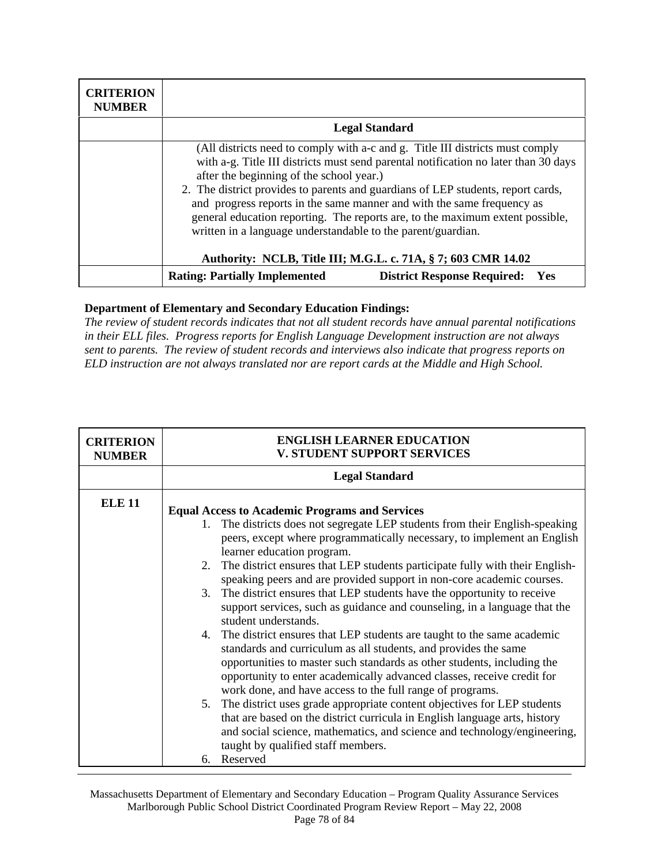| <b>CRITERION</b><br><b>NUMBER</b> |                                                                                                                                                                                                                                                                                                                                                                                                                                                                                                                                 |                                           |  |
|-----------------------------------|---------------------------------------------------------------------------------------------------------------------------------------------------------------------------------------------------------------------------------------------------------------------------------------------------------------------------------------------------------------------------------------------------------------------------------------------------------------------------------------------------------------------------------|-------------------------------------------|--|
|                                   | <b>Legal Standard</b>                                                                                                                                                                                                                                                                                                                                                                                                                                                                                                           |                                           |  |
|                                   | (All districts need to comply with a-c and g. Title III districts must comply<br>with a-g. Title III districts must send parental notification no later than 30 days<br>after the beginning of the school year.)<br>2. The district provides to parents and guardians of LEP students, report cards,<br>and progress reports in the same manner and with the same frequency as<br>general education reporting. The reports are, to the maximum extent possible,<br>written in a language understandable to the parent/guardian. |                                           |  |
|                                   | Authority: NCLB, Title III; M.G.L. c. 71A, § 7; 603 CMR 14.02                                                                                                                                                                                                                                                                                                                                                                                                                                                                   |                                           |  |
|                                   | <b>Rating: Partially Implemented</b>                                                                                                                                                                                                                                                                                                                                                                                                                                                                                            | <b>District Response Required:</b><br>Yes |  |

*The review of student records indicates that not all student records have annual parental notifications in their ELL files. Progress reports for English Language Development instruction are not always sent to parents. The review of student records and interviews also indicate that progress reports on ELD instruction are not always translated nor are report cards at the Middle and High School.* 

| <b>CRITERION</b><br><b>NUMBER</b> | <b>ENGLISH LEARNER EDUCATION</b><br><b>V. STUDENT SUPPORT SERVICES</b>                                                                                                                                                                                                                                                                                                                                                                                                                                                                                                                                                                                                                                                                                                                                                                                                                                                                                                                                                                                                                                                                                                                                                                       |  |
|-----------------------------------|----------------------------------------------------------------------------------------------------------------------------------------------------------------------------------------------------------------------------------------------------------------------------------------------------------------------------------------------------------------------------------------------------------------------------------------------------------------------------------------------------------------------------------------------------------------------------------------------------------------------------------------------------------------------------------------------------------------------------------------------------------------------------------------------------------------------------------------------------------------------------------------------------------------------------------------------------------------------------------------------------------------------------------------------------------------------------------------------------------------------------------------------------------------------------------------------------------------------------------------------|--|
|                                   | <b>Legal Standard</b>                                                                                                                                                                                                                                                                                                                                                                                                                                                                                                                                                                                                                                                                                                                                                                                                                                                                                                                                                                                                                                                                                                                                                                                                                        |  |
| <b>ELE 11</b>                     | <b>Equal Access to Academic Programs and Services</b><br>1. The districts does not segregate LEP students from their English-speaking<br>peers, except where programmatically necessary, to implement an English<br>learner education program.<br>2. The district ensures that LEP students participate fully with their English-<br>speaking peers and are provided support in non-core academic courses.<br>3. The district ensures that LEP students have the opportunity to receive<br>support services, such as guidance and counseling, in a language that the<br>student understands.<br>4. The district ensures that LEP students are taught to the same academic<br>standards and curriculum as all students, and provides the same<br>opportunities to master such standards as other students, including the<br>opportunity to enter academically advanced classes, receive credit for<br>work done, and have access to the full range of programs.<br>5. The district uses grade appropriate content objectives for LEP students<br>that are based on the district curricula in English language arts, history<br>and social science, mathematics, and science and technology/engineering,<br>taught by qualified staff members. |  |
|                                   | Reserved<br>б.                                                                                                                                                                                                                                                                                                                                                                                                                                                                                                                                                                                                                                                                                                                                                                                                                                                                                                                                                                                                                                                                                                                                                                                                                               |  |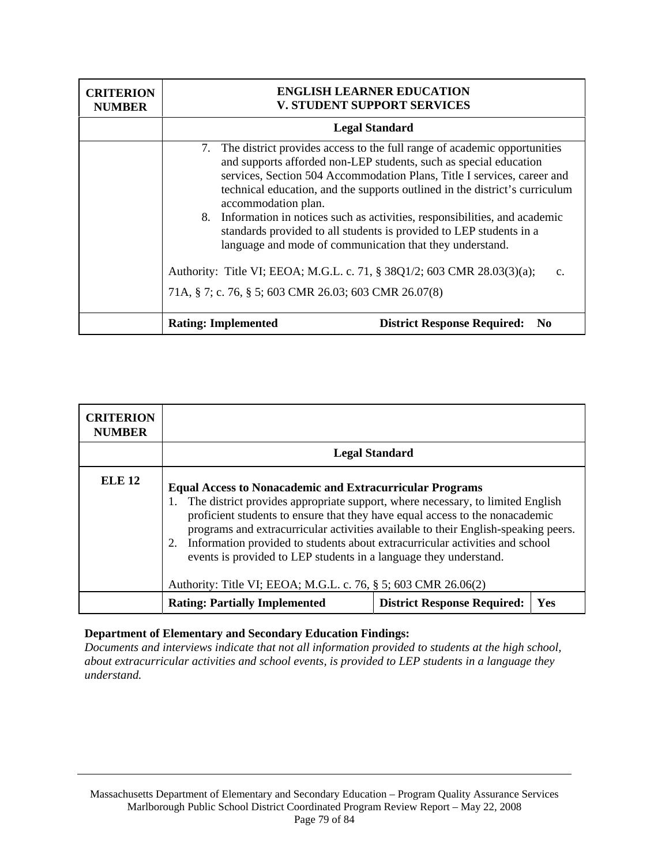| <b>CRITERION</b><br><b>NUMBER</b> | <b>ENGLISH LEARNER EDUCATION</b><br><b>V. STUDENT SUPPORT SERVICES</b>                                                                                                                                                                                                                                                                                                                                                                                                                                                                                                                                                                                                                         |  |
|-----------------------------------|------------------------------------------------------------------------------------------------------------------------------------------------------------------------------------------------------------------------------------------------------------------------------------------------------------------------------------------------------------------------------------------------------------------------------------------------------------------------------------------------------------------------------------------------------------------------------------------------------------------------------------------------------------------------------------------------|--|
|                                   | <b>Legal Standard</b>                                                                                                                                                                                                                                                                                                                                                                                                                                                                                                                                                                                                                                                                          |  |
|                                   | 7. The district provides access to the full range of academic opportunities<br>and supports afforded non-LEP students, such as special education<br>services, Section 504 Accommodation Plans, Title I services, career and<br>technical education, and the supports outlined in the district's curriculum<br>accommodation plan.<br>8. Information in notices such as activities, responsibilities, and academic<br>standards provided to all students is provided to LEP students in a<br>language and mode of communication that they understand.<br>Authority: Title VI; EEOA; M.G.L. c. 71, § 38Q1/2; 603 CMR 28.03(3)(a);<br>C.<br>71A, § 7; c. 76, § 5; 603 CMR 26.03; 603 CMR 26.07(8) |  |
|                                   | <b>District Response Required:</b><br><b>Rating: Implemented</b><br>N0                                                                                                                                                                                                                                                                                                                                                                                                                                                                                                                                                                                                                         |  |

| <b>CRITERION</b><br><b>NUMBER</b> |                                                                                                                                                                                                                                                                                                                                                                                                                                                                                                                                                      |                                    |     |
|-----------------------------------|------------------------------------------------------------------------------------------------------------------------------------------------------------------------------------------------------------------------------------------------------------------------------------------------------------------------------------------------------------------------------------------------------------------------------------------------------------------------------------------------------------------------------------------------------|------------------------------------|-----|
|                                   |                                                                                                                                                                                                                                                                                                                                                                                                                                                                                                                                                      | <b>Legal Standard</b>              |     |
| <b>ELE 12</b>                     | <b>Equal Access to Nonacademic and Extracurricular Programs</b><br>The district provides appropriate support, where necessary, to limited English<br>proficient students to ensure that they have equal access to the nonacademic<br>programs and extracurricular activities available to their English-speaking peers.<br>Information provided to students about extracurricular activities and school<br>2.<br>events is provided to LEP students in a language they understand.<br>Authority: Title VI; EEOA; M.G.L. c. 76, § 5; 603 CMR 26.06(2) |                                    |     |
|                                   | <b>Rating: Partially Implemented</b>                                                                                                                                                                                                                                                                                                                                                                                                                                                                                                                 | <b>District Response Required:</b> | Yes |

*Documents and interviews indicate that not all information provided to students at the high school, about extracurricular activities and school events, is provided to LEP students in a language they understand.*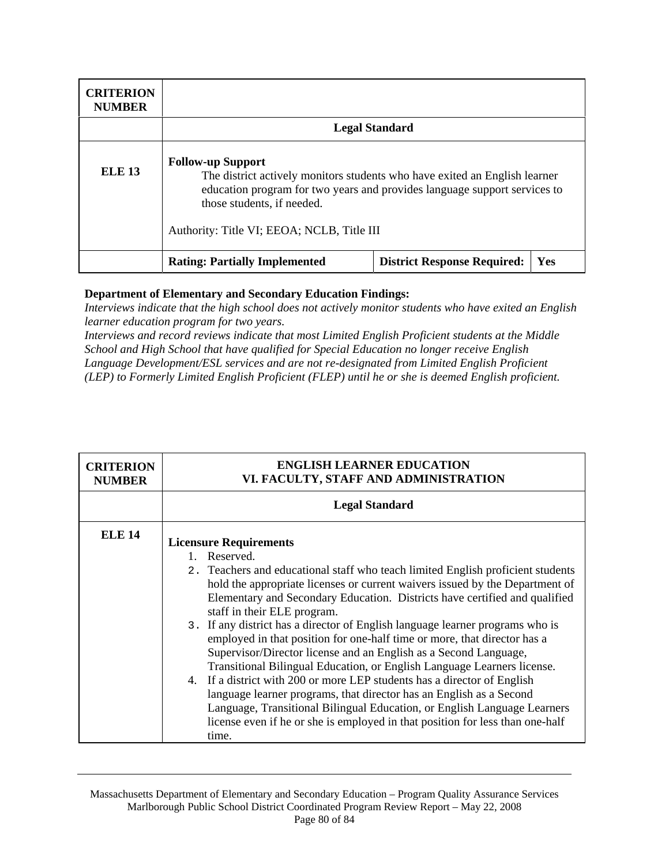| <b>CRITERION</b><br><b>NUMBER</b> |                                                                                                                                                                                                                                                                 |                                    |     |
|-----------------------------------|-----------------------------------------------------------------------------------------------------------------------------------------------------------------------------------------------------------------------------------------------------------------|------------------------------------|-----|
|                                   |                                                                                                                                                                                                                                                                 | <b>Legal Standard</b>              |     |
| <b>ELE 13</b>                     | <b>Follow-up Support</b><br>The district actively monitors students who have exited an English learner<br>education program for two years and provides language support services to<br>those students, if needed.<br>Authority: Title VI; EEOA; NCLB, Title III |                                    |     |
|                                   | <b>Rating: Partially Implemented</b>                                                                                                                                                                                                                            | <b>District Response Required:</b> | Yes |

*Interviews indicate that the high school does not actively monitor students who have exited an English learner education program for two years.* 

*Interviews and record reviews indicate that most Limited English Proficient students at the Middle School and High School that have qualified for Special Education no longer receive English Language Development/ESL services and are not re-designated from Limited English Proficient (LEP) to Formerly Limited English Proficient (FLEP) until he or she is deemed English proficient.* 

| <b>CRITERION</b><br><b>NUMBER</b> | <b>ENGLISH LEARNER EDUCATION</b><br>VI. FACULTY, STAFF AND ADMINISTRATION                                                                                                                                                                                                                                                                                                                                                                                                                                                                                                                                                                                                                                                                                                                                                                                                                                                                                                    |  |
|-----------------------------------|------------------------------------------------------------------------------------------------------------------------------------------------------------------------------------------------------------------------------------------------------------------------------------------------------------------------------------------------------------------------------------------------------------------------------------------------------------------------------------------------------------------------------------------------------------------------------------------------------------------------------------------------------------------------------------------------------------------------------------------------------------------------------------------------------------------------------------------------------------------------------------------------------------------------------------------------------------------------------|--|
|                                   | <b>Legal Standard</b>                                                                                                                                                                                                                                                                                                                                                                                                                                                                                                                                                                                                                                                                                                                                                                                                                                                                                                                                                        |  |
| <b>ELE 14</b>                     | <b>Licensure Requirements</b><br>Reserved.<br>$1 \quad$<br>2. Teachers and educational staff who teach limited English proficient students<br>hold the appropriate licenses or current waivers issued by the Department of<br>Elementary and Secondary Education. Districts have certified and qualified<br>staff in their ELE program.<br>3. If any district has a director of English language learner programs who is<br>employed in that position for one-half time or more, that director has a<br>Supervisor/Director license and an English as a Second Language,<br>Transitional Bilingual Education, or English Language Learners license.<br>4. If a district with 200 or more LEP students has a director of English<br>language learner programs, that director has an English as a Second<br>Language, Transitional Bilingual Education, or English Language Learners<br>license even if he or she is employed in that position for less than one-half<br>time. |  |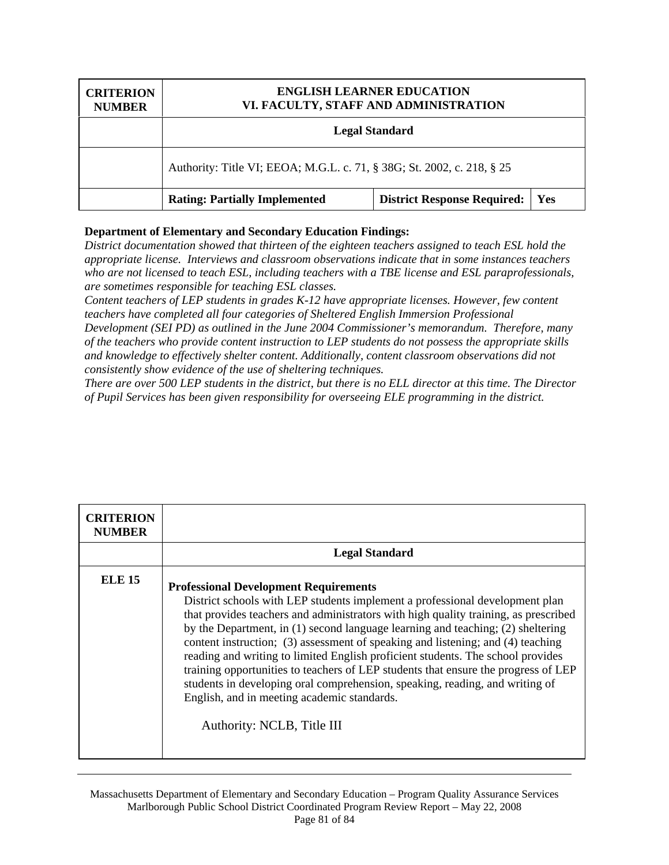| <b>CRITERION</b><br><b>NUMBER</b> | <b>ENGLISH LEARNER EDUCATION</b><br>VI. FACULTY, STAFF AND ADMINISTRATION |                                          |  |
|-----------------------------------|---------------------------------------------------------------------------|------------------------------------------|--|
|                                   | <b>Legal Standard</b>                                                     |                                          |  |
|                                   | Authority: Title VI; EEOA; M.G.L. c. 71, § 38G; St. 2002, c. 218, § 25    |                                          |  |
|                                   | <b>Rating: Partially Implemented</b>                                      | <b>District Response Required:</b>   Yes |  |

*District documentation showed that thirteen of the eighteen teachers assigned to teach ESL hold the appropriate license. Interviews and classroom observations indicate that in some instances teachers who are not licensed to teach ESL, including teachers with a TBE license and ESL paraprofessionals, are sometimes responsible for teaching ESL classes.* 

*Content teachers of LEP students in grades K-12 have appropriate licenses. However, few content teachers have completed all four categories of Sheltered English Immersion Professional Development (SEI PD) as outlined in the June 2004 Commissioner's memorandum. Therefore, many of the teachers who provide content instruction to LEP students do not possess the appropriate skills and knowledge to effectively shelter content. Additionally, content classroom observations did not consistently show evidence of the use of sheltering techniques.* 

*There are over 500 LEP students in the district, but there is no ELL director at this time. The Director of Pupil Services has been given responsibility for overseeing ELE programming in the district.*

| <b>CRITERION</b><br><b>NUMBER</b> |                                                                                                                                                                                                                                                                                                                                                                                                                                                                                                                                                                                                                                                                                                                                 |
|-----------------------------------|---------------------------------------------------------------------------------------------------------------------------------------------------------------------------------------------------------------------------------------------------------------------------------------------------------------------------------------------------------------------------------------------------------------------------------------------------------------------------------------------------------------------------------------------------------------------------------------------------------------------------------------------------------------------------------------------------------------------------------|
|                                   | <b>Legal Standard</b>                                                                                                                                                                                                                                                                                                                                                                                                                                                                                                                                                                                                                                                                                                           |
| <b>ELE 15</b>                     | <b>Professional Development Requirements</b><br>District schools with LEP students implement a professional development plan<br>that provides teachers and administrators with high quality training, as prescribed<br>by the Department, in (1) second language learning and teaching; (2) sheltering<br>content instruction; (3) assessment of speaking and listening; and (4) teaching<br>reading and writing to limited English proficient students. The school provides<br>training opportunities to teachers of LEP students that ensure the progress of LEP<br>students in developing oral comprehension, speaking, reading, and writing of<br>English, and in meeting academic standards.<br>Authority: NCLB, Title III |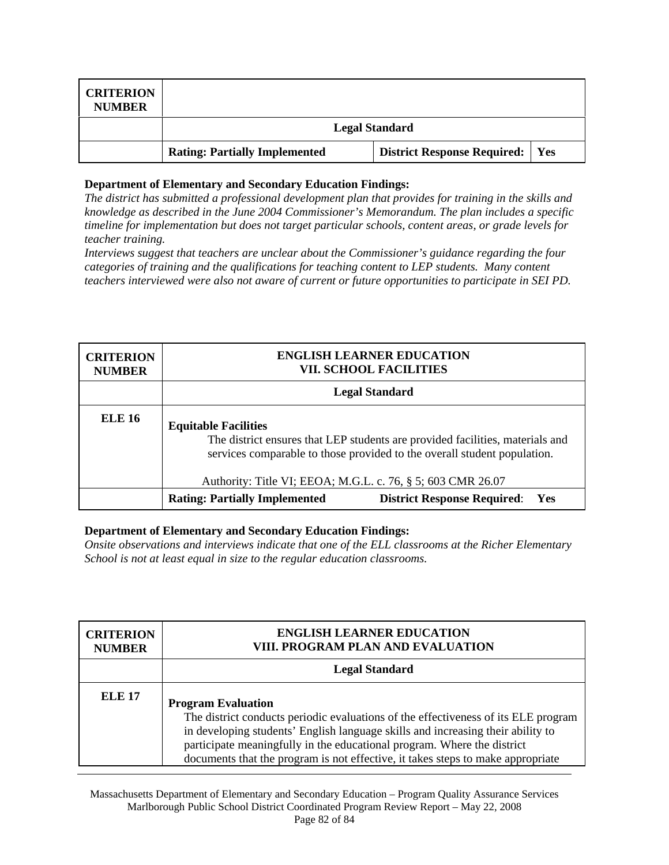| <b>CRITERION</b><br><b>NUMBER</b> |                                      |                                          |  |
|-----------------------------------|--------------------------------------|------------------------------------------|--|
|                                   |                                      | <b>Legal Standard</b>                    |  |
|                                   | <b>Rating: Partially Implemented</b> | <b>District Response Required:</b>   Yes |  |

*The district has submitted a professional development plan that provides for training in the skills and knowledge as described in the June 2004 Commissioner's Memorandum. The plan includes a specific timeline for implementation but does not target particular schools, content areas, or grade levels for teacher training.* 

*Interviews suggest that teachers are unclear about the Commissioner's guidance regarding the four categories of training and the qualifications for teaching content to LEP students. Many content teachers interviewed were also not aware of current or future opportunities to participate in SEI PD.* 

| <b>CRITERION</b><br><b>NUMBER</b> |                                                                                                                                                                                                                                                         | <b>ENGLISH LEARNER EDUCATION</b><br><b>VII. SCHOOL FACILITIES</b> |  |
|-----------------------------------|---------------------------------------------------------------------------------------------------------------------------------------------------------------------------------------------------------------------------------------------------------|-------------------------------------------------------------------|--|
|                                   |                                                                                                                                                                                                                                                         | <b>Legal Standard</b>                                             |  |
| <b>ELE 16</b>                     | <b>Equitable Facilities</b><br>The district ensures that LEP students are provided facilities, materials and<br>services comparable to those provided to the overall student population.<br>Authority: Title VI; EEOA; M.G.L. c. 76, § 5; 603 CMR 26.07 |                                                                   |  |
|                                   | <b>Rating: Partially Implemented</b>                                                                                                                                                                                                                    | <b>District Response Required: Yes</b>                            |  |

#### **Department of Elementary and Secondary Education Findings:**

*Onsite observations and interviews indicate that one of the ELL classrooms at the Richer Elementary School is not at least equal in size to the regular education classrooms.* 

| <b>CRITERION</b><br><b>NUMBER</b> | <b>ENGLISH LEARNER EDUCATION</b><br>VIII. PROGRAM PLAN AND EVALUATION                                                                                                                                                                                                                                                                                            |
|-----------------------------------|------------------------------------------------------------------------------------------------------------------------------------------------------------------------------------------------------------------------------------------------------------------------------------------------------------------------------------------------------------------|
|                                   | <b>Legal Standard</b>                                                                                                                                                                                                                                                                                                                                            |
| <b>ELE 17</b>                     | <b>Program Evaluation</b><br>The district conducts periodic evaluations of the effectiveness of its ELE program<br>in developing students' English language skills and increasing their ability to<br>participate meaningfully in the educational program. Where the district<br>documents that the program is not effective, it takes steps to make appropriate |

Massachusetts Department of Elementary and Secondary Education – Program Quality Assurance Services Marlborough Public School District Coordinated Program Review Report – May 22, 2008 Page 82 of 84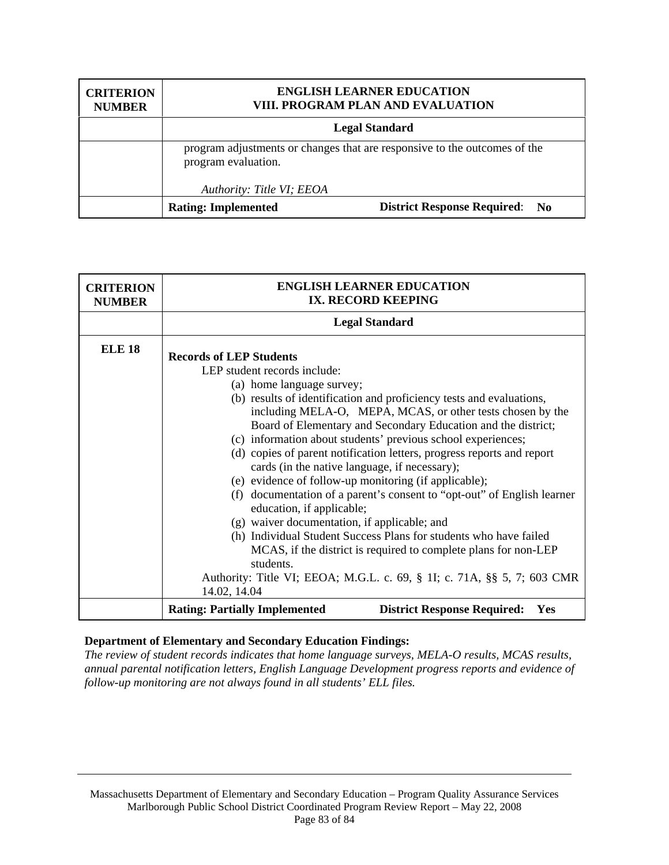| <b>CRITERION</b><br><b>NUMBER</b> | <b>ENGLISH LEARNER EDUCATION</b><br>VIII. PROGRAM PLAN AND EVALUATION |                                                                           |
|-----------------------------------|-----------------------------------------------------------------------|---------------------------------------------------------------------------|
|                                   |                                                                       | <b>Legal Standard</b>                                                     |
|                                   | program evaluation.<br>Authority: Title VI; EEOA                      | program adjustments or changes that are responsive to the outcomes of the |
|                                   | <b>Rating: Implemented</b>                                            | <b>District Response Required: No</b>                                     |

| <b>CRITERION</b><br><b>NUMBER</b> | <b>ENGLISH LEARNER EDUCATION</b><br>IX. RECORD KEEPING                                               |  |
|-----------------------------------|------------------------------------------------------------------------------------------------------|--|
|                                   | <b>Legal Standard</b>                                                                                |  |
| <b>ELE 18</b>                     | <b>Records of LEP Students</b>                                                                       |  |
|                                   | LEP student records include:                                                                         |  |
|                                   | (a) home language survey;                                                                            |  |
|                                   | (b) results of identification and proficiency tests and evaluations,                                 |  |
|                                   | including MELA-O, MEPA, MCAS, or other tests chosen by the                                           |  |
|                                   | Board of Elementary and Secondary Education and the district;                                        |  |
|                                   | (c) information about students' previous school experiences;                                         |  |
|                                   | (d) copies of parent notification letters, progress reports and report                               |  |
|                                   | cards (in the native language, if necessary);                                                        |  |
|                                   | (e) evidence of follow-up monitoring (if applicable);                                                |  |
|                                   | (f) documentation of a parent's consent to "opt-out" of English learner<br>education, if applicable; |  |
|                                   | (g) waiver documentation, if applicable; and                                                         |  |
|                                   | (h) Individual Student Success Plans for students who have failed                                    |  |
|                                   | MCAS, if the district is required to complete plans for non-LEP                                      |  |
|                                   | students.                                                                                            |  |
|                                   | Authority: Title VI; EEOA; M.G.L. c. 69, § 1I; c. 71A, §§ 5, 7; 603 CMR                              |  |
|                                   | 14.02, 14.04                                                                                         |  |
|                                   | <b>Rating: Partially Implemented</b><br><b>District Response Required:</b><br><b>Yes</b>             |  |

*The review of student records indicates that home language surveys, MELA-O results, MCAS results, annual parental notification letters, English Language Development progress reports and evidence of follow-up monitoring are not always found in all students' ELL files.*